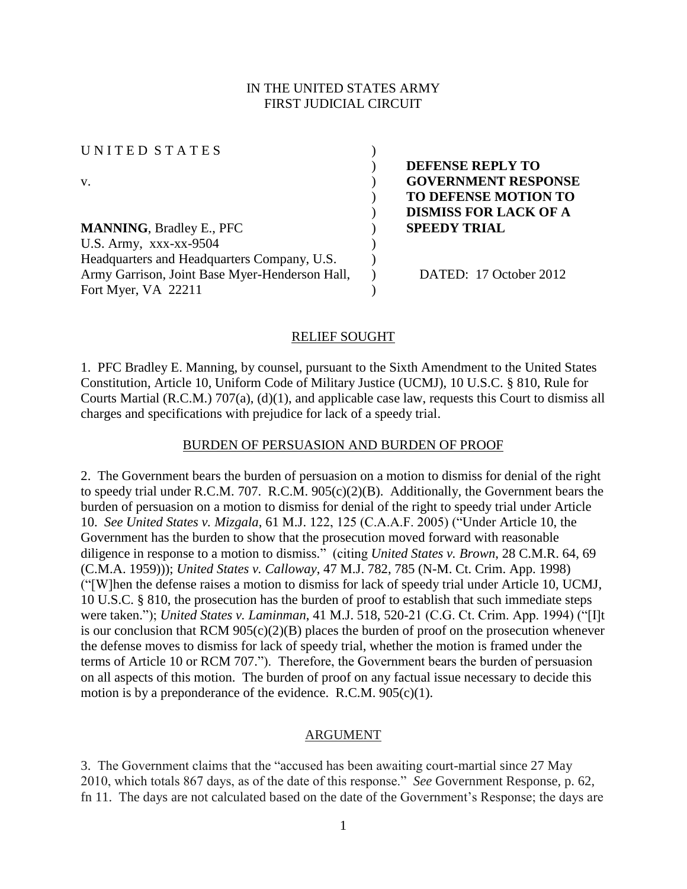### IN THE UNITED STATES ARMY FIRST JUDICIAL CIRCUIT

UNITED STATES ( v. ) **GOVERNMENT RESPONSE**

**MANNING**, Bradley E., PFC ) **SPEEDY TRIAL**  U.S. Army,  $XXX-XX-9504$  ) Headquarters and Headquarters Company, U.S. Army Garrison, Joint Base Myer-Henderson Hall, Fort Myer, VA 22211

) **DEFENSE REPLY TO**  ) **TO DEFENSE MOTION TO** ) **DISMISS FOR LACK OF A** 

) DATED: 17 October 2012

#### RELIEF SOUGHT

)

)

1. PFC Bradley E. Manning, by counsel, pursuant to the Sixth Amendment to the United States Constitution, Article 10, Uniform Code of Military Justice (UCMJ), 10 U.S.C. § 810, Rule for Courts Martial (R.C.M.) 707(a), (d)(1), and applicable case law, requests this Court to dismiss all charges and specifications with prejudice for lack of a speedy trial.

#### BURDEN OF PERSUASION AND BURDEN OF PROOF

2. The Government bears the burden of persuasion on a motion to dismiss for denial of the right to speedy trial under R.C.M. 707. R.C.M. 905(c)(2)(B). Additionally, the Government bears the burden of persuasion on a motion to dismiss for denial of the right to speedy trial under Article 10. *See United States v. Mizgala*, 61 M.J. 122, 125 (C.A.A.F. 2005) ("Under Article 10, the Government has the burden to show that the prosecution moved forward with reasonable diligence in response to a motion to dismiss." (citing *United States v. Brown*, 28 C.M.R. 64, 69 (C.M.A. 1959))); *United States v. Calloway*, 47 M.J. 782, 785 (N-M. Ct. Crim. App. 1998) ("[W]hen the defense raises a motion to dismiss for lack of speedy trial under Article 10, UCMJ, 10 U.S.C. § 810, the prosecution has the burden of proof to establish that such immediate steps were taken."); *United States v. Laminman*, 41 M.J. 518, 520-21 (C.G. Ct. Crim. App. 1994) ("[I]t is our conclusion that RCM  $905(c)(2)(B)$  places the burden of proof on the prosecution whenever the defense moves to dismiss for lack of speedy trial, whether the motion is framed under the terms of Article 10 or RCM 707."). Therefore, the Government bears the burden of persuasion on all aspects of this motion. The burden of proof on any factual issue necessary to decide this motion is by a preponderance of the evidence. R.C.M.  $905(c)(1)$ .

#### ARGUMENT

3. The Government claims that the "accused has been awaiting court-martial since 27 May 2010, which totals 867 days, as of the date of this response." *See* Government Response, p. 62, fn 11. The days are not calculated based on the date of the Government's Response; the days are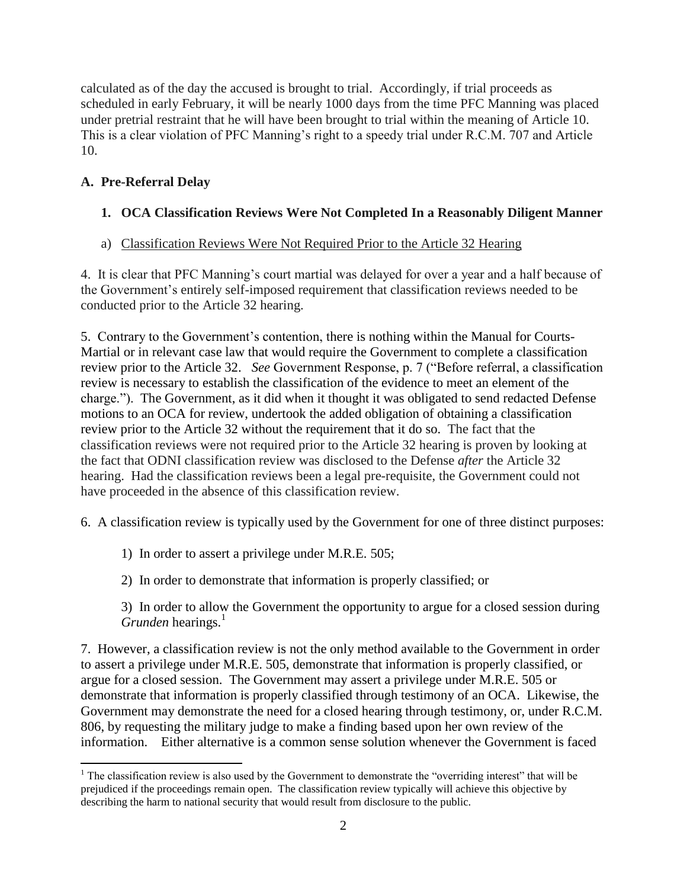calculated as of the day the accused is brought to trial. Accordingly, if trial proceeds as scheduled in early February, it will be nearly 1000 days from the time PFC Manning was placed under pretrial restraint that he will have been brought to trial within the meaning of Article 10. This is a clear violation of PFC Manning's right to a speedy trial under R.C.M. 707 and Article 10.

# **A. Pre-Referral Delay**

# **1. OCA Classification Reviews Were Not Completed In a Reasonably Diligent Manner**

# a) Classification Reviews Were Not Required Prior to the Article 32 Hearing

4. It is clear that PFC Manning's court martial was delayed for over a year and a half because of the Government's entirely self-imposed requirement that classification reviews needed to be conducted prior to the Article 32 hearing.

5. Contrary to the Government's contention, there is nothing within the Manual for Courts-Martial or in relevant case law that would require the Government to complete a classification review prior to the Article 32. *See* Government Response, p. 7 ("Before referral, a classification review is necessary to establish the classification of the evidence to meet an element of the charge."). The Government, as it did when it thought it was obligated to send redacted Defense motions to an OCA for review, undertook the added obligation of obtaining a classification review prior to the Article 32 without the requirement that it do so. The fact that the classification reviews were not required prior to the Article 32 hearing is proven by looking at the fact that ODNI classification review was disclosed to the Defense *after* the Article 32 hearing. Had the classification reviews been a legal pre-requisite, the Government could not have proceeded in the absence of this classification review.

6. A classification review is typically used by the Government for one of three distinct purposes:

1) In order to assert a privilege under M.R.E. 505;

2) In order to demonstrate that information is properly classified; or

3) In order to allow the Government the opportunity to argue for a closed session during *Grunden* hearings.<sup>1</sup>

7. However, a classification review is not the only method available to the Government in order to assert a privilege under M.R.E. 505, demonstrate that information is properly classified, or argue for a closed session. The Government may assert a privilege under M.R.E. 505 or demonstrate that information is properly classified through testimony of an OCA. Likewise, the Government may demonstrate the need for a closed hearing through testimony, or, under R.C.M. 806, by requesting the military judge to make a finding based upon her own review of the information. Either alternative is a common sense solution whenever the Government is faced

 $\overline{\phantom{a}}$  $1$ <sup>1</sup> The classification review is also used by the Government to demonstrate the "overriding interest" that will be prejudiced if the proceedings remain open. The classification review typically will achieve this objective by describing the harm to national security that would result from disclosure to the public.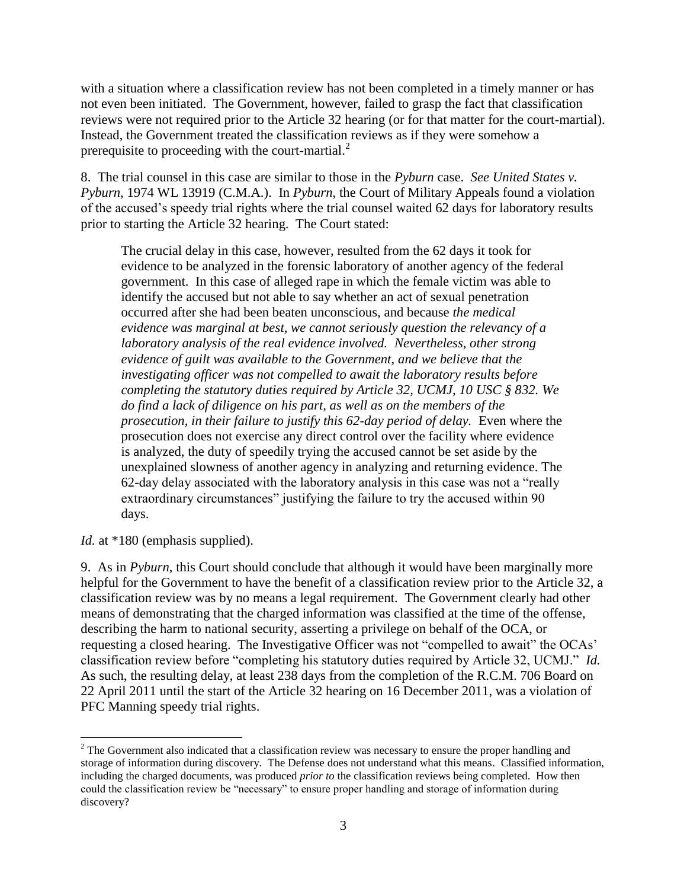with a situation where a classification review has not been completed in a timely manner or has not even been initiated. The Government, however, failed to grasp the fact that classification reviews were not required prior to the Article 32 hearing (or for that matter for the court-martial). Instead, the Government treated the classification reviews as if they were somehow a prerequisite to proceeding with the court-martial. $^{2}$ 

8. The trial counsel in this case are similar to those in the *Pyburn* case. *See United States v. Pyburn*, 1974 WL 13919 (C.M.A.). In *Pyburn*, the Court of Military Appeals found a violation of the accused's speedy trial rights where the trial counsel waited 62 days for laboratory results prior to starting the Article 32 hearing. The Court stated:

The crucial delay in this case, however, resulted from the 62 days it took for evidence to be analyzed in the forensic laboratory of another agency of the federal government. In this case of alleged rape in which the female victim was able to identify the accused but not able to say whether an act of sexual penetration occurred after she had been beaten unconscious, and because *the medical evidence was marginal at best, we cannot seriously question the relevancy of a laboratory analysis of the real evidence involved. Nevertheless, other strong evidence of guilt was available to the Government, and we believe that the investigating officer was not compelled to await the laboratory results before completing the statutory duties required by Article 32, UCMJ, 10 USC § 832. We do find a lack of diligence on his part, as well as on the members of the prosecution, in their failure to justify this 62-day period of delay.* Even where the prosecution does not exercise any direct control over the facility where evidence is analyzed, the duty of speedily trying the accused cannot be set aside by the unexplained slowness of another agency in analyzing and returning evidence. The 62-day delay associated with the laboratory analysis in this case was not a "really extraordinary circumstances" justifying the failure to try the accused within 90 days.

*Id.* at \*180 (emphasis supplied).

9. As in *Pyburn*, this Court should conclude that although it would have been marginally more helpful for the Government to have the benefit of a classification review prior to the Article 32, a classification review was by no means a legal requirement. The Government clearly had other means of demonstrating that the charged information was classified at the time of the offense, describing the harm to national security, asserting a privilege on behalf of the OCA, or requesting a closed hearing. The Investigative Officer was not "compelled to await" the OCAs' classification review before "completing his statutory duties required by Article 32, UCMJ." *Id.*  As such, the resulting delay, at least 238 days from the completion of the R.C.M. 706 Board on 22 April 2011 until the start of the Article 32 hearing on 16 December 2011, was a violation of PFC Manning speedy trial rights.

 $\overline{a}$ <sup>2</sup> The Government also indicated that a classification review was necessary to ensure the proper handling and storage of information during discovery. The Defense does not understand what this means. Classified information, including the charged documents, was produced *prior to* the classification reviews being completed. How then could the classification review be "necessary" to ensure proper handling and storage of information during discovery?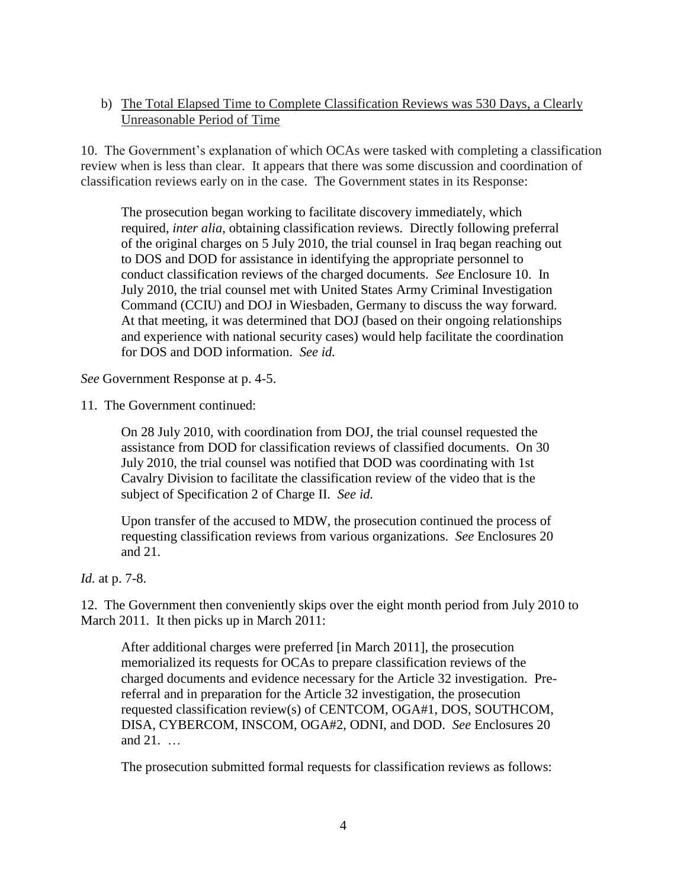### b) The Total Elapsed Time to Complete Classification Reviews was 530 Days, a Clearly Unreasonable Period of Time

10. The Government's explanation of which OCAs were tasked with completing a classification review when is less than clear. It appears that there was some discussion and coordination of classification reviews early on in the case. The Government states in its Response:

The prosecution began working to facilitate discovery immediately, which required, *inter alia*, obtaining classification reviews. Directly following preferral of the original charges on 5 July 2010, the trial counsel in Iraq began reaching out to DOS and DOD for assistance in identifying the appropriate personnel to conduct classification reviews of the charged documents. *See* Enclosure 10. In July 2010, the trial counsel met with United States Army Criminal Investigation Command (CCIU) and DOJ in Wiesbaden, Germany to discuss the way forward. At that meeting, it was determined that DOJ (based on their ongoing relationships and experience with national security cases) would help facilitate the coordination for DOS and DOD information. *See id.*

*See* Government Response at p. 4-5.

11. The Government continued:

On 28 July 2010, with coordination from DOJ, the trial counsel requested the assistance from DOD for classification reviews of classified documents. On 30 July 2010, the trial counsel was notified that DOD was coordinating with 1st Cavalry Division to facilitate the classification review of the video that is the subject of Specification 2 of Charge II. *See id.*

Upon transfer of the accused to MDW, the prosecution continued the process of requesting classification reviews from various organizations. *See* Enclosures 20 and 21.

*Id.* at p. 7-8.

12. The Government then conveniently skips over the eight month period from July 2010 to March 2011. It then picks up in March 2011:

After additional charges were preferred [in March 2011], the prosecution memorialized its requests for OCAs to prepare classification reviews of the charged documents and evidence necessary for the Article 32 investigation. Prereferral and in preparation for the Article 32 investigation, the prosecution requested classification review(s) of CENTCOM, OGA#1, DOS, SOUTHCOM, DISA, CYBERCOM, INSCOM, OGA#2, ODNI, and DOD. *See* Enclosures 20 and 21. …

The prosecution submitted formal requests for classification reviews as follows: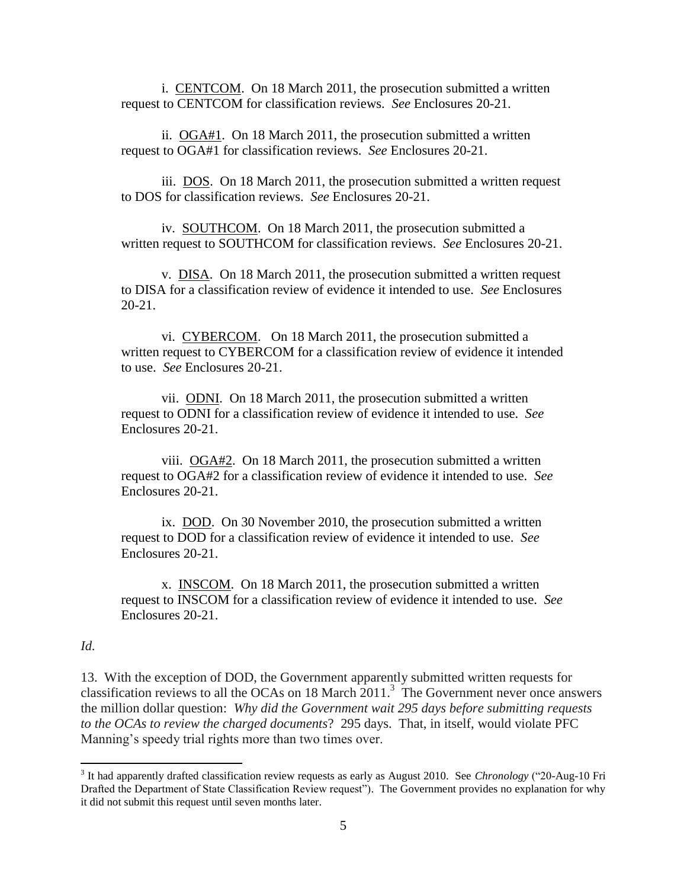i. CENTCOM. On 18 March 2011, the prosecution submitted a written request to CENTCOM for classification reviews. *See* Enclosures 20-21.

ii. OGA#1. On 18 March 2011, the prosecution submitted a written request to OGA#1 for classification reviews. *See* Enclosures 20-21.

iii. DOS. On 18 March 2011, the prosecution submitted a written request to DOS for classification reviews. *See* Enclosures 20-21.

iv. SOUTHCOM. On 18 March 2011, the prosecution submitted a written request to SOUTHCOM for classification reviews. *See* Enclosures 20-21.

v. DISA. On 18 March 2011, the prosecution submitted a written request to DISA for a classification review of evidence it intended to use. *See* Enclosures 20-21.

vi. CYBERCOM. On 18 March 2011, the prosecution submitted a written request to CYBERCOM for a classification review of evidence it intended to use. *See* Enclosures 20-21.

vii. ODNI. On 18 March 2011, the prosecution submitted a written request to ODNI for a classification review of evidence it intended to use. *See* Enclosures 20-21.

viii. OGA#2. On 18 March 2011, the prosecution submitted a written request to OGA#2 for a classification review of evidence it intended to use. *See* Enclosures 20-21.

ix. DOD. On 30 November 2010, the prosecution submitted a written request to DOD for a classification review of evidence it intended to use. *See* Enclosures 20-21.

x. INSCOM. On 18 March 2011, the prosecution submitted a written request to INSCOM for a classification review of evidence it intended to use. *See* Enclosures 20-21.

#### *Id.*

 $\overline{\phantom{a}}$ 

13. With the exception of DOD, the Government apparently submitted written requests for classification reviews to all the OCAs on 18 March 2011. 3 The Government never once answers the million dollar question: *Why did the Government wait 295 days before submitting requests to the OCAs to review the charged documents*? 295 days. That, in itself, would violate PFC Manning's speedy trial rights more than two times over.

<sup>3</sup> It had apparently drafted classification review requests as early as August 2010. See *Chronology* ("20-Aug-10 Fri Drafted the Department of State Classification Review request"). The Government provides no explanation for why it did not submit this request until seven months later.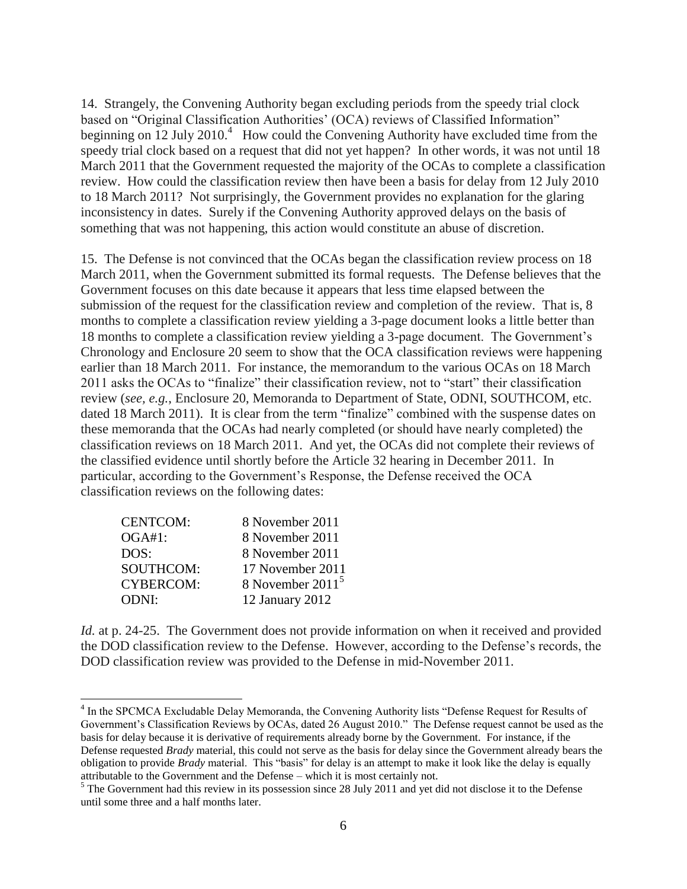14. Strangely, the Convening Authority began excluding periods from the speedy trial clock based on "Original Classification Authorities' (OCA) reviews of Classified Information" beginning on  $12$  July 2010.<sup>4</sup> How could the Convening Authority have excluded time from the speedy trial clock based on a request that did not yet happen? In other words, it was not until 18 March 2011 that the Government requested the majority of the OCAs to complete a classification review. How could the classification review then have been a basis for delay from 12 July 2010 to 18 March 2011? Not surprisingly, the Government provides no explanation for the glaring inconsistency in dates. Surely if the Convening Authority approved delays on the basis of something that was not happening, this action would constitute an abuse of discretion.

15. The Defense is not convinced that the OCAs began the classification review process on 18 March 2011, when the Government submitted its formal requests. The Defense believes that the Government focuses on this date because it appears that less time elapsed between the submission of the request for the classification review and completion of the review. That is, 8 months to complete a classification review yielding a 3-page document looks a little better than 18 months to complete a classification review yielding a 3-page document. The Government's Chronology and Enclosure 20 seem to show that the OCA classification reviews were happening earlier than 18 March 2011. For instance, the memorandum to the various OCAs on 18 March 2011 asks the OCAs to "finalize" their classification review, not to "start" their classification review (*see, e.g.*, Enclosure 20, Memoranda to Department of State, ODNI, SOUTHCOM, etc. dated 18 March 2011). It is clear from the term "finalize" combined with the suspense dates on these memoranda that the OCAs had nearly completed (or should have nearly completed) the classification reviews on 18 March 2011. And yet, the OCAs did not complete their reviews of the classified evidence until shortly before the Article 32 hearing in December 2011. In particular, according to the Government's Response, the Defense received the OCA classification reviews on the following dates:

| 8 November 2011    |
|--------------------|
| 8 November 2011    |
| 8 November 2011    |
| 17 November 2011   |
| 8 November $20115$ |
| 12 January 2012    |
|                    |

*Id.* at p. 24-25. The Government does not provide information on when it received and provided the DOD classification review to the Defense. However, according to the Defense's records, the DOD classification review was provided to the Defense in mid-November 2011.

 4 In the SPCMCA Excludable Delay Memoranda, the Convening Authority lists "Defense Request for Results of Government's Classification Reviews by OCAs, dated 26 August 2010." The Defense request cannot be used as the basis for delay because it is derivative of requirements already borne by the Government. For instance, if the Defense requested *Brady* material, this could not serve as the basis for delay since the Government already bears the obligation to provide *Brady* material. This "basis" for delay is an attempt to make it look like the delay is equally attributable to the Government and the Defense – which it is most certainly not.

<sup>&</sup>lt;sup>5</sup> The Government had this review in its possession since 28 July 2011 and yet did not disclose it to the Defense until some three and a half months later.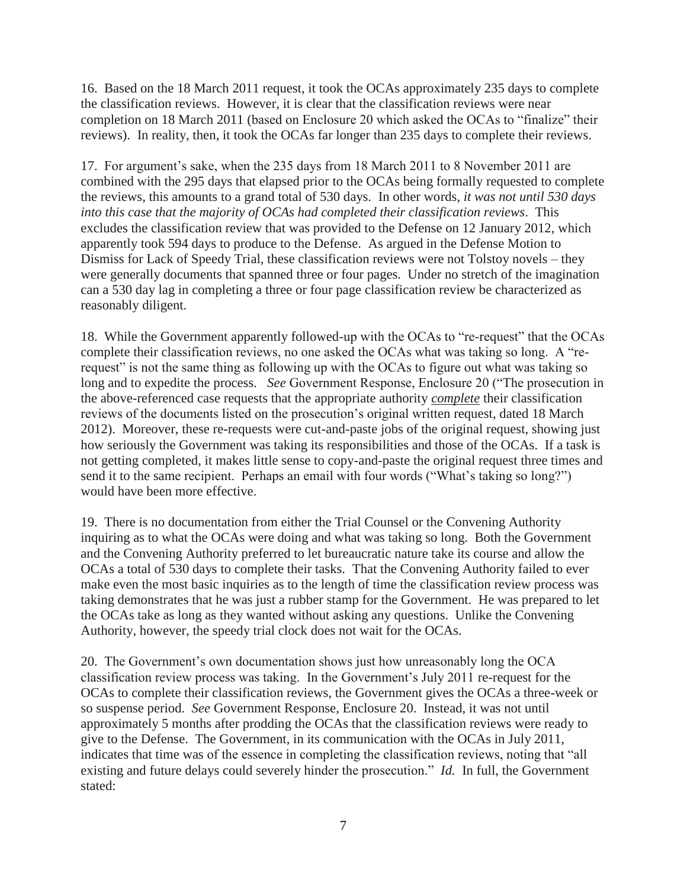16. Based on the 18 March 2011 request, it took the OCAs approximately 235 days to complete the classification reviews. However, it is clear that the classification reviews were near completion on 18 March 2011 (based on Enclosure 20 which asked the OCAs to "finalize" their reviews). In reality, then, it took the OCAs far longer than 235 days to complete their reviews.

17. For argument's sake, when the 235 days from 18 March 2011 to 8 November 2011 are combined with the 295 days that elapsed prior to the OCAs being formally requested to complete the reviews, this amounts to a grand total of 530 days. In other words, *it was not until 530 days into this case that the majority of OCAs had completed their classification reviews*. This excludes the classification review that was provided to the Defense on 12 January 2012, which apparently took 594 days to produce to the Defense. As argued in the Defense Motion to Dismiss for Lack of Speedy Trial, these classification reviews were not Tolstoy novels – they were generally documents that spanned three or four pages. Under no stretch of the imagination can a 530 day lag in completing a three or four page classification review be characterized as reasonably diligent.

18. While the Government apparently followed-up with the OCAs to "re-request" that the OCAs complete their classification reviews, no one asked the OCAs what was taking so long. A "rerequest" is not the same thing as following up with the OCAs to figure out what was taking so long and to expedite the process. *See* Government Response, Enclosure 20 ("The prosecution in the above-referenced case requests that the appropriate authority *complete* their classification reviews of the documents listed on the prosecution's original written request, dated 18 March 2012). Moreover, these re-requests were cut-and-paste jobs of the original request, showing just how seriously the Government was taking its responsibilities and those of the OCAs. If a task is not getting completed, it makes little sense to copy-and-paste the original request three times and send it to the same recipient. Perhaps an email with four words ("What's taking so long?") would have been more effective.

19. There is no documentation from either the Trial Counsel or the Convening Authority inquiring as to what the OCAs were doing and what was taking so long. Both the Government and the Convening Authority preferred to let bureaucratic nature take its course and allow the OCAs a total of 530 days to complete their tasks. That the Convening Authority failed to ever make even the most basic inquiries as to the length of time the classification review process was taking demonstrates that he was just a rubber stamp for the Government. He was prepared to let the OCAs take as long as they wanted without asking any questions. Unlike the Convening Authority, however, the speedy trial clock does not wait for the OCAs.

20. The Government's own documentation shows just how unreasonably long the OCA classification review process was taking. In the Government's July 2011 re-request for the OCAs to complete their classification reviews, the Government gives the OCAs a three-week or so suspense period. *See* Government Response, Enclosure 20. Instead, it was not until approximately 5 months after prodding the OCAs that the classification reviews were ready to give to the Defense. The Government, in its communication with the OCAs in July 2011, indicates that time was of the essence in completing the classification reviews, noting that "all existing and future delays could severely hinder the prosecution." *Id.* In full, the Government stated: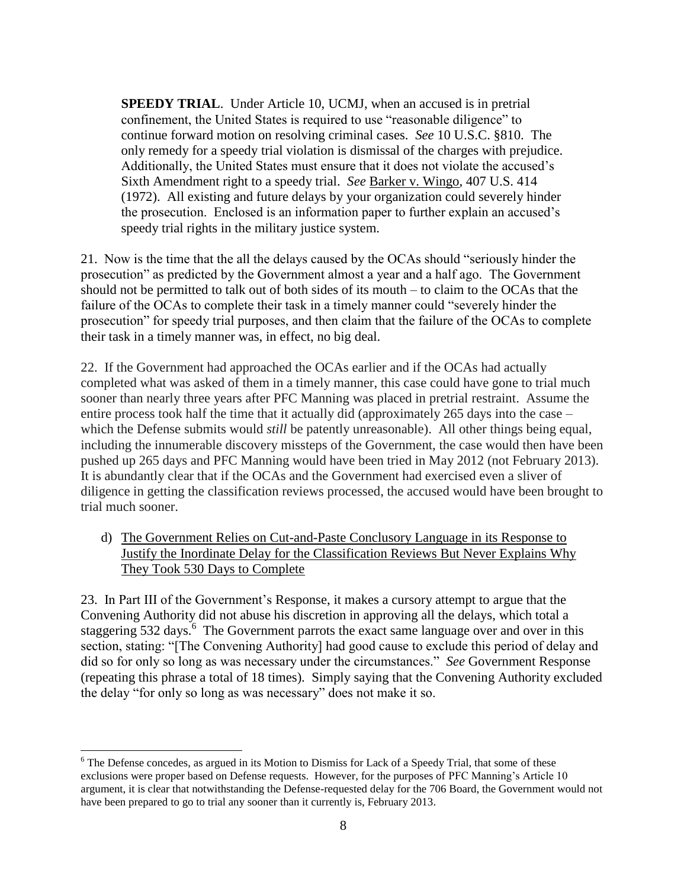**SPEEDY TRIAL.** Under Article 10, UCMJ, when an accused is in pretrial confinement, the United States is required to use "reasonable diligence" to continue forward motion on resolving criminal cases. *See* 10 U.S.C. §810. The only remedy for a speedy trial violation is dismissal of the charges with prejudice. Additionally, the United States must ensure that it does not violate the accused's Sixth Amendment right to a speedy trial. *See* Barker v. Wingo, 407 U.S. 414 (1972). All existing and future delays by your organization could severely hinder the prosecution. Enclosed is an information paper to further explain an accused's speedy trial rights in the military justice system.

21. Now is the time that the all the delays caused by the OCAs should "seriously hinder the prosecution" as predicted by the Government almost a year and a half ago. The Government should not be permitted to talk out of both sides of its mouth – to claim to the OCAs that the failure of the OCAs to complete their task in a timely manner could "severely hinder the prosecution" for speedy trial purposes, and then claim that the failure of the OCAs to complete their task in a timely manner was, in effect, no big deal.

22. If the Government had approached the OCAs earlier and if the OCAs had actually completed what was asked of them in a timely manner, this case could have gone to trial much sooner than nearly three years after PFC Manning was placed in pretrial restraint. Assume the entire process took half the time that it actually did (approximately 265 days into the case – which the Defense submits would *still* be patently unreasonable). All other things being equal, including the innumerable discovery missteps of the Government, the case would then have been pushed up 265 days and PFC Manning would have been tried in May 2012 (not February 2013). It is abundantly clear that if the OCAs and the Government had exercised even a sliver of diligence in getting the classification reviews processed, the accused would have been brought to trial much sooner.

d) The Government Relies on Cut-and-Paste Conclusory Language in its Response to Justify the Inordinate Delay for the Classification Reviews But Never Explains Why They Took 530 Days to Complete

23. In Part III of the Government's Response, it makes a cursory attempt to argue that the Convening Authority did not abuse his discretion in approving all the delays, which total a staggering 532 days.<sup>6</sup> The Government parrots the exact same language over and over in this section, stating: "[The Convening Authority] had good cause to exclude this period of delay and did so for only so long as was necessary under the circumstances." *See* Government Response (repeating this phrase a total of 18 times). Simply saying that the Convening Authority excluded the delay "for only so long as was necessary" does not make it so.

 $\overline{\phantom{a}}$ 

 $6$  The Defense concedes, as argued in its Motion to Dismiss for Lack of a Speedy Trial, that some of these exclusions were proper based on Defense requests. However, for the purposes of PFC Manning's Article 10 argument, it is clear that notwithstanding the Defense-requested delay for the 706 Board, the Government would not have been prepared to go to trial any sooner than it currently is, February 2013.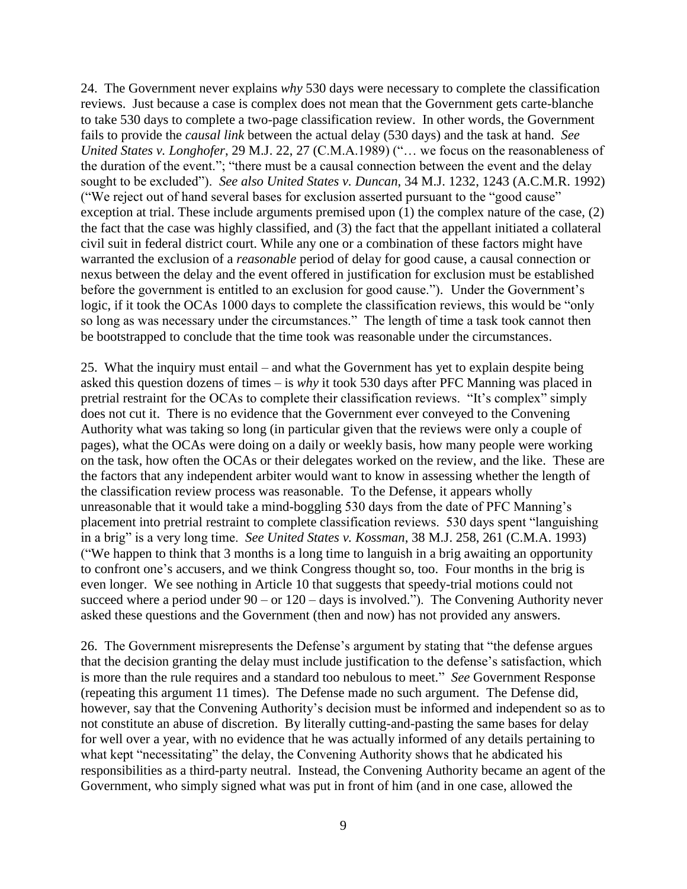24. The Government never explains *why* 530 days were necessary to complete the classification reviews. Just because a case is complex does not mean that the Government gets carte-blanche to take 530 days to complete a two-page classification review. In other words, the Government fails to provide the *causal link* between the actual delay (530 days) and the task at hand. *See United States v. Longhofer*, 29 M.J. 22, 27 (C.M.A.1989) ("… we focus on the reasonableness of the duration of the event."; "there must be a causal connection between the event and the delay sought to be excluded"). *See also United States v. Duncan*, 34 M.J. 1232, 1243 (A.C.M.R. 1992) ("We reject out of hand several bases for exclusion asserted pursuant to the "good cause" exception at trial. These include arguments premised upon (1) the complex nature of the case, (2) the fact that the case was highly classified, and (3) the fact that the appellant initiated a collateral civil suit in federal district court. While any one or a combination of these factors might have warranted the exclusion of a *reasonable* period of delay for good cause, a causal connection or nexus between the delay and the event offered in justification for exclusion must be established before the government is entitled to an exclusion for good cause."). Under the Government's logic, if it took the OCAs 1000 days to complete the classification reviews, this would be "only so long as was necessary under the circumstances." The length of time a task took cannot then be bootstrapped to conclude that the time took was reasonable under the circumstances.

25. What the inquiry must entail – and what the Government has yet to explain despite being asked this question dozens of times – is *why* it took 530 days after PFC Manning was placed in pretrial restraint for the OCAs to complete their classification reviews. "It's complex" simply does not cut it. There is no evidence that the Government ever conveyed to the Convening Authority what was taking so long (in particular given that the reviews were only a couple of pages), what the OCAs were doing on a daily or weekly basis, how many people were working on the task, how often the OCAs or their delegates worked on the review, and the like. These are the factors that any independent arbiter would want to know in assessing whether the length of the classification review process was reasonable. To the Defense, it appears wholly unreasonable that it would take a mind-boggling 530 days from the date of PFC Manning's placement into pretrial restraint to complete classification reviews. 530 days spent "languishing in a brig" is a very long time. *See United States v. Kossman*, 38 M.J. 258, 261 (C.M.A. 1993) ("We happen to think that 3 months is a long time to languish in a brig awaiting an opportunity to confront one's accusers, and we think Congress thought so, too. Four months in the brig is even longer. We see nothing in Article 10 that suggests that speedy-trial motions could not succeed where a period under  $90 - or 120 - days$  is involved."). The Convening Authority never asked these questions and the Government (then and now) has not provided any answers.

26. The Government misrepresents the Defense's argument by stating that "the defense argues that the decision granting the delay must include justification to the defense's satisfaction, which is more than the rule requires and a standard too nebulous to meet." *See* Government Response (repeating this argument 11 times). The Defense made no such argument. The Defense did, however, say that the Convening Authority's decision must be informed and independent so as to not constitute an abuse of discretion. By literally cutting-and-pasting the same bases for delay for well over a year, with no evidence that he was actually informed of any details pertaining to what kept "necessitating" the delay, the Convening Authority shows that he abdicated his responsibilities as a third-party neutral. Instead, the Convening Authority became an agent of the Government, who simply signed what was put in front of him (and in one case, allowed the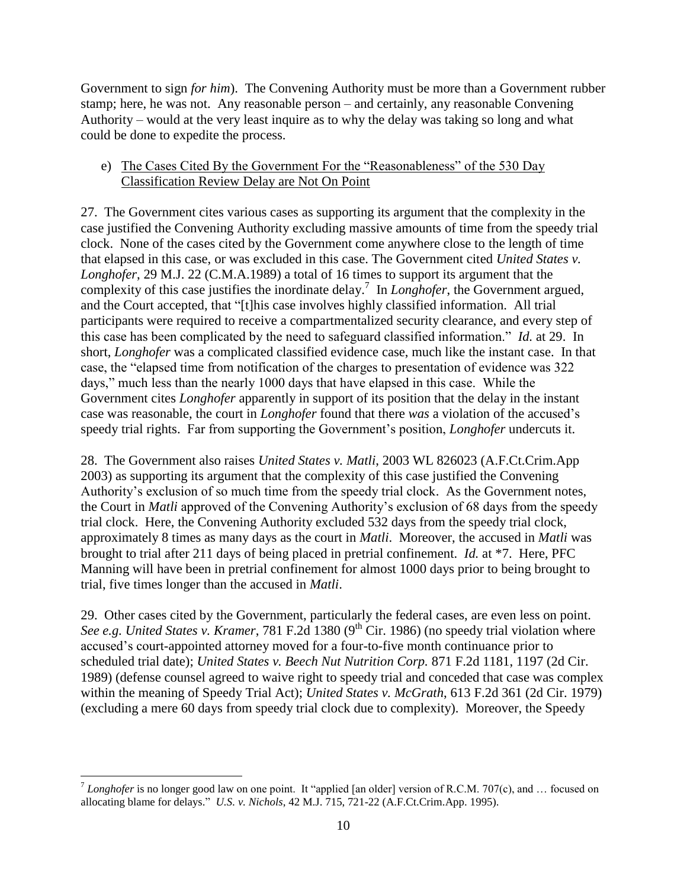Government to sign *for him*). The Convening Authority must be more than a Government rubber stamp; here, he was not. Any reasonable person – and certainly, any reasonable Convening Authority – would at the very least inquire as to why the delay was taking so long and what could be done to expedite the process.

## e) The Cases Cited By the Government For the "Reasonableness" of the 530 Day Classification Review Delay are Not On Point

27. The Government cites various cases as supporting its argument that the complexity in the case justified the Convening Authority excluding massive amounts of time from the speedy trial clock. None of the cases cited by the Government come anywhere close to the length of time that elapsed in this case, or was excluded in this case. The Government cited *United States v. Longhofer*, 29 M.J. 22 (C.M.A.1989) a total of 16 times to support its argument that the complexity of this case justifies the inordinate delay. 7 In *Longhofer*, the Government argued, and the Court accepted, that "[t]his case involves highly classified information. All trial participants were required to receive a compartmentalized security clearance, and every step of this case has been complicated by the need to safeguard classified information." *Id.* at 29. In short, *Longhofer* was a complicated classified evidence case, much like the instant case. In that case, the "elapsed time from notification of the charges to presentation of evidence was 322 days," much less than the nearly 1000 days that have elapsed in this case. While the Government cites *Longhofer* apparently in support of its position that the delay in the instant case was reasonable, the court in *Longhofer* found that there *was* a violation of the accused's speedy trial rights. Far from supporting the Government's position, *Longhofer* undercuts it.

28. The Government also raises *United States v. Matli*, 2003 WL 826023 (A.F.Ct.Crim.App 2003) as supporting its argument that the complexity of this case justified the Convening Authority's exclusion of so much time from the speedy trial clock. As the Government notes, the Court in *Matli* approved of the Convening Authority's exclusion of 68 days from the speedy trial clock. Here, the Convening Authority excluded 532 days from the speedy trial clock, approximately 8 times as many days as the court in *Matli*. Moreover, the accused in *Matli* was brought to trial after 211 days of being placed in pretrial confinement. *Id.* at \*7. Here, PFC Manning will have been in pretrial confinement for almost 1000 days prior to being brought to trial, five times longer than the accused in *Matli*.

29. Other cases cited by the Government, particularly the federal cases, are even less on point. *See e.g. United States v. Kramer, 781 F.2d 1380 (9<sup>th</sup> Cir. 1986) (no speedy trial violation where* accused's court-appointed attorney moved for a four-to-five month continuance prior to scheduled trial date); *United States v. Beech Nut Nutrition Corp.* 871 F.2d 1181, 1197 (2d Cir. 1989) (defense counsel agreed to waive right to speedy trial and conceded that case was complex within the meaning of Speedy Trial Act); *United States v. McGrath*, 613 F.2d 361 (2d Cir. 1979) (excluding a mere 60 days from speedy trial clock due to complexity). Moreover, the Speedy

<sup>&</sup>lt;sup>7</sup> Longhofer is no longer good law on one point. It "applied [an older] version of R.C.M. 707(c), and ... focused on allocating blame for delays." *U.S. v. Nichols*, 42 M.J. 715, 721-22 (A.F.Ct.Crim.App. 1995).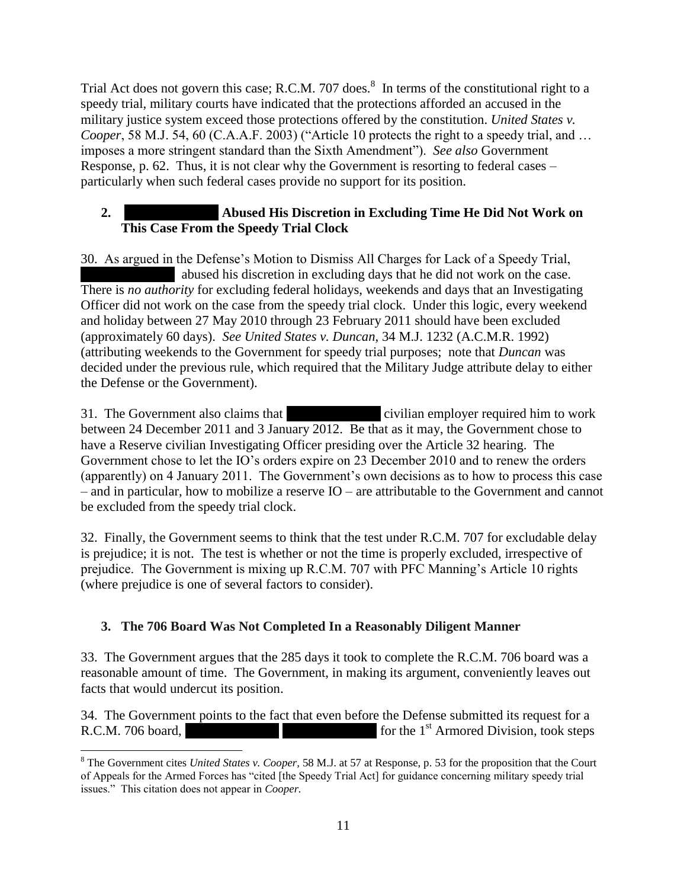Trial Act does not govern this case; R.C.M. 707 does. $\delta$  In terms of the constitutional right to a speedy trial, military courts have indicated that the protections afforded an accused in the military justice system exceed those protections offered by the constitution. *United States v. Cooper*, 58 M.J. 54, 60 (C.A.A.F. 2003) ("Article 10 protects the right to a speedy trial, and … imposes a more stringent standard than the Sixth Amendment"). *See also* Government Response, p. 62. Thus, it is not clear why the Government is resorting to federal cases – particularly when such federal cases provide no support for its position.

## **2. Abused His Discretion in Excluding Time He Did Not Work on This Case From the Speedy Trial Clock**

30. As argued in the Defense's Motion to Dismiss All Charges for Lack of a Speedy Trial, abused his discretion in excluding days that he did not work on the case. There is *no authority* for excluding federal holidays, weekends and days that an Investigating Officer did not work on the case from the speedy trial clock. Under this logic, every weekend and holiday between 27 May 2010 through 23 February 2011 should have been excluded (approximately 60 days). *See United States v. Duncan*, 34 M.J. 1232 (A.C.M.R. 1992) (attributing weekends to the Government for speedy trial purposes; note that *Duncan* was decided under the previous rule, which required that the Military Judge attribute delay to either the Defense or the Government).

31. The Government also claims that **\*\*\*** civilian employer required him to work between 24 December 2011 and 3 January 2012. Be that as it may, the Government chose to have a Reserve civilian Investigating Officer presiding over the Article 32 hearing. The Government chose to let the IO's orders expire on 23 December 2010 and to renew the orders (apparently) on 4 January 2011. The Government's own decisions as to how to process this case – and in particular, how to mobilize a reserve IO – are attributable to the Government and cannot be excluded from the speedy trial clock.

32. Finally, the Government seems to think that the test under R.C.M. 707 for excludable delay is prejudice; it is not. The test is whether or not the time is properly excluded, irrespective of prejudice. The Government is mixing up R.C.M. 707 with PFC Manning's Article 10 rights (where prejudice is one of several factors to consider).

# **3. The 706 Board Was Not Completed In a Reasonably Diligent Manner**

33. The Government argues that the 285 days it took to complete the R.C.M. 706 board was a reasonable amount of time. The Government, in making its argument, conveniently leaves out facts that would undercut its position.

34. The Government points to the fact that even before the Defense submitted its request for a R.C.M. 706 board, **\*\*\* \*\*\* \*\*\* \*\*\* \*\*\*** for the 1<sup>st</sup> Armored Division, took steps

 $\overline{\phantom{a}}$ <sup>8</sup> The Government cites *United States v. Cooper,* 58 M.J. at 57 at Response, p. 53 for the proposition that the Court of Appeals for the Armed Forces has "cited [the Speedy Trial Act] for guidance concerning military speedy trial issues." This citation does not appear in *Cooper.*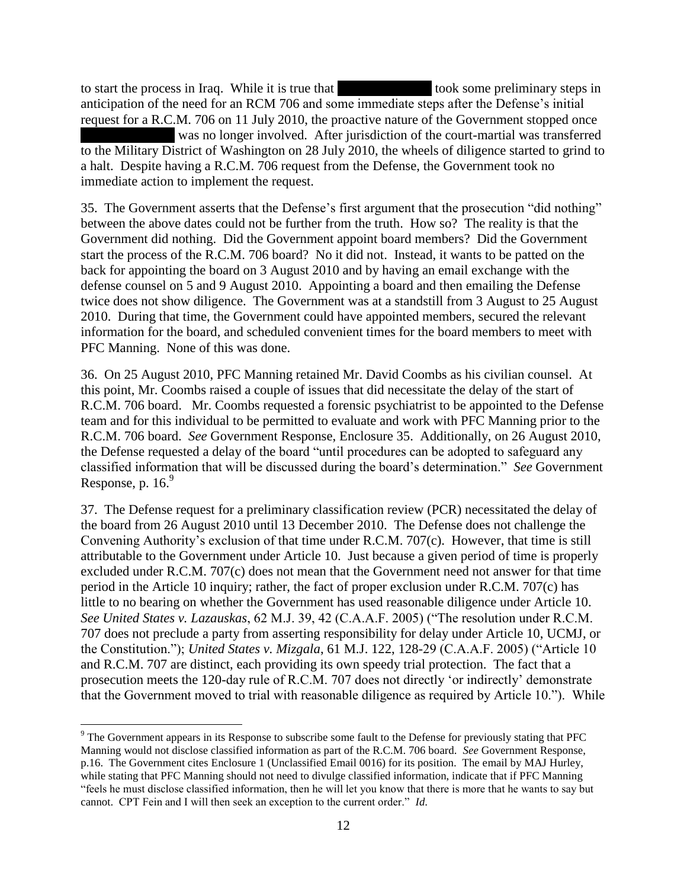to start the process in Iraq. While it is true that **\*\*\*** took some preliminary steps in anticipation of the need for an RCM 706 and some immediate steps after the Defense's initial request for a R.C.M. 706 on 11 July 2010, the proactive nature of the Government stopped once was no longer involved. After jurisdiction of the court-martial was transferred to the Military District of Washington on 28 July 2010, the wheels of diligence started to grind to a halt. Despite having a R.C.M. 706 request from the Defense, the Government took no immediate action to implement the request.

35. The Government asserts that the Defense's first argument that the prosecution "did nothing" between the above dates could not be further from the truth. How so? The reality is that the Government did nothing. Did the Government appoint board members? Did the Government start the process of the R.C.M. 706 board? No it did not. Instead, it wants to be patted on the back for appointing the board on 3 August 2010 and by having an email exchange with the defense counsel on 5 and 9 August 2010. Appointing a board and then emailing the Defense twice does not show diligence. The Government was at a standstill from 3 August to 25 August 2010. During that time, the Government could have appointed members, secured the relevant information for the board, and scheduled convenient times for the board members to meet with PFC Manning. None of this was done.

36. On 25 August 2010, PFC Manning retained Mr. David Coombs as his civilian counsel. At this point, Mr. Coombs raised a couple of issues that did necessitate the delay of the start of R.C.M. 706 board. Mr. Coombs requested a forensic psychiatrist to be appointed to the Defense team and for this individual to be permitted to evaluate and work with PFC Manning prior to the R.C.M. 706 board. *See* Government Response, Enclosure 35. Additionally, on 26 August 2010, the Defense requested a delay of the board "until procedures can be adopted to safeguard any classified information that will be discussed during the board's determination." *See* Government Response, p.  $16<sup>9</sup>$ 

37. The Defense request for a preliminary classification review (PCR) necessitated the delay of the board from 26 August 2010 until 13 December 2010. The Defense does not challenge the Convening Authority's exclusion of that time under R.C.M. 707(c). However, that time is still attributable to the Government under Article 10. Just because a given period of time is properly excluded under R.C.M. 707(c) does not mean that the Government need not answer for that time period in the Article 10 inquiry; rather, the fact of proper exclusion under R.C.M. 707(c) has little to no bearing on whether the Government has used reasonable diligence under Article 10. *See United States v. Lazauskas*, 62 M.J. 39, 42 (C.A.A.F. 2005) ("The resolution under R.C.M. 707 does not preclude a party from asserting responsibility for delay under Article 10, UCMJ, or the Constitution."); *United States v. Mizgala*, 61 M.J. 122, 128-29 (C.A.A.F. 2005) ("Article 10 and R.C.M. 707 are distinct, each providing its own speedy trial protection. The fact that a prosecution meets the 120-day rule of R.C.M. 707 does not directly 'or indirectly' demonstrate that the Government moved to trial with reasonable diligence as required by Article 10."). While

l

<sup>9</sup> The Government appears in its Response to subscribe some fault to the Defense for previously stating that PFC Manning would not disclose classified information as part of the R.C.M. 706 board. *See* Government Response, p.16. The Government cites Enclosure 1 (Unclassified Email 0016) for its position. The email by MAJ Hurley, while stating that PFC Manning should not need to divulge classified information, indicate that if PFC Manning "feels he must disclose classified information, then he will let you know that there is more that he wants to say but cannot. CPT Fein and I will then seek an exception to the current order." *Id*.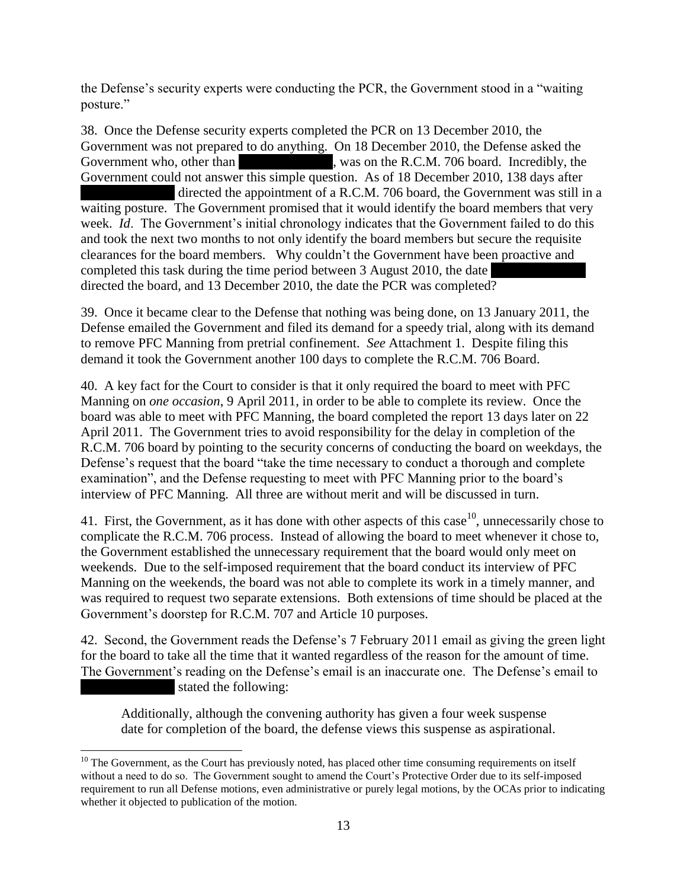the Defense's security experts were conducting the PCR, the Government stood in a "waiting posture."

38. Once the Defense security experts completed the PCR on 13 December 2010, the Government was not prepared to do anything. On 18 December 2010, the Defense asked the Government who, other than **\*\*\*** was on the R.C.M. 706 board. Incredibly, the Government could not answer this simple question. As of 18 December 2010, 138 days after directed the appointment of a R.C.M. 706 board, the Government was still in a waiting posture. The Government promised that it would identify the board members that very week. *Id*. The Government's initial chronology indicates that the Government failed to do this and took the next two months to not only identify the board members but secure the requisite clearances for the board members. Why couldn't the Government have been proactive and completed this task during the time period between 3 August 2010, the date directed the board, and 13 December 2010, the date the PCR was completed?

39. Once it became clear to the Defense that nothing was being done, on 13 January 2011, the Defense emailed the Government and filed its demand for a speedy trial, along with its demand to remove PFC Manning from pretrial confinement. *See* Attachment 1. Despite filing this demand it took the Government another 100 days to complete the R.C.M. 706 Board.

40. A key fact for the Court to consider is that it only required the board to meet with PFC Manning on *one occasion*, 9 April 2011, in order to be able to complete its review. Once the board was able to meet with PFC Manning, the board completed the report 13 days later on 22 April 2011. The Government tries to avoid responsibility for the delay in completion of the R.C.M. 706 board by pointing to the security concerns of conducting the board on weekdays, the Defense's request that the board "take the time necessary to conduct a thorough and complete examination", and the Defense requesting to meet with PFC Manning prior to the board's interview of PFC Manning. All three are without merit and will be discussed in turn.

41. First, the Government, as it has done with other aspects of this case  $10$ , unnecessarily chose to complicate the R.C.M. 706 process. Instead of allowing the board to meet whenever it chose to, the Government established the unnecessary requirement that the board would only meet on weekends. Due to the self-imposed requirement that the board conduct its interview of PFC Manning on the weekends, the board was not able to complete its work in a timely manner, and was required to request two separate extensions. Both extensions of time should be placed at the Government's doorstep for R.C.M. 707 and Article 10 purposes.

42. Second, the Government reads the Defense's 7 February 2011 email as giving the green light for the board to take all the time that it wanted regardless of the reason for the amount of time. The Government's reading on the Defense's email is an inaccurate one. The Defense's email to stated the following:

Additionally, although the convening authority has given a four week suspense date for completion of the board, the defense views this suspense as aspirational.

 $\overline{\phantom{a}}$ 

 $10$  The Government, as the Court has previously noted, has placed other time consuming requirements on itself without a need to do so. The Government sought to amend the Court's Protective Order due to its self-imposed requirement to run all Defense motions, even administrative or purely legal motions, by the OCAs prior to indicating whether it objected to publication of the motion.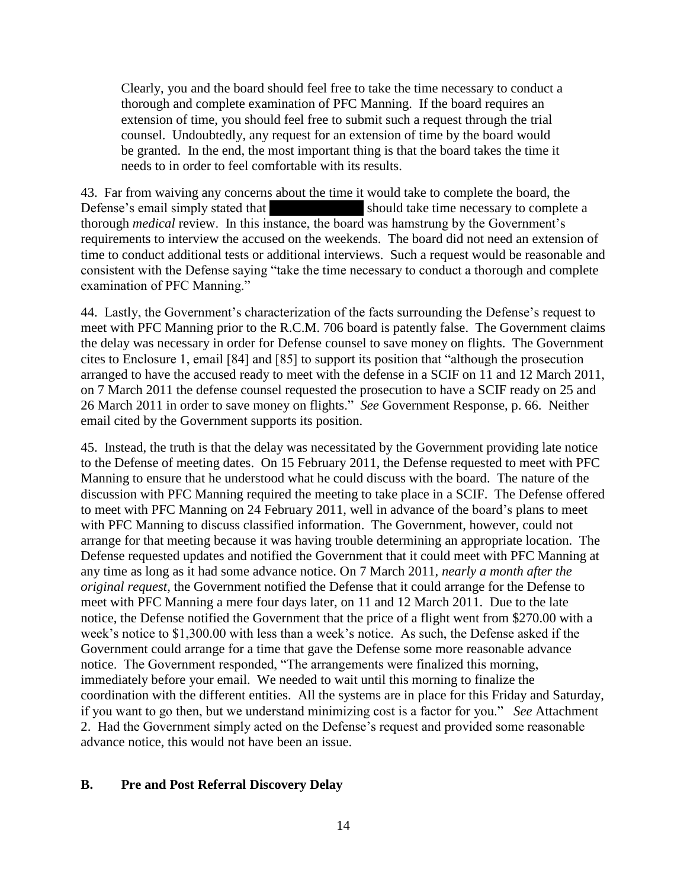Clearly, you and the board should feel free to take the time necessary to conduct a thorough and complete examination of PFC Manning. If the board requires an extension of time, you should feel free to submit such a request through the trial counsel. Undoubtedly, any request for an extension of time by the board would be granted. In the end, the most important thing is that the board takes the time it needs to in order to feel comfortable with its results.

43. Far from waiving any concerns about the time it would take to complete the board, the Defense's email simply stated that **\*\*\*** should take time necessary to complete a thorough *medical* review. In this instance, the board was hamstrung by the Government's requirements to interview the accused on the weekends. The board did not need an extension of time to conduct additional tests or additional interviews. Such a request would be reasonable and consistent with the Defense saying "take the time necessary to conduct a thorough and complete examination of PFC Manning."

44. Lastly, the Government's characterization of the facts surrounding the Defense's request to meet with PFC Manning prior to the R.C.M. 706 board is patently false. The Government claims the delay was necessary in order for Defense counsel to save money on flights. The Government cites to Enclosure 1, email [84] and [85] to support its position that "although the prosecution arranged to have the accused ready to meet with the defense in a SCIF on 11 and 12 March 2011, on 7 March 2011 the defense counsel requested the prosecution to have a SCIF ready on 25 and 26 March 2011 in order to save money on flights." *See* Government Response, p. 66. Neither email cited by the Government supports its position.

45. Instead, the truth is that the delay was necessitated by the Government providing late notice to the Defense of meeting dates. On 15 February 2011, the Defense requested to meet with PFC Manning to ensure that he understood what he could discuss with the board. The nature of the discussion with PFC Manning required the meeting to take place in a SCIF. The Defense offered to meet with PFC Manning on 24 February 2011, well in advance of the board's plans to meet with PFC Manning to discuss classified information. The Government, however, could not arrange for that meeting because it was having trouble determining an appropriate location. The Defense requested updates and notified the Government that it could meet with PFC Manning at any time as long as it had some advance notice. On 7 March 2011, *nearly a month after the original request*, the Government notified the Defense that it could arrange for the Defense to meet with PFC Manning a mere four days later, on 11 and 12 March 2011. Due to the late notice, the Defense notified the Government that the price of a flight went from \$270.00 with a week's notice to \$1,300.00 with less than a week's notice. As such, the Defense asked if the Government could arrange for a time that gave the Defense some more reasonable advance notice. The Government responded, "The arrangements were finalized this morning, immediately before your email. We needed to wait until this morning to finalize the coordination with the different entities. All the systems are in place for this Friday and Saturday, if you want to go then, but we understand minimizing cost is a factor for you." *See* Attachment 2. Had the Government simply acted on the Defense's request and provided some reasonable advance notice, this would not have been an issue.

#### **B. Pre and Post Referral Discovery Delay**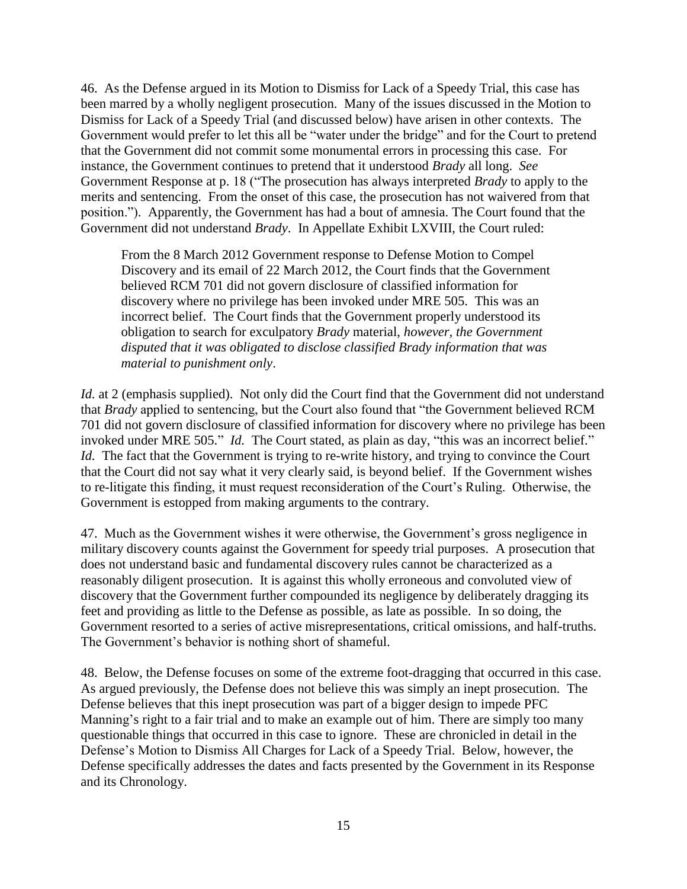46. As the Defense argued in its Motion to Dismiss for Lack of a Speedy Trial, this case has been marred by a wholly negligent prosecution. Many of the issues discussed in the Motion to Dismiss for Lack of a Speedy Trial (and discussed below) have arisen in other contexts. The Government would prefer to let this all be "water under the bridge" and for the Court to pretend that the Government did not commit some monumental errors in processing this case. For instance, the Government continues to pretend that it understood *Brady* all long. *See*  Government Response at p. 18 ("The prosecution has always interpreted *Brady* to apply to the merits and sentencing. From the onset of this case, the prosecution has not waivered from that position."). Apparently, the Government has had a bout of amnesia. The Court found that the Government did not understand *Brady*. In Appellate Exhibit LXVIII, the Court ruled:

From the 8 March 2012 Government response to Defense Motion to Compel Discovery and its email of 22 March 2012, the Court finds that the Government believed RCM 701 did not govern disclosure of classified information for discovery where no privilege has been invoked under MRE 505. This was an incorrect belief. The Court finds that the Government properly understood its obligation to search for exculpatory *Brady* material, *however, the Government disputed that it was obligated to disclose classified Brady information that was material to punishment only*.

*Id.* at 2 (emphasis supplied). Not only did the Court find that the Government did not understand that *Brady* applied to sentencing, but the Court also found that "the Government believed RCM 701 did not govern disclosure of classified information for discovery where no privilege has been invoked under MRE 505." *Id.* The Court stated, as plain as day, "this was an incorrect belief." *Id.* The fact that the Government is trying to re-write history, and trying to convince the Court that the Court did not say what it very clearly said, is beyond belief. If the Government wishes to re-litigate this finding, it must request reconsideration of the Court's Ruling. Otherwise, the Government is estopped from making arguments to the contrary.

47. Much as the Government wishes it were otherwise, the Government's gross negligence in military discovery counts against the Government for speedy trial purposes. A prosecution that does not understand basic and fundamental discovery rules cannot be characterized as a reasonably diligent prosecution. It is against this wholly erroneous and convoluted view of discovery that the Government further compounded its negligence by deliberately dragging its feet and providing as little to the Defense as possible, as late as possible. In so doing, the Government resorted to a series of active misrepresentations, critical omissions, and half-truths. The Government's behavior is nothing short of shameful.

48. Below, the Defense focuses on some of the extreme foot-dragging that occurred in this case. As argued previously, the Defense does not believe this was simply an inept prosecution. The Defense believes that this inept prosecution was part of a bigger design to impede PFC Manning's right to a fair trial and to make an example out of him. There are simply too many questionable things that occurred in this case to ignore. These are chronicled in detail in the Defense's Motion to Dismiss All Charges for Lack of a Speedy Trial. Below, however, the Defense specifically addresses the dates and facts presented by the Government in its Response and its Chronology.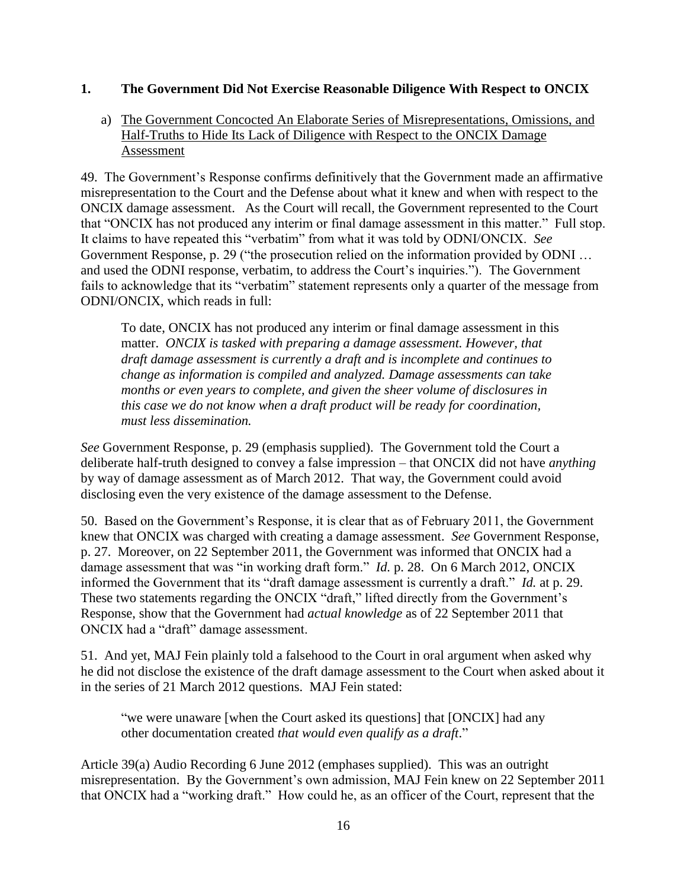#### **1. The Government Did Not Exercise Reasonable Diligence With Respect to ONCIX**

## a) The Government Concocted An Elaborate Series of Misrepresentations, Omissions, and Half-Truths to Hide Its Lack of Diligence with Respect to the ONCIX Damage Assessment

49. The Government's Response confirms definitively that the Government made an affirmative misrepresentation to the Court and the Defense about what it knew and when with respect to the ONCIX damage assessment. As the Court will recall, the Government represented to the Court that "ONCIX has not produced any interim or final damage assessment in this matter." Full stop. It claims to have repeated this "verbatim" from what it was told by ODNI/ONCIX. *See* Government Response, p. 29 ("the prosecution relied on the information provided by ODNI … and used the ODNI response, verbatim, to address the Court's inquiries."). The Government fails to acknowledge that its "verbatim" statement represents only a quarter of the message from ODNI/ONCIX, which reads in full:

To date, ONCIX has not produced any interim or final damage assessment in this matter. *ONCIX is tasked with preparing a damage assessment. However, that draft damage assessment is currently a draft and is incomplete and continues to change as information is compiled and analyzed. Damage assessments can take months or even years to complete, and given the sheer volume of disclosures in this case we do not know when a draft product will be ready for coordination, must less dissemination.*

*See* Government Response, p. 29 (emphasis supplied). The Government told the Court a deliberate half-truth designed to convey a false impression – that ONCIX did not have *anything* by way of damage assessment as of March 2012. That way, the Government could avoid disclosing even the very existence of the damage assessment to the Defense.

50. Based on the Government's Response, it is clear that as of February 2011, the Government knew that ONCIX was charged with creating a damage assessment. *See* Government Response, p. 27. Moreover, on 22 September 2011, the Government was informed that ONCIX had a damage assessment that was "in working draft form." *Id.* p. 28. On 6 March 2012, ONCIX informed the Government that its "draft damage assessment is currently a draft." *Id.* at p. 29. These two statements regarding the ONCIX "draft," lifted directly from the Government's Response, show that the Government had *actual knowledge* as of 22 September 2011 that ONCIX had a "draft" damage assessment.

51. And yet, MAJ Fein plainly told a falsehood to the Court in oral argument when asked why he did not disclose the existence of the draft damage assessment to the Court when asked about it in the series of 21 March 2012 questions. MAJ Fein stated:

"we were unaware [when the Court asked its questions] that [ONCIX] had any other documentation created *that would even qualify as a draft*."

Article 39(a) Audio Recording 6 June 2012 (emphases supplied). This was an outright misrepresentation. By the Government's own admission, MAJ Fein knew on 22 September 2011 that ONCIX had a "working draft." How could he, as an officer of the Court, represent that the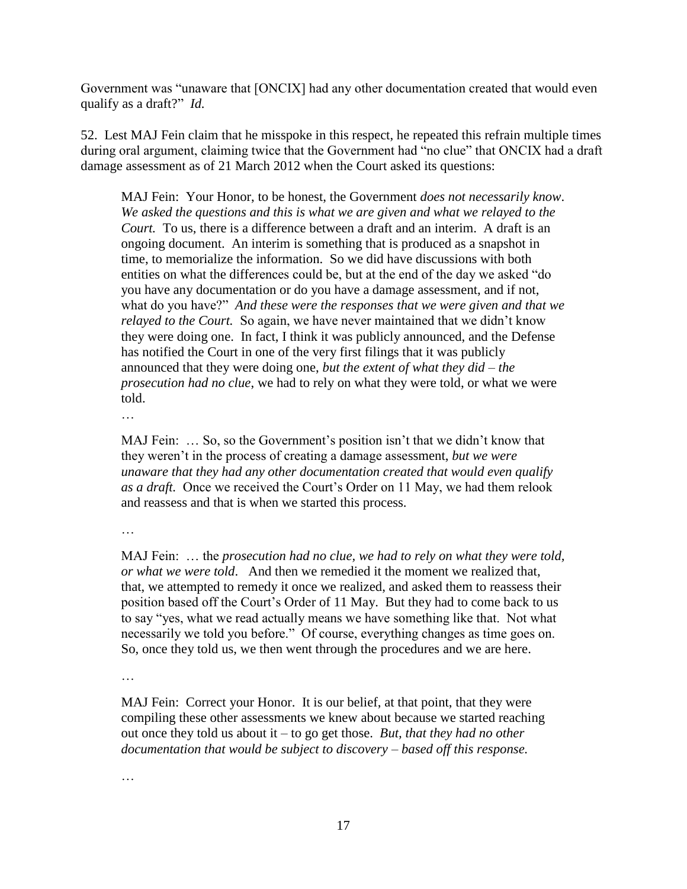Government was "unaware that [ONCIX] had any other documentation created that would even qualify as a draft?" *Id.* 

52. Lest MAJ Fein claim that he misspoke in this respect, he repeated this refrain multiple times during oral argument, claiming twice that the Government had "no clue" that ONCIX had a draft damage assessment as of 21 March 2012 when the Court asked its questions:

MAJ Fein: Your Honor, to be honest, the Government *does not necessarily know*. *We asked the questions and this is what we are given and what we relayed to the Court.* To us, there is a difference between a draft and an interim. A draft is an ongoing document. An interim is something that is produced as a snapshot in time, to memorialize the information. So we did have discussions with both entities on what the differences could be, but at the end of the day we asked "do you have any documentation or do you have a damage assessment, and if not, what do you have?" *And these were the responses that we were given and that we relayed to the Court.* So again, we have never maintained that we didn't know they were doing one. In fact, I think it was publicly announced, and the Defense has notified the Court in one of the very first filings that it was publicly announced that they were doing one, *but the extent of what they did – the prosecution had no clue*, we had to rely on what they were told, or what we were told.

…

MAJ Fein: … So, so the Government's position isn't that we didn't know that they weren't in the process of creating a damage assessment, *but we were unaware that they had any other documentation created that would even qualify as a draft.* Once we received the Court's Order on 11 May, we had them relook and reassess and that is when we started this process.

…

MAJ Fein: … the *prosecution had no clue, we had to rely on what they were told, or what we were told*. And then we remedied it the moment we realized that, that, we attempted to remedy it once we realized, and asked them to reassess their position based off the Court's Order of 11 May. But they had to come back to us to say "yes, what we read actually means we have something like that. Not what necessarily we told you before." Of course, everything changes as time goes on. So, once they told us, we then went through the procedures and we are here.

…

MAJ Fein: Correct your Honor. It is our belief, at that point, that they were compiling these other assessments we knew about because we started reaching out once they told us about it – to go get those. *But, that they had no other documentation that would be subject to discovery – based off this response.*

…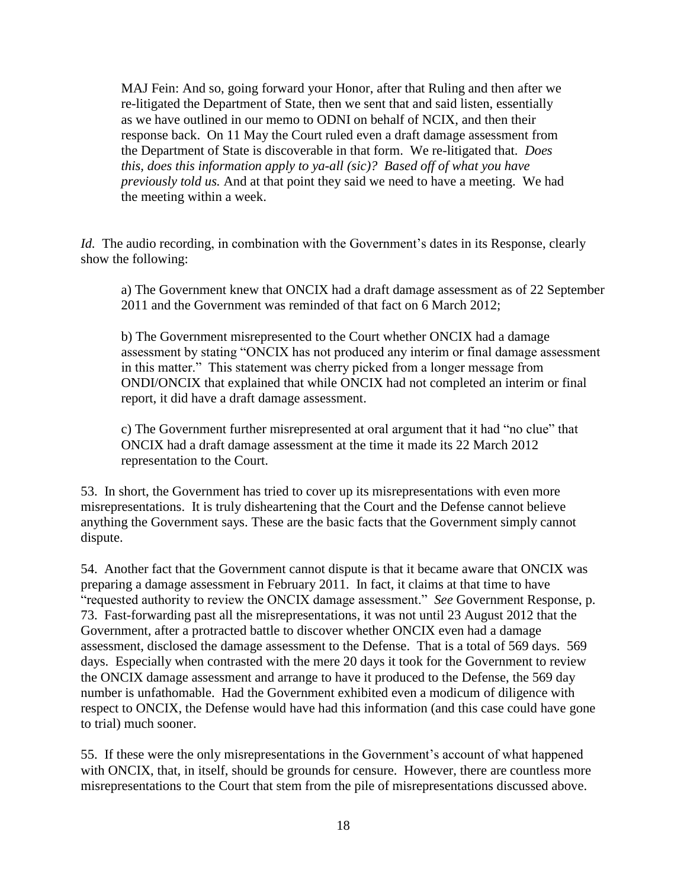MAJ Fein: And so, going forward your Honor, after that Ruling and then after we re-litigated the Department of State, then we sent that and said listen, essentially as we have outlined in our memo to ODNI on behalf of NCIX, and then their response back. On 11 May the Court ruled even a draft damage assessment from the Department of State is discoverable in that form. We re-litigated that. *Does this, does this information apply to ya-all (sic)? Based off of what you have previously told us.* And at that point they said we need to have a meeting. We had the meeting within a week.

*Id.* The audio recording, in combination with the Government's dates in its Response, clearly show the following:

a) The Government knew that ONCIX had a draft damage assessment as of 22 September 2011 and the Government was reminded of that fact on 6 March 2012;

b) The Government misrepresented to the Court whether ONCIX had a damage assessment by stating "ONCIX has not produced any interim or final damage assessment in this matter." This statement was cherry picked from a longer message from ONDI/ONCIX that explained that while ONCIX had not completed an interim or final report, it did have a draft damage assessment.

c) The Government further misrepresented at oral argument that it had "no clue" that ONCIX had a draft damage assessment at the time it made its 22 March 2012 representation to the Court.

53. In short, the Government has tried to cover up its misrepresentations with even more misrepresentations. It is truly disheartening that the Court and the Defense cannot believe anything the Government says. These are the basic facts that the Government simply cannot dispute.

54. Another fact that the Government cannot dispute is that it became aware that ONCIX was preparing a damage assessment in February 2011. In fact, it claims at that time to have "requested authority to review the ONCIX damage assessment." *See* Government Response, p. 73. Fast-forwarding past all the misrepresentations, it was not until 23 August 2012 that the Government, after a protracted battle to discover whether ONCIX even had a damage assessment, disclosed the damage assessment to the Defense. That is a total of 569 days. 569 days. Especially when contrasted with the mere 20 days it took for the Government to review the ONCIX damage assessment and arrange to have it produced to the Defense, the 569 day number is unfathomable. Had the Government exhibited even a modicum of diligence with respect to ONCIX, the Defense would have had this information (and this case could have gone to trial) much sooner.

55. If these were the only misrepresentations in the Government's account of what happened with ONCIX, that, in itself, should be grounds for censure. However, there are countless more misrepresentations to the Court that stem from the pile of misrepresentations discussed above.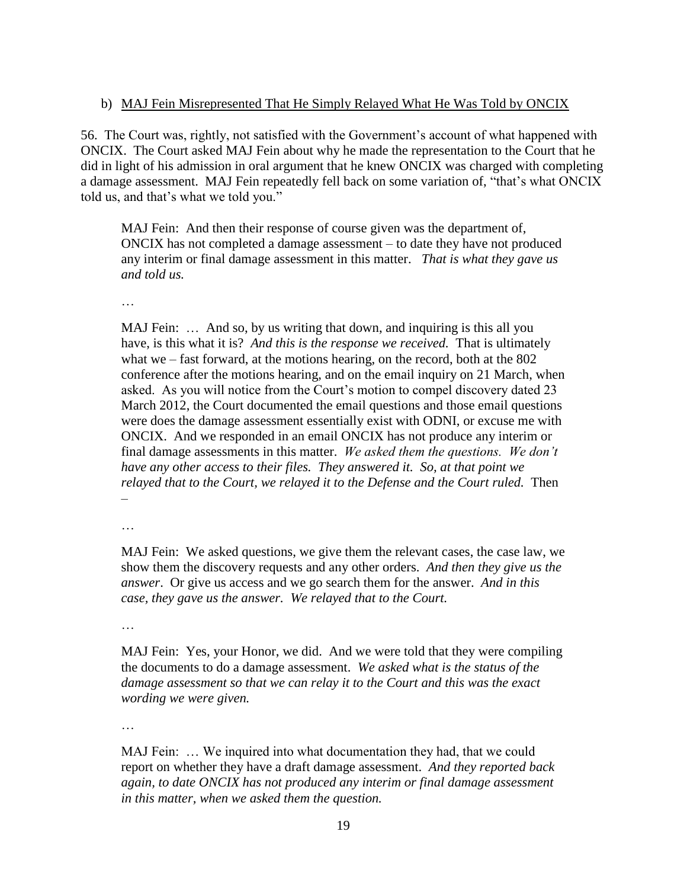#### b) MAJ Fein Misrepresented That He Simply Relayed What He Was Told by ONCIX

56. The Court was, rightly, not satisfied with the Government's account of what happened with ONCIX. The Court asked MAJ Fein about why he made the representation to the Court that he did in light of his admission in oral argument that he knew ONCIX was charged with completing a damage assessment. MAJ Fein repeatedly fell back on some variation of, "that's what ONCIX told us, and that's what we told you."

MAJ Fein: And then their response of course given was the department of, ONCIX has not completed a damage assessment – to date they have not produced any interim or final damage assessment in this matter. *That is what they gave us and told us.*

…

MAJ Fein: ... And so, by us writing that down, and inquiring is this all you have, is this what it is? *And this is the response we received.* That is ultimately what we – fast forward, at the motions hearing, on the record, both at the 802 conference after the motions hearing, and on the email inquiry on 21 March, when asked. As you will notice from the Court's motion to compel discovery dated 23 March 2012, the Court documented the email questions and those email questions were does the damage assessment essentially exist with ODNI, or excuse me with ONCIX. And we responded in an email ONCIX has not produce any interim or final damage assessments in this matter. *We asked them the questions. We don't have any other access to their files. They answered it. So, at that point we relayed that to the Court, we relayed it to the Defense and the Court ruled.* Then –

…

MAJ Fein: We asked questions, we give them the relevant cases, the case law, we show them the discovery requests and any other orders. *And then they give us the answer*. Or give us access and we go search them for the answer. *And in this case, they gave us the answer. We relayed that to the Court.*

…

MAJ Fein: Yes, your Honor, we did. And we were told that they were compiling the documents to do a damage assessment. *We asked what is the status of the damage assessment so that we can relay it to the Court and this was the exact wording we were given.*

…

MAJ Fein: … We inquired into what documentation they had, that we could report on whether they have a draft damage assessment. *And they reported back again, to date ONCIX has not produced any interim or final damage assessment in this matter, when we asked them the question.*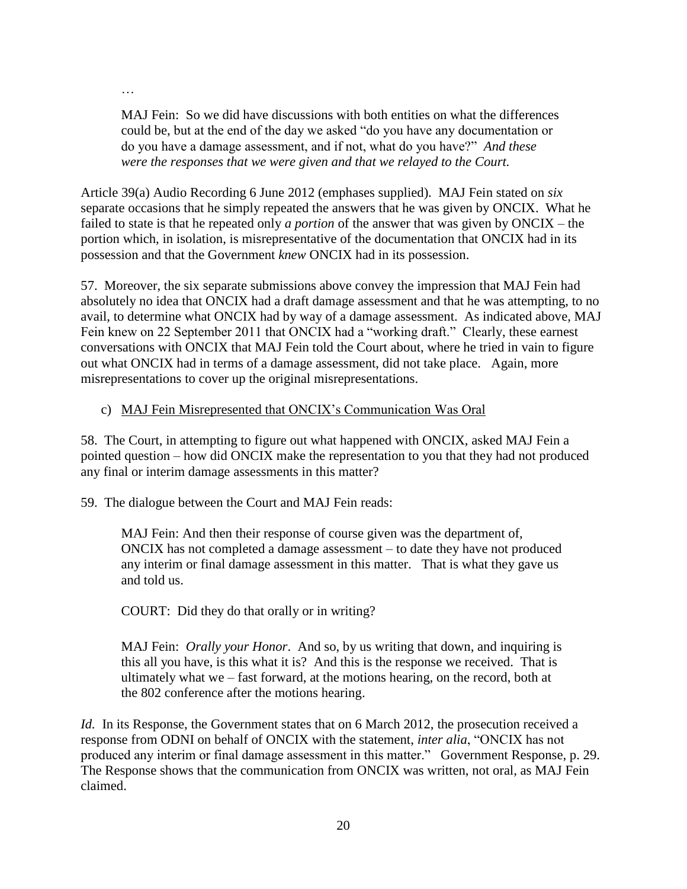MAJ Fein: So we did have discussions with both entities on what the differences could be, but at the end of the day we asked "do you have any documentation or do you have a damage assessment, and if not, what do you have?" *And these were the responses that we were given and that we relayed to the Court.*

Article 39(a) Audio Recording 6 June 2012 (emphases supplied). MAJ Fein stated on *six*  separate occasions that he simply repeated the answers that he was given by ONCIX. What he failed to state is that he repeated only *a portion* of the answer that was given by ONCIX – the portion which, in isolation, is misrepresentative of the documentation that ONCIX had in its possession and that the Government *knew* ONCIX had in its possession.

57. Moreover, the six separate submissions above convey the impression that MAJ Fein had absolutely no idea that ONCIX had a draft damage assessment and that he was attempting, to no avail, to determine what ONCIX had by way of a damage assessment. As indicated above, MAJ Fein knew on 22 September 2011 that ONCIX had a "working draft." Clearly, these earnest conversations with ONCIX that MAJ Fein told the Court about, where he tried in vain to figure out what ONCIX had in terms of a damage assessment, did not take place. Again, more misrepresentations to cover up the original misrepresentations.

#### c) MAJ Fein Misrepresented that ONCIX's Communication Was Oral

58. The Court, in attempting to figure out what happened with ONCIX, asked MAJ Fein a pointed question – how did ONCIX make the representation to you that they had not produced any final or interim damage assessments in this matter?

59. The dialogue between the Court and MAJ Fein reads:

…

MAJ Fein: And then their response of course given was the department of, ONCIX has not completed a damage assessment – to date they have not produced any interim or final damage assessment in this matter. That is what they gave us and told us.

COURT: Did they do that orally or in writing?

MAJ Fein: *Orally your Honor*. And so, by us writing that down, and inquiring is this all you have, is this what it is? And this is the response we received. That is ultimately what we – fast forward, at the motions hearing, on the record, both at the 802 conference after the motions hearing.

*Id.* In its Response, the Government states that on 6 March 2012, the prosecution received a response from ODNI on behalf of ONCIX with the statement, *inter alia*, "ONCIX has not produced any interim or final damage assessment in this matter." Government Response, p. 29. The Response shows that the communication from ONCIX was written, not oral, as MAJ Fein claimed.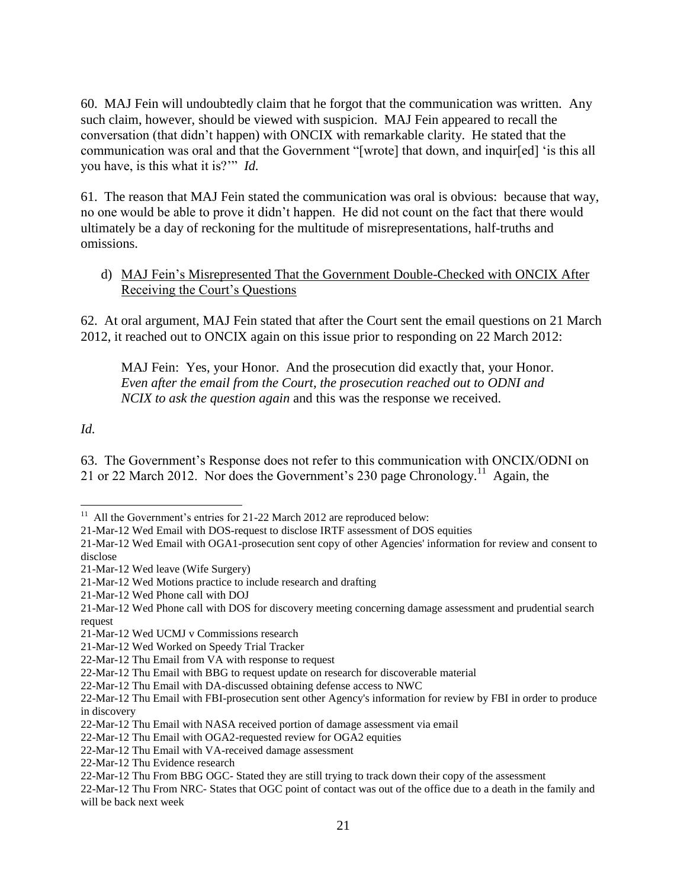60. MAJ Fein will undoubtedly claim that he forgot that the communication was written. Any such claim, however, should be viewed with suspicion. MAJ Fein appeared to recall the conversation (that didn't happen) with ONCIX with remarkable clarity. He stated that the communication was oral and that the Government "[wrote] that down, and inquir[ed] 'is this all you have, is this what it is?'" *Id.* 

61. The reason that MAJ Fein stated the communication was oral is obvious: because that way, no one would be able to prove it didn't happen. He did not count on the fact that there would ultimately be a day of reckoning for the multitude of misrepresentations, half-truths and omissions.

d) MAJ Fein's Misrepresented That the Government Double-Checked with ONCIX After Receiving the Court's Questions

62. At oral argument, MAJ Fein stated that after the Court sent the email questions on 21 March 2012, it reached out to ONCIX again on this issue prior to responding on 22 March 2012:

MAJ Fein: Yes, your Honor. And the prosecution did exactly that, your Honor. *Even after the email from the Court, the prosecution reached out to ODNI and NCIX to ask the question again* and this was the response we received.

*Id.* 

63. The Government's Response does not refer to this communication with ONCIX/ODNI on 21 or 22 March 2012. Nor does the Government's 230 page Chronology.<sup>11</sup> Again, the

<sup>&</sup>lt;sup>11</sup> All the Government's entries for 21-22 March 2012 are reproduced below:

<sup>21-</sup>Mar-12 Wed Email with DOS-request to disclose IRTF assessment of DOS equities

<sup>21-</sup>Mar-12 Wed Email with OGA1-prosecution sent copy of other Agencies' information for review and consent to disclose

<sup>21-</sup>Mar-12 Wed leave (Wife Surgery)

<sup>21-</sup>Mar-12 Wed Motions practice to include research and drafting

<sup>21-</sup>Mar-12 Wed Phone call with DOJ

<sup>21-</sup>Mar-12 Wed Phone call with DOS for discovery meeting concerning damage assessment and prudential search request

<sup>21-</sup>Mar-12 Wed UCMJ v Commissions research

<sup>21-</sup>Mar-12 Wed Worked on Speedy Trial Tracker

<sup>22-</sup>Mar-12 Thu Email from VA with response to request

<sup>22-</sup>Mar-12 Thu Email with BBG to request update on research for discoverable material

<sup>22-</sup>Mar-12 Thu Email with DA-discussed obtaining defense access to NWC

<sup>22-</sup>Mar-12 Thu Email with FBI-prosecution sent other Agency's information for review by FBI in order to produce in discovery

<sup>22-</sup>Mar-12 Thu Email with NASA received portion of damage assessment via email

<sup>22-</sup>Mar-12 Thu Email with OGA2-requested review for OGA2 equities

<sup>22-</sup>Mar-12 Thu Email with VA-received damage assessment

<sup>22-</sup>Mar-12 Thu Evidence research

<sup>22-</sup>Mar-12 Thu From BBG OGC- Stated they are still trying to track down their copy of the assessment

<sup>22-</sup>Mar-12 Thu From NRC- States that OGC point of contact was out of the office due to a death in the family and will be back next week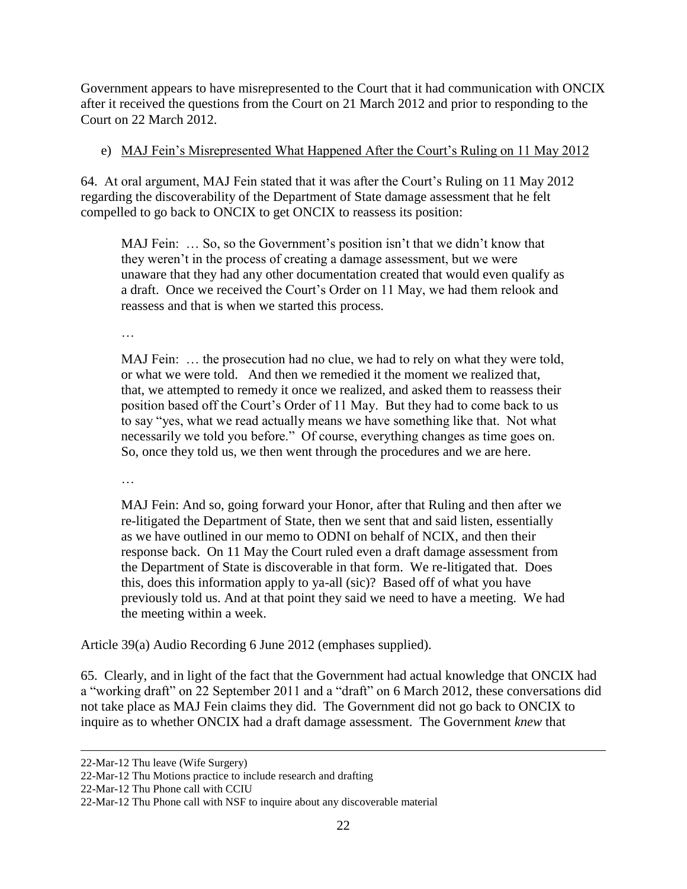Government appears to have misrepresented to the Court that it had communication with ONCIX after it received the questions from the Court on 21 March 2012 and prior to responding to the Court on 22 March 2012.

## e) MAJ Fein's Misrepresented What Happened After the Court's Ruling on 11 May 2012

64. At oral argument, MAJ Fein stated that it was after the Court's Ruling on 11 May 2012 regarding the discoverability of the Department of State damage assessment that he felt compelled to go back to ONCIX to get ONCIX to reassess its position:

MAJ Fein: … So, so the Government's position isn't that we didn't know that they weren't in the process of creating a damage assessment, but we were unaware that they had any other documentation created that would even qualify as a draft. Once we received the Court's Order on 11 May, we had them relook and reassess and that is when we started this process.

…

MAJ Fein: … the prosecution had no clue, we had to rely on what they were told, or what we were told. And then we remedied it the moment we realized that, that, we attempted to remedy it once we realized, and asked them to reassess their position based off the Court's Order of 11 May. But they had to come back to us to say "yes, what we read actually means we have something like that. Not what necessarily we told you before." Of course, everything changes as time goes on. So, once they told us, we then went through the procedures and we are here.

…

MAJ Fein: And so, going forward your Honor, after that Ruling and then after we re-litigated the Department of State, then we sent that and said listen, essentially as we have outlined in our memo to ODNI on behalf of NCIX, and then their response back. On 11 May the Court ruled even a draft damage assessment from the Department of State is discoverable in that form. We re-litigated that. Does this, does this information apply to ya-all (sic)? Based off of what you have previously told us. And at that point they said we need to have a meeting. We had the meeting within a week.

Article 39(a) Audio Recording 6 June 2012 (emphases supplied).

65. Clearly, and in light of the fact that the Government had actual knowledge that ONCIX had a "working draft" on 22 September 2011 and a "draft" on 6 March 2012, these conversations did not take place as MAJ Fein claims they did. The Government did not go back to ONCIX to inquire as to whether ONCIX had a draft damage assessment. The Government *knew* that

 $\overline{\phantom{a}}$ 

<sup>22-</sup>Mar-12 Thu leave (Wife Surgery)

<sup>22-</sup>Mar-12 Thu Motions practice to include research and drafting

<sup>22-</sup>Mar-12 Thu Phone call with CCIU

<sup>22-</sup>Mar-12 Thu Phone call with NSF to inquire about any discoverable material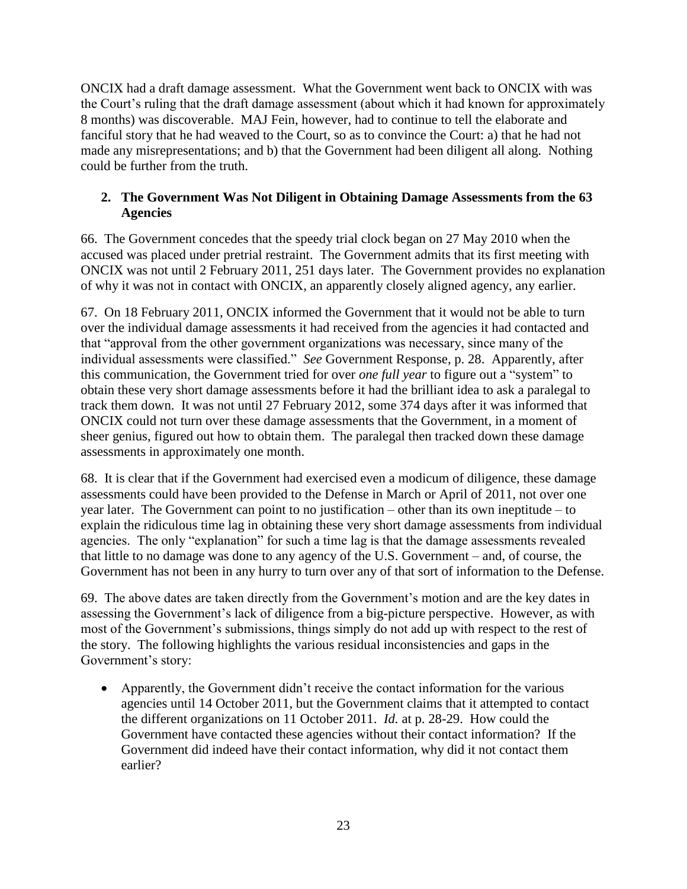ONCIX had a draft damage assessment. What the Government went back to ONCIX with was the Court's ruling that the draft damage assessment (about which it had known for approximately 8 months) was discoverable. MAJ Fein, however, had to continue to tell the elaborate and fanciful story that he had weaved to the Court, so as to convince the Court: a) that he had not made any misrepresentations; and b) that the Government had been diligent all along. Nothing could be further from the truth.

## **2. The Government Was Not Diligent in Obtaining Damage Assessments from the 63 Agencies**

66. The Government concedes that the speedy trial clock began on 27 May 2010 when the accused was placed under pretrial restraint. The Government admits that its first meeting with ONCIX was not until 2 February 2011, 251 days later. The Government provides no explanation of why it was not in contact with ONCIX, an apparently closely aligned agency, any earlier.

67. On 18 February 2011, ONCIX informed the Government that it would not be able to turn over the individual damage assessments it had received from the agencies it had contacted and that "approval from the other government organizations was necessary, since many of the individual assessments were classified." *See* Government Response, p. 28. Apparently, after this communication, the Government tried for over *one full year* to figure out a "system" to obtain these very short damage assessments before it had the brilliant idea to ask a paralegal to track them down. It was not until 27 February 2012, some 374 days after it was informed that ONCIX could not turn over these damage assessments that the Government, in a moment of sheer genius, figured out how to obtain them. The paralegal then tracked down these damage assessments in approximately one month.

68. It is clear that if the Government had exercised even a modicum of diligence, these damage assessments could have been provided to the Defense in March or April of 2011, not over one year later. The Government can point to no justification – other than its own ineptitude – to explain the ridiculous time lag in obtaining these very short damage assessments from individual agencies. The only "explanation" for such a time lag is that the damage assessments revealed that little to no damage was done to any agency of the U.S. Government – and, of course, the Government has not been in any hurry to turn over any of that sort of information to the Defense.

69. The above dates are taken directly from the Government's motion and are the key dates in assessing the Government's lack of diligence from a big-picture perspective. However, as with most of the Government's submissions, things simply do not add up with respect to the rest of the story. The following highlights the various residual inconsistencies and gaps in the Government's story:

 Apparently, the Government didn't receive the contact information for the various agencies until 14 October 2011, but the Government claims that it attempted to contact the different organizations on 11 October 2011. *Id.* at p. 28-29. How could the Government have contacted these agencies without their contact information? If the Government did indeed have their contact information, why did it not contact them earlier?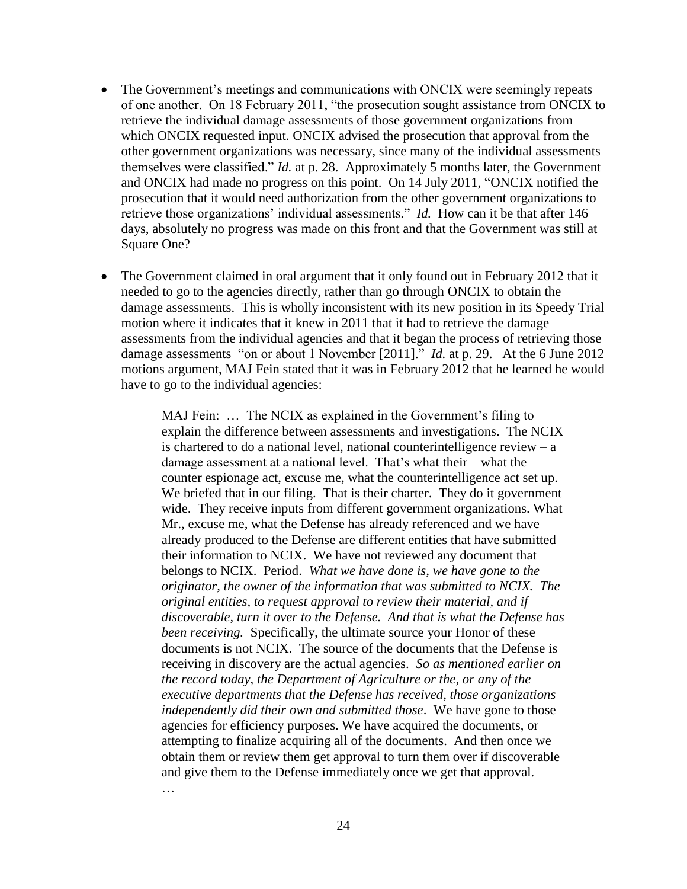- The Government's meetings and communications with ONCIX were seemingly repeats of one another. On 18 February 2011, "the prosecution sought assistance from ONCIX to retrieve the individual damage assessments of those government organizations from which ONCIX requested input. ONCIX advised the prosecution that approval from the other government organizations was necessary, since many of the individual assessments themselves were classified." *Id.* at p. 28. Approximately 5 months later, the Government and ONCIX had made no progress on this point. On 14 July 2011, "ONCIX notified the prosecution that it would need authorization from the other government organizations to retrieve those organizations' individual assessments." *Id.* How can it be that after 146 days, absolutely no progress was made on this front and that the Government was still at Square One?
- The Government claimed in oral argument that it only found out in February 2012 that it needed to go to the agencies directly, rather than go through ONCIX to obtain the damage assessments. This is wholly inconsistent with its new position in its Speedy Trial motion where it indicates that it knew in 2011 that it had to retrieve the damage assessments from the individual agencies and that it began the process of retrieving those damage assessments "on or about 1 November [2011]." *Id.* at p. 29. At the 6 June 2012 motions argument, MAJ Fein stated that it was in February 2012 that he learned he would have to go to the individual agencies:

MAJ Fein: … The NCIX as explained in the Government's filing to explain the difference between assessments and investigations. The NCIX is chartered to do a national level, national counterintelligence review  $- a$ damage assessment at a national level. That's what their – what the counter espionage act, excuse me, what the counterintelligence act set up. We briefed that in our filing. That is their charter. They do it government wide. They receive inputs from different government organizations. What Mr., excuse me, what the Defense has already referenced and we have already produced to the Defense are different entities that have submitted their information to NCIX. We have not reviewed any document that belongs to NCIX. Period. *What we have done is, we have gone to the originator, the owner of the information that was submitted to NCIX. The original entities, to request approval to review their material, and if discoverable, turn it over to the Defense. And that is what the Defense has been receiving.* Specifically, the ultimate source your Honor of these documents is not NCIX. The source of the documents that the Defense is receiving in discovery are the actual agencies. *So as mentioned earlier on the record today, the Department of Agriculture or the, or any of the executive departments that the Defense has received, those organizations independently did their own and submitted those*. We have gone to those agencies for efficiency purposes. We have acquired the documents, or attempting to finalize acquiring all of the documents. And then once we obtain them or review them get approval to turn them over if discoverable and give them to the Defense immediately once we get that approval.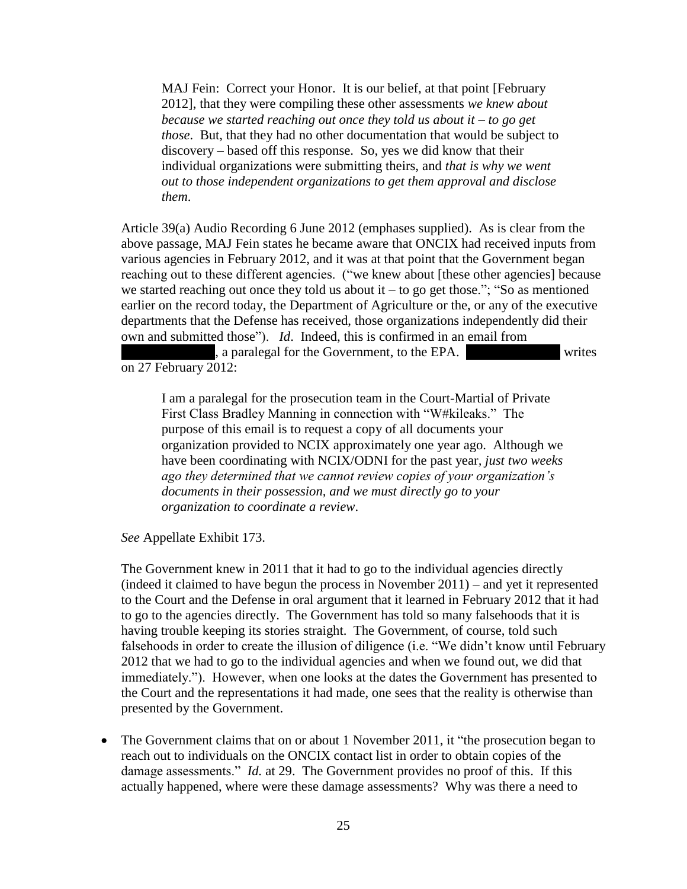MAJ Fein: Correct your Honor. It is our belief, at that point [February 2012], that they were compiling these other assessments *we knew about because we started reaching out once they told us about it – to go get those*. But, that they had no other documentation that would be subject to discovery – based off this response. So, yes we did know that their individual organizations were submitting theirs, and *that is why we went out to those independent organizations to get them approval and disclose them*.

Article 39(a) Audio Recording 6 June 2012 (emphases supplied). As is clear from the above passage, MAJ Fein states he became aware that ONCIX had received inputs from various agencies in February 2012, and it was at that point that the Government began reaching out to these different agencies. ("we knew about [these other agencies] because we started reaching out once they told us about it – to go get those."; "So as mentioned earlier on the record today, the Department of Agriculture or the, or any of the executive departments that the Defense has received, those organizations independently did their own and submitted those"). *Id*. Indeed, this is confirmed in an email from

**\*\*\***, a paralegal for the Government, to the EPA. **\*\*\*** writes on 27 February 2012:

I am a paralegal for the prosecution team in the Court-Martial of Private First Class Bradley Manning in connection with "W#kileaks." The purpose of this email is to request a copy of all documents your organization provided to NCIX approximately one year ago. Although we have been coordinating with NCIX/ODNI for the past year*, just two weeks ago they determined that we cannot review copies of your organization's documents in their possession, and we must directly go to your organization to coordinate a review*.

*See* Appellate Exhibit 173.

The Government knew in 2011 that it had to go to the individual agencies directly (indeed it claimed to have begun the process in November 2011) – and yet it represented to the Court and the Defense in oral argument that it learned in February 2012 that it had to go to the agencies directly. The Government has told so many falsehoods that it is having trouble keeping its stories straight. The Government, of course, told such falsehoods in order to create the illusion of diligence (i.e. "We didn't know until February 2012 that we had to go to the individual agencies and when we found out, we did that immediately."). However, when one looks at the dates the Government has presented to the Court and the representations it had made, one sees that the reality is otherwise than presented by the Government.

 The Government claims that on or about 1 November 2011, it "the prosecution began to reach out to individuals on the ONCIX contact list in order to obtain copies of the damage assessments." *Id.* at 29. The Government provides no proof of this. If this actually happened, where were these damage assessments? Why was there a need to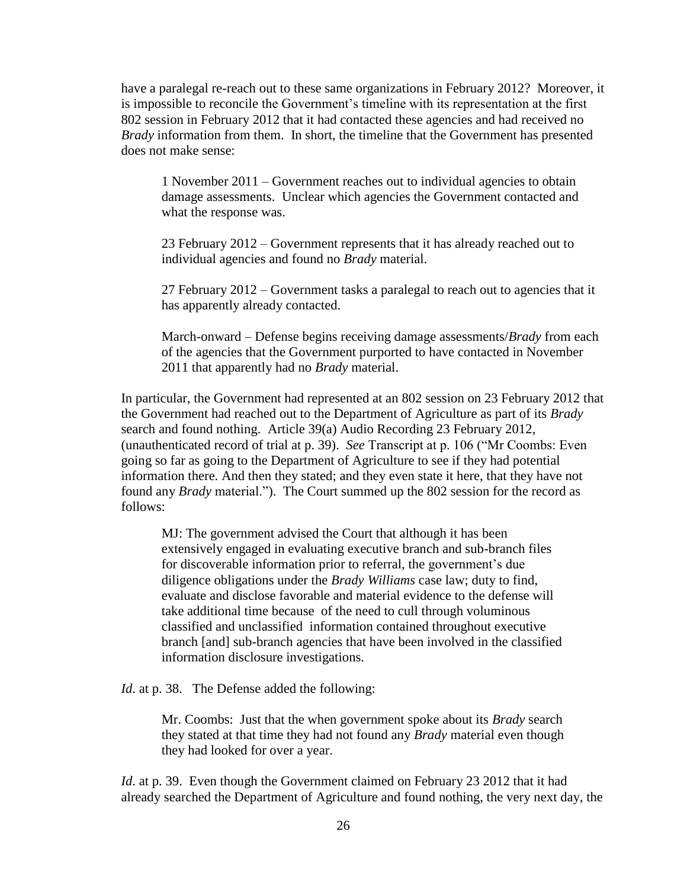have a paralegal re-reach out to these same organizations in February 2012? Moreover, it is impossible to reconcile the Government's timeline with its representation at the first 802 session in February 2012 that it had contacted these agencies and had received no *Brady* information from them. In short, the timeline that the Government has presented does not make sense:

1 November 2011 – Government reaches out to individual agencies to obtain damage assessments. Unclear which agencies the Government contacted and what the response was.

23 February 2012 – Government represents that it has already reached out to individual agencies and found no *Brady* material.

27 February 2012 – Government tasks a paralegal to reach out to agencies that it has apparently already contacted.

March-onward – Defense begins receiving damage assessments/*Brady* from each of the agencies that the Government purported to have contacted in November 2011 that apparently had no *Brady* material.

In particular, the Government had represented at an 802 session on 23 February 2012 that the Government had reached out to the Department of Agriculture as part of its *Brady* search and found nothing. Article 39(a) Audio Recording 23 February 2012, (unauthenticated record of trial at p. 39). *See* Transcript at p. 106 ("Mr Coombs: Even going so far as going to the Department of Agriculture to see if they had potential information there. And then they stated; and they even state it here, that they have not found any *Brady* material."). The Court summed up the 802 session for the record as follows:

MJ: The government advised the Court that although it has been extensively engaged in evaluating executive branch and sub-branch files for discoverable information prior to referral, the government's due diligence obligations under the *Brady Williams* case law; duty to find, evaluate and disclose favorable and material evidence to the defense will take additional time because of the need to cull through voluminous classified and unclassified information contained throughout executive branch [and] sub-branch agencies that have been involved in the classified information disclosure investigations.

*Id.* at p. 38. The Defense added the following:

Mr. Coombs: Just that the when government spoke about its *Brady* search they stated at that time they had not found any *Brady* material even though they had looked for over a year.

*Id.* at p. 39. Even though the Government claimed on February 23 2012 that it had already searched the Department of Agriculture and found nothing, the very next day, the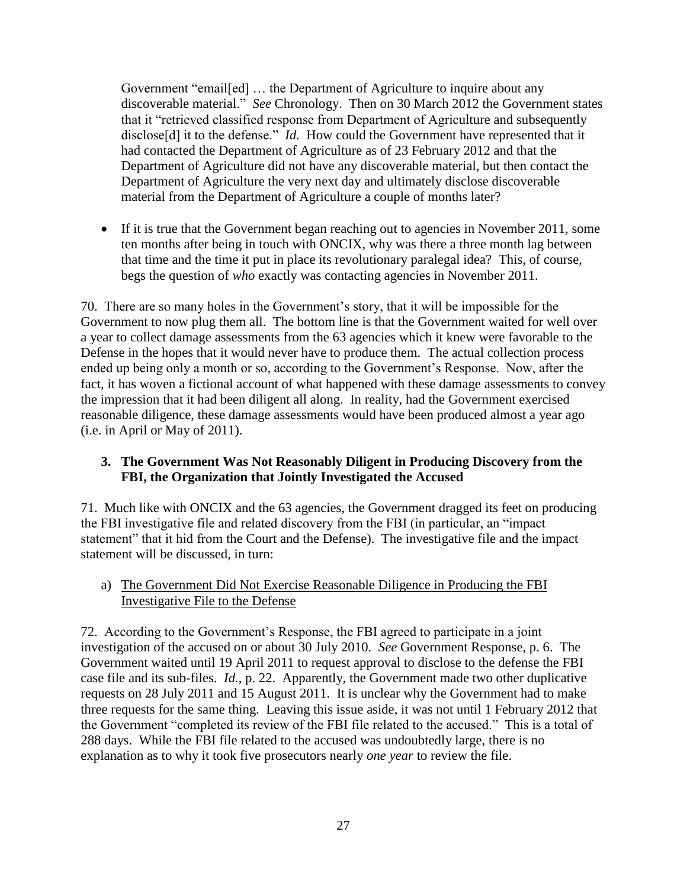Government "email[ed] … the Department of Agriculture to inquire about any discoverable material." *See* Chronology. Then on 30 March 2012 the Government states that it "retrieved classified response from Department of Agriculture and subsequently disclose<sup>[d]</sup> it to the defense." *Id.* How could the Government have represented that it had contacted the Department of Agriculture as of 23 February 2012 and that the Department of Agriculture did not have any discoverable material, but then contact the Department of Agriculture the very next day and ultimately disclose discoverable material from the Department of Agriculture a couple of months later?

 If it is true that the Government began reaching out to agencies in November 2011, some ten months after being in touch with ONCIX, why was there a three month lag between that time and the time it put in place its revolutionary paralegal idea? This, of course, begs the question of *who* exactly was contacting agencies in November 2011.

70. There are so many holes in the Government's story, that it will be impossible for the Government to now plug them all. The bottom line is that the Government waited for well over a year to collect damage assessments from the 63 agencies which it knew were favorable to the Defense in the hopes that it would never have to produce them. The actual collection process ended up being only a month or so, according to the Government's Response. Now, after the fact, it has woven a fictional account of what happened with these damage assessments to convey the impression that it had been diligent all along. In reality, had the Government exercised reasonable diligence, these damage assessments would have been produced almost a year ago (i.e. in April or May of 2011).

#### **3. The Government Was Not Reasonably Diligent in Producing Discovery from the FBI, the Organization that Jointly Investigated the Accused**

71. Much like with ONCIX and the 63 agencies, the Government dragged its feet on producing the FBI investigative file and related discovery from the FBI (in particular, an "impact statement" that it hid from the Court and the Defense). The investigative file and the impact statement will be discussed, in turn:

## a) The Government Did Not Exercise Reasonable Diligence in Producing the FBI Investigative File to the Defense

72. According to the Government's Response, the FBI agreed to participate in a joint investigation of the accused on or about 30 July 2010. *See* Government Response, p. 6. The Government waited until 19 April 2011 to request approval to disclose to the defense the FBI case file and its sub-files. *Id.*, p. 22. Apparently, the Government made two other duplicative requests on 28 July 2011 and 15 August 2011. It is unclear why the Government had to make three requests for the same thing. Leaving this issue aside, it was not until 1 February 2012 that the Government "completed its review of the FBI file related to the accused." This is a total of 288 days. While the FBI file related to the accused was undoubtedly large, there is no explanation as to why it took five prosecutors nearly *one year* to review the file.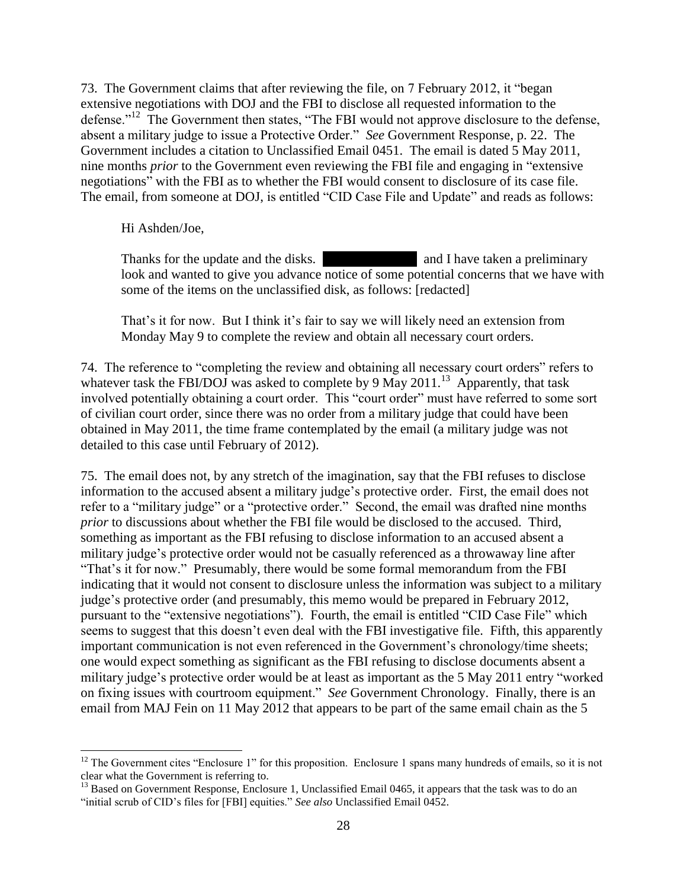73. The Government claims that after reviewing the file, on 7 February 2012, it "began extensive negotiations with DOJ and the FBI to disclose all requested information to the defense."<sup>12</sup> The Government then states, "The FBI would not approve disclosure to the defense, absent a military judge to issue a Protective Order." *See* Government Response, p. 22. The Government includes a citation to Unclassified Email 0451. The email is dated 5 May 2011, nine months *prior* to the Government even reviewing the FBI file and engaging in "extensive negotiations" with the FBI as to whether the FBI would consent to disclosure of its case file. The email, from someone at DOJ, is entitled "CID Case File and Update" and reads as follows:

Hi Ashden/Joe,

 $\overline{\phantom{a}}$ 

Thanks for the update and the disks. **Thanks** and I have taken a preliminary look and wanted to give you advance notice of some potential concerns that we have with some of the items on the unclassified disk, as follows: [redacted]

That's it for now. But I think it's fair to say we will likely need an extension from Monday May 9 to complete the review and obtain all necessary court orders.

74. The reference to "completing the review and obtaining all necessary court orders" refers to whatever task the FBI/DOJ was asked to complete by 9 May 2011.<sup>13</sup> Apparently, that task involved potentially obtaining a court order. This "court order" must have referred to some sort of civilian court order, since there was no order from a military judge that could have been obtained in May 2011, the time frame contemplated by the email (a military judge was not detailed to this case until February of 2012).

75. The email does not, by any stretch of the imagination, say that the FBI refuses to disclose information to the accused absent a military judge's protective order. First, the email does not refer to a "military judge" or a "protective order." Second, the email was drafted nine months *prior* to discussions about whether the FBI file would be disclosed to the accused. Third, something as important as the FBI refusing to disclose information to an accused absent a military judge's protective order would not be casually referenced as a throwaway line after "That's it for now." Presumably, there would be some formal memorandum from the FBI indicating that it would not consent to disclosure unless the information was subject to a military judge's protective order (and presumably, this memo would be prepared in February 2012, pursuant to the "extensive negotiations"). Fourth, the email is entitled "CID Case File" which seems to suggest that this doesn't even deal with the FBI investigative file. Fifth, this apparently important communication is not even referenced in the Government's chronology/time sheets; one would expect something as significant as the FBI refusing to disclose documents absent a military judge's protective order would be at least as important as the 5 May 2011 entry "worked on fixing issues with courtroom equipment." *See* Government Chronology. Finally, there is an email from MAJ Fein on 11 May 2012 that appears to be part of the same email chain as the 5

 $12$  The Government cites "Enclosure 1" for this proposition. Enclosure 1 spans many hundreds of emails, so it is not clear what the Government is referring to.

<sup>&</sup>lt;sup>13</sup> Based on Government Response, Enclosure 1, Unclassified Email 0465, it appears that the task was to do an "initial scrub of CID's files for [FBI] equities." *See also* Unclassified Email 0452.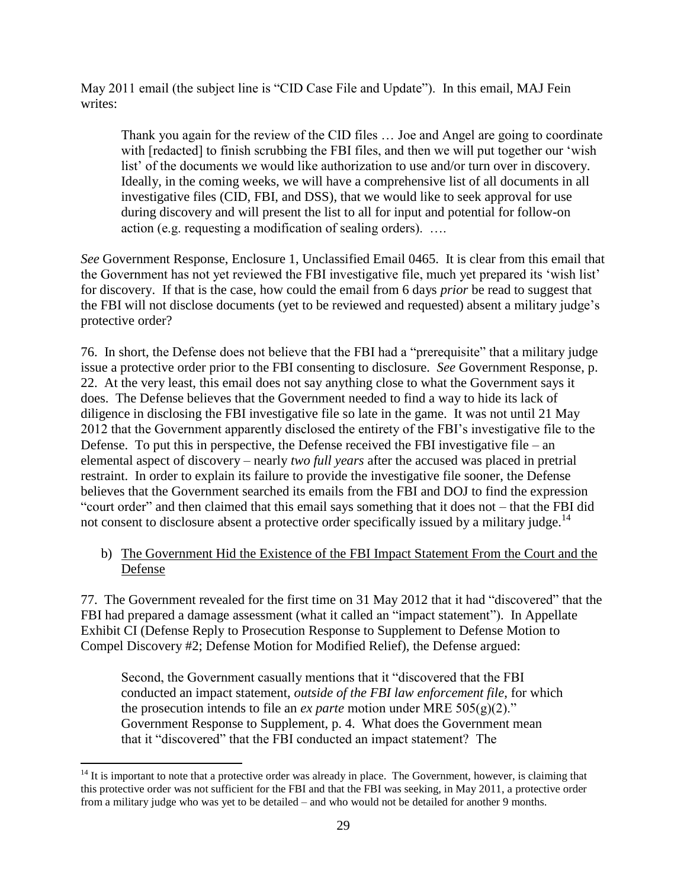May 2011 email (the subject line is "CID Case File and Update"). In this email, MAJ Fein writes:

Thank you again for the review of the CID files … Joe and Angel are going to coordinate with [redacted] to finish scrubbing the FBI files, and then we will put together our 'wish list' of the documents we would like authorization to use and/or turn over in discovery. Ideally, in the coming weeks, we will have a comprehensive list of all documents in all investigative files (CID, FBI, and DSS), that we would like to seek approval for use during discovery and will present the list to all for input and potential for follow-on action (e.g. requesting a modification of sealing orders). ….

*See* Government Response, Enclosure 1, Unclassified Email 0465. It is clear from this email that the Government has not yet reviewed the FBI investigative file, much yet prepared its 'wish list' for discovery. If that is the case, how could the email from 6 days *prior* be read to suggest that the FBI will not disclose documents (yet to be reviewed and requested) absent a military judge's protective order?

76. In short, the Defense does not believe that the FBI had a "prerequisite" that a military judge issue a protective order prior to the FBI consenting to disclosure. *See* Government Response, p. 22. At the very least, this email does not say anything close to what the Government says it does. The Defense believes that the Government needed to find a way to hide its lack of diligence in disclosing the FBI investigative file so late in the game. It was not until 21 May 2012 that the Government apparently disclosed the entirety of the FBI's investigative file to the Defense. To put this in perspective, the Defense received the FBI investigative file – an elemental aspect of discovery – nearly *two full years* after the accused was placed in pretrial restraint. In order to explain its failure to provide the investigative file sooner, the Defense believes that the Government searched its emails from the FBI and DOJ to find the expression "court order" and then claimed that this email says something that it does not – that the FBI did not consent to disclosure absent a protective order specifically issued by a military judge.<sup>14</sup>

# b) The Government Hid the Existence of the FBI Impact Statement From the Court and the Defense

77. The Government revealed for the first time on 31 May 2012 that it had "discovered" that the FBI had prepared a damage assessment (what it called an "impact statement"). In Appellate Exhibit CI (Defense Reply to Prosecution Response to Supplement to Defense Motion to Compel Discovery #2; Defense Motion for Modified Relief), the Defense argued:

Second, the Government casually mentions that it "discovered that the FBI conducted an impact statement, *outside of the FBI law enforcement file*, for which the prosecution intends to file an *ex parte* motion under MRE  $505(g)(2)$ ." Government Response to Supplement, p. 4. What does the Government mean that it "discovered" that the FBI conducted an impact statement? The

 $\overline{\phantom{a}}$  $14$  It is important to note that a protective order was already in place. The Government, however, is claiming that this protective order was not sufficient for the FBI and that the FBI was seeking, in May 2011, a protective order from a military judge who was yet to be detailed – and who would not be detailed for another 9 months.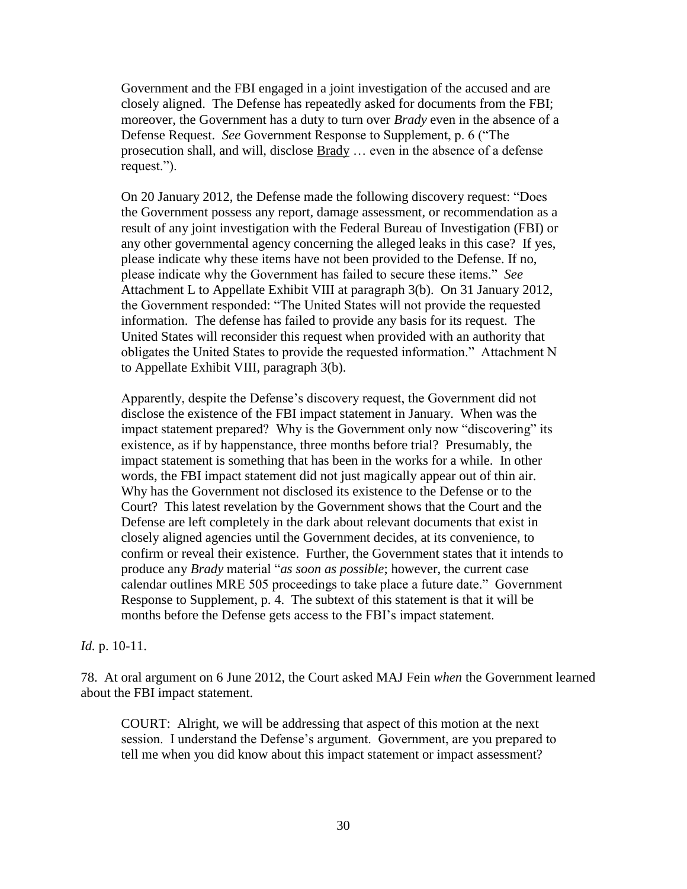Government and the FBI engaged in a joint investigation of the accused and are closely aligned. The Defense has repeatedly asked for documents from the FBI; moreover, the Government has a duty to turn over *Brady* even in the absence of a Defense Request. *See* Government Response to Supplement, p. 6 ("The prosecution shall, and will, disclose Brady … even in the absence of a defense request.").

On 20 January 2012, the Defense made the following discovery request: "Does the Government possess any report, damage assessment, or recommendation as a result of any joint investigation with the Federal Bureau of Investigation (FBI) or any other governmental agency concerning the alleged leaks in this case? If yes, please indicate why these items have not been provided to the Defense. If no, please indicate why the Government has failed to secure these items." *See*  Attachment L to Appellate Exhibit VIII at paragraph 3(b). On 31 January 2012, the Government responded: "The United States will not provide the requested information. The defense has failed to provide any basis for its request. The United States will reconsider this request when provided with an authority that obligates the United States to provide the requested information." Attachment N to Appellate Exhibit VIII, paragraph 3(b).

Apparently, despite the Defense's discovery request, the Government did not disclose the existence of the FBI impact statement in January. When was the impact statement prepared? Why is the Government only now "discovering" its existence, as if by happenstance, three months before trial? Presumably, the impact statement is something that has been in the works for a while. In other words, the FBI impact statement did not just magically appear out of thin air. Why has the Government not disclosed its existence to the Defense or to the Court? This latest revelation by the Government shows that the Court and the Defense are left completely in the dark about relevant documents that exist in closely aligned agencies until the Government decides, at its convenience, to confirm or reveal their existence. Further, the Government states that it intends to produce any *Brady* material "*as soon as possible*; however, the current case calendar outlines MRE 505 proceedings to take place a future date." Government Response to Supplement, p. 4. The subtext of this statement is that it will be months before the Defense gets access to the FBI's impact statement.

#### *Id.* p. 10-11.

78. At oral argument on 6 June 2012, the Court asked MAJ Fein *when* the Government learned about the FBI impact statement.

COURT: Alright, we will be addressing that aspect of this motion at the next session. I understand the Defense's argument. Government, are you prepared to tell me when you did know about this impact statement or impact assessment?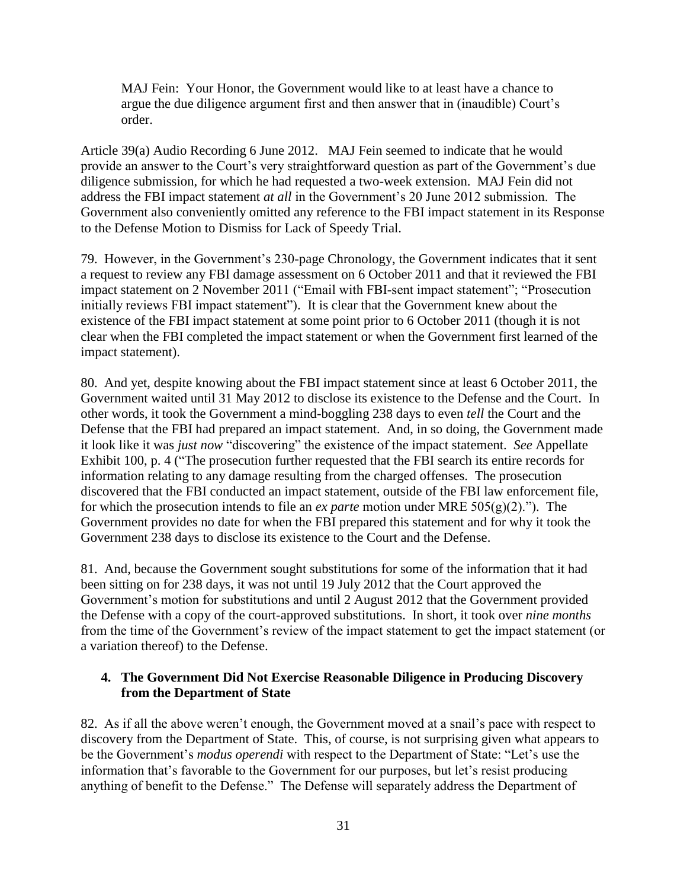MAJ Fein: Your Honor, the Government would like to at least have a chance to argue the due diligence argument first and then answer that in (inaudible) Court's order.

Article 39(a) Audio Recording 6 June 2012. MAJ Fein seemed to indicate that he would provide an answer to the Court's very straightforward question as part of the Government's due diligence submission, for which he had requested a two-week extension. MAJ Fein did not address the FBI impact statement *at all* in the Government's 20 June 2012 submission. The Government also conveniently omitted any reference to the FBI impact statement in its Response to the Defense Motion to Dismiss for Lack of Speedy Trial.

79. However, in the Government's 230-page Chronology, the Government indicates that it sent a request to review any FBI damage assessment on 6 October 2011 and that it reviewed the FBI impact statement on 2 November 2011 ("Email with FBI-sent impact statement"; "Prosecution initially reviews FBI impact statement"). It is clear that the Government knew about the existence of the FBI impact statement at some point prior to 6 October 2011 (though it is not clear when the FBI completed the impact statement or when the Government first learned of the impact statement).

80. And yet, despite knowing about the FBI impact statement since at least 6 October 2011, the Government waited until 31 May 2012 to disclose its existence to the Defense and the Court. In other words, it took the Government a mind-boggling 238 days to even *tell* the Court and the Defense that the FBI had prepared an impact statement. And, in so doing, the Government made it look like it was *just now* "discovering" the existence of the impact statement. *See* Appellate Exhibit 100, p. 4 ("The prosecution further requested that the FBI search its entire records for information relating to any damage resulting from the charged offenses. The prosecution discovered that the FBI conducted an impact statement, outside of the FBI law enforcement file, for which the prosecution intends to file an *ex parte* motion under MRE 505(g)(2)."). The Government provides no date for when the FBI prepared this statement and for why it took the Government 238 days to disclose its existence to the Court and the Defense.

81. And, because the Government sought substitutions for some of the information that it had been sitting on for 238 days, it was not until 19 July 2012 that the Court approved the Government's motion for substitutions and until 2 August 2012 that the Government provided the Defense with a copy of the court-approved substitutions. In short, it took over *nine months* from the time of the Government's review of the impact statement to get the impact statement (or a variation thereof) to the Defense.

## **4. The Government Did Not Exercise Reasonable Diligence in Producing Discovery from the Department of State**

82. As if all the above weren't enough, the Government moved at a snail's pace with respect to discovery from the Department of State. This, of course, is not surprising given what appears to be the Government's *modus operendi* with respect to the Department of State: "Let's use the information that's favorable to the Government for our purposes, but let's resist producing anything of benefit to the Defense." The Defense will separately address the Department of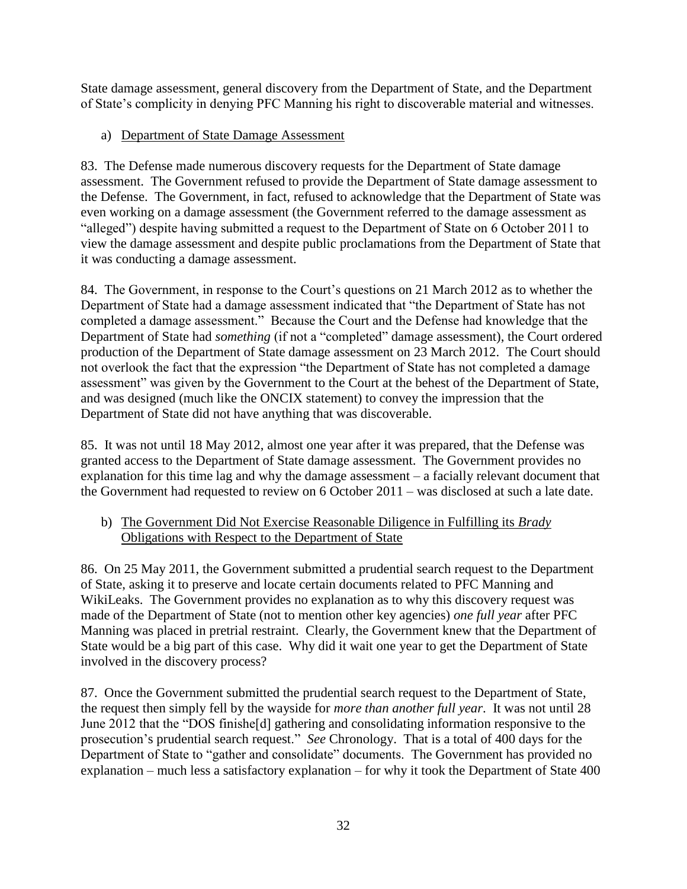State damage assessment, general discovery from the Department of State, and the Department of State's complicity in denying PFC Manning his right to discoverable material and witnesses.

# a) Department of State Damage Assessment

83. The Defense made numerous discovery requests for the Department of State damage assessment. The Government refused to provide the Department of State damage assessment to the Defense. The Government, in fact, refused to acknowledge that the Department of State was even working on a damage assessment (the Government referred to the damage assessment as "alleged") despite having submitted a request to the Department of State on 6 October 2011 to view the damage assessment and despite public proclamations from the Department of State that it was conducting a damage assessment.

84. The Government, in response to the Court's questions on 21 March 2012 as to whether the Department of State had a damage assessment indicated that "the Department of State has not completed a damage assessment." Because the Court and the Defense had knowledge that the Department of State had *something* (if not a "completed" damage assessment), the Court ordered production of the Department of State damage assessment on 23 March 2012. The Court should not overlook the fact that the expression "the Department of State has not completed a damage assessment" was given by the Government to the Court at the behest of the Department of State, and was designed (much like the ONCIX statement) to convey the impression that the Department of State did not have anything that was discoverable.

85. It was not until 18 May 2012, almost one year after it was prepared, that the Defense was granted access to the Department of State damage assessment. The Government provides no explanation for this time lag and why the damage assessment – a facially relevant document that the Government had requested to review on 6 October 2011 – was disclosed at such a late date.

# b) The Government Did Not Exercise Reasonable Diligence in Fulfilling its *Brady* Obligations with Respect to the Department of State

86. On 25 May 2011, the Government submitted a prudential search request to the Department of State, asking it to preserve and locate certain documents related to PFC Manning and WikiLeaks. The Government provides no explanation as to why this discovery request was made of the Department of State (not to mention other key agencies) *one full year* after PFC Manning was placed in pretrial restraint. Clearly, the Government knew that the Department of State would be a big part of this case. Why did it wait one year to get the Department of State involved in the discovery process?

87. Once the Government submitted the prudential search request to the Department of State, the request then simply fell by the wayside for *more than another full year*. It was not until 28 June 2012 that the "DOS finishe[d] gathering and consolidating information responsive to the prosecution's prudential search request." *See* Chronology. That is a total of 400 days for the Department of State to "gather and consolidate" documents. The Government has provided no explanation – much less a satisfactory explanation – for why it took the Department of State 400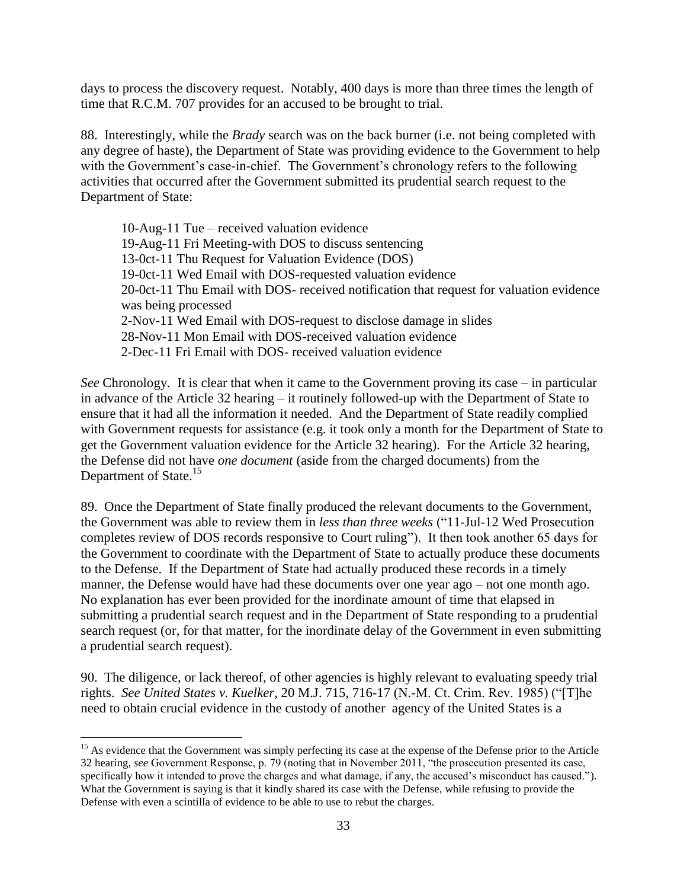days to process the discovery request. Notably, 400 days is more than three times the length of time that R.C.M. 707 provides for an accused to be brought to trial.

88. Interestingly, while the *Brady* search was on the back burner (i.e. not being completed with any degree of haste), the Department of State was providing evidence to the Government to help with the Government's case-in-chief. The Government's chronology refers to the following activities that occurred after the Government submitted its prudential search request to the Department of State:

10-Aug-11 Tue – received valuation evidence 19-Aug-11 Fri Meeting-with DOS to discuss sentencing 13-0ct-11 Thu Request for Valuation Evidence (DOS) 19-0ct-11 Wed Email with DOS-requested valuation evidence 20-0ct-11 Thu Email with DOS- received notification that request for valuation evidence was being processed 2-Nov-11 Wed Email with DOS-request to disclose damage in slides 28-Nov-11 Mon Email with DOS-received valuation evidence 2-Dec-11 Fri Email with DOS- received valuation evidence

*See* Chronology. It is clear that when it came to the Government proving its case – in particular in advance of the Article 32 hearing – it routinely followed-up with the Department of State to ensure that it had all the information it needed. And the Department of State readily complied with Government requests for assistance (e.g. it took only a month for the Department of State to get the Government valuation evidence for the Article 32 hearing). For the Article 32 hearing, the Defense did not have *one document* (aside from the charged documents) from the Department of State.<sup>15</sup>

89. Once the Department of State finally produced the relevant documents to the Government, the Government was able to review them in *less than three weeks* ("11-Jul-12 Wed Prosecution completes review of DOS records responsive to Court ruling"). It then took another 65 days for the Government to coordinate with the Department of State to actually produce these documents to the Defense. If the Department of State had actually produced these records in a timely manner, the Defense would have had these documents over one year ago – not one month ago. No explanation has ever been provided for the inordinate amount of time that elapsed in submitting a prudential search request and in the Department of State responding to a prudential search request (or, for that matter, for the inordinate delay of the Government in even submitting a prudential search request).

90. The diligence, or lack thereof, of other agencies is highly relevant to evaluating speedy trial rights. *See United States v. Kuelker*, 20 M.J. 715, 716-17 (N.-M. Ct. Crim. Rev. 1985) ("[T]he need to obtain crucial evidence in the custody of another agency of the United States is a

 $\overline{a}$ 

<sup>&</sup>lt;sup>15</sup> As evidence that the Government was simply perfecting its case at the expense of the Defense prior to the Article 32 hearing, *see* Government Response, p. 79 (noting that in November 2011, "the prosecution presented its case, specifically how it intended to prove the charges and what damage, if any, the accused's misconduct has caused."). What the Government is saying is that it kindly shared its case with the Defense, while refusing to provide the Defense with even a scintilla of evidence to be able to use to rebut the charges.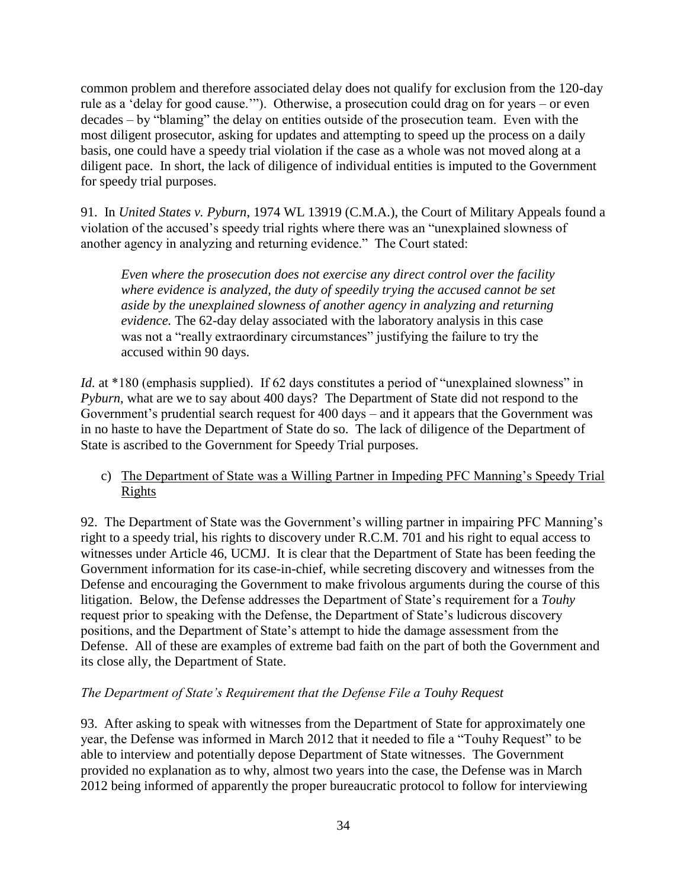common problem and therefore associated delay does not qualify for exclusion from the 120-day rule as a 'delay for good cause.'"). Otherwise, a prosecution could drag on for years – or even decades – by "blaming" the delay on entities outside of the prosecution team. Even with the most diligent prosecutor, asking for updates and attempting to speed up the process on a daily basis, one could have a speedy trial violation if the case as a whole was not moved along at a diligent pace. In short, the lack of diligence of individual entities is imputed to the Government for speedy trial purposes.

91. In *United States v. Pyburn*, 1974 WL 13919 (C.M.A.), the Court of Military Appeals found a violation of the accused's speedy trial rights where there was an "unexplained slowness of another agency in analyzing and returning evidence." The Court stated:

*Even where the prosecution does not exercise any direct control over the facility where evidence is analyzed, the duty of speedily trying the accused cannot be set aside by the unexplained slowness of another agency in analyzing and returning evidence.* The 62-day delay associated with the laboratory analysis in this case was not a "really extraordinary circumstances" justifying the failure to try the accused within 90 days.

*Id.* at \*180 (emphasis supplied). If 62 days constitutes a period of "unexplained slowness" in *Pyburn*, what are we to say about 400 days? The Department of State did not respond to the Government's prudential search request for 400 days – and it appears that the Government was in no haste to have the Department of State do so. The lack of diligence of the Department of State is ascribed to the Government for Speedy Trial purposes.

c) The Department of State was a Willing Partner in Impeding PFC Manning's Speedy Trial Rights

92. The Department of State was the Government's willing partner in impairing PFC Manning's right to a speedy trial, his rights to discovery under R.C.M. 701 and his right to equal access to witnesses under Article 46, UCMJ. It is clear that the Department of State has been feeding the Government information for its case-in-chief, while secreting discovery and witnesses from the Defense and encouraging the Government to make frivolous arguments during the course of this litigation. Below, the Defense addresses the Department of State's requirement for a *Touhy*  request prior to speaking with the Defense, the Department of State's ludicrous discovery positions, and the Department of State's attempt to hide the damage assessment from the Defense. All of these are examples of extreme bad faith on the part of both the Government and its close ally, the Department of State.

## *The Department of State's Requirement that the Defense File a Touhy Request*

93. After asking to speak with witnesses from the Department of State for approximately one year, the Defense was informed in March 2012 that it needed to file a "Touhy Request" to be able to interview and potentially depose Department of State witnesses. The Government provided no explanation as to why, almost two years into the case, the Defense was in March 2012 being informed of apparently the proper bureaucratic protocol to follow for interviewing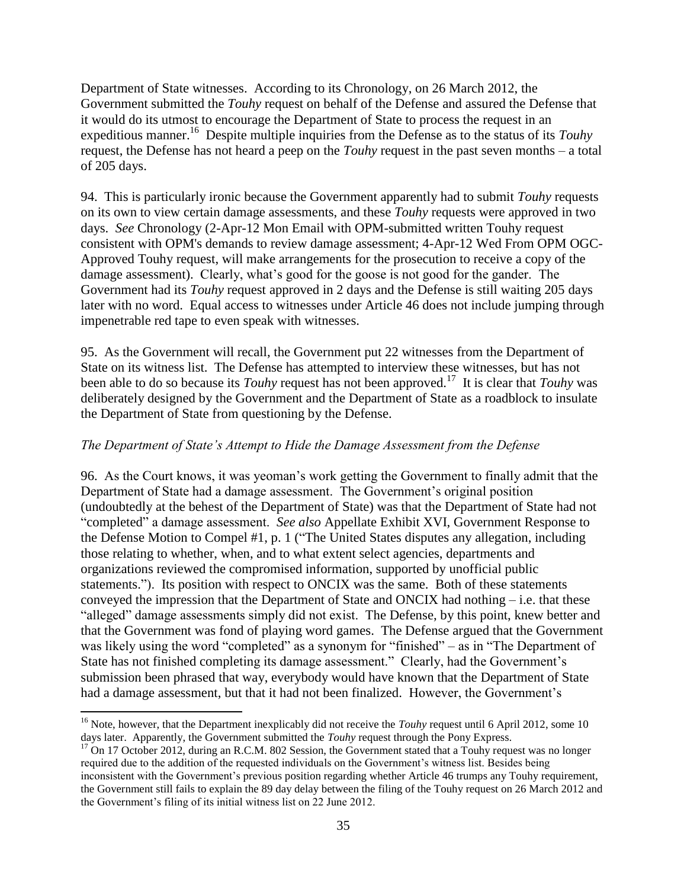Department of State witnesses. According to its Chronology, on 26 March 2012, the Government submitted the *Touhy* request on behalf of the Defense and assured the Defense that it would do its utmost to encourage the Department of State to process the request in an expeditious manner.<sup>16</sup> Despite multiple inquiries from the Defense as to the status of its *Touhy* request, the Defense has not heard a peep on the *Touhy* request in the past seven months – a total of 205 days.

94. This is particularly ironic because the Government apparently had to submit *Touhy* requests on its own to view certain damage assessments, and these *Touhy* requests were approved in two days. *See* Chronology (2-Apr-12 Mon Email with OPM-submitted written Touhy request consistent with OPM's demands to review damage assessment; 4-Apr-12 Wed From OPM OGC-Approved Touhy request, will make arrangements for the prosecution to receive a copy of the damage assessment). Clearly, what's good for the goose is not good for the gander. The Government had its *Touhy* request approved in 2 days and the Defense is still waiting 205 days later with no word. Equal access to witnesses under Article 46 does not include jumping through impenetrable red tape to even speak with witnesses.

95. As the Government will recall, the Government put 22 witnesses from the Department of State on its witness list. The Defense has attempted to interview these witnesses, but has not been able to do so because its *Touhy* request has not been approved.<sup>17</sup> It is clear that *Touhy* was deliberately designed by the Government and the Department of State as a roadblock to insulate the Department of State from questioning by the Defense.

### *The Department of State's Attempt to Hide the Damage Assessment from the Defense*

96. As the Court knows, it was yeoman's work getting the Government to finally admit that the Department of State had a damage assessment. The Government's original position (undoubtedly at the behest of the Department of State) was that the Department of State had not "completed" a damage assessment. *See also* Appellate Exhibit XVI, Government Response to the Defense Motion to Compel #1, p. 1 ("The United States disputes any allegation, including those relating to whether, when, and to what extent select agencies, departments and organizations reviewed the compromised information, supported by unofficial public statements."). Its position with respect to ONCIX was the same. Both of these statements conveyed the impression that the Department of State and ONCIX had nothing – i.e. that these "alleged" damage assessments simply did not exist. The Defense, by this point, knew better and that the Government was fond of playing word games. The Defense argued that the Government was likely using the word "completed" as a synonym for "finished" – as in "The Department of State has not finished completing its damage assessment." Clearly, had the Government's submission been phrased that way, everybody would have known that the Department of State had a damage assessment, but that it had not been finalized. However, the Government's

 $\overline{\phantom{a}}$ 

<sup>&</sup>lt;sup>16</sup> Note, however, that the Department inexplicably did not receive the *Touhy* request until 6 April 2012, some 10 days later. Apparently, the Government submitted the *Touhy* request through the Pony Express.

<sup>&</sup>lt;sup>17</sup> On 17 October 2012, during an R.C.M. 802 Session, the Government stated that a Touhy request was no longer required due to the addition of the requested individuals on the Government's witness list. Besides being inconsistent with the Government's previous position regarding whether Article 46 trumps any Touhy requirement, the Government still fails to explain the 89 day delay between the filing of the Touhy request on 26 March 2012 and the Government's filing of its initial witness list on 22 June 2012.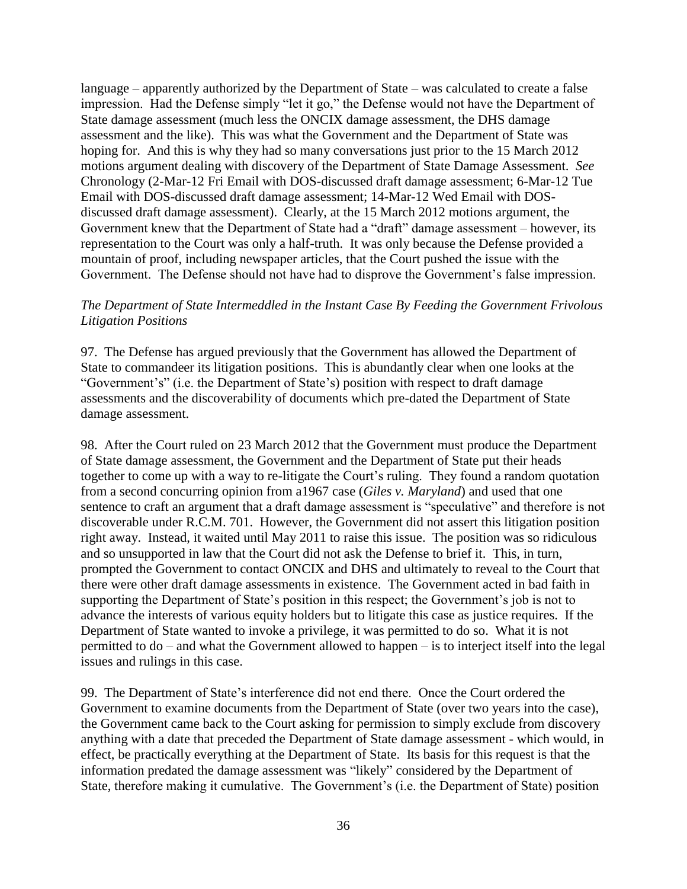language – apparently authorized by the Department of State – was calculated to create a false impression. Had the Defense simply "let it go," the Defense would not have the Department of State damage assessment (much less the ONCIX damage assessment, the DHS damage assessment and the like). This was what the Government and the Department of State was hoping for. And this is why they had so many conversations just prior to the 15 March 2012 motions argument dealing with discovery of the Department of State Damage Assessment. *See*  Chronology (2-Mar-12 Fri Email with DOS-discussed draft damage assessment; 6-Mar-12 Tue Email with DOS-discussed draft damage assessment; 14-Mar-12 Wed Email with DOSdiscussed draft damage assessment). Clearly, at the 15 March 2012 motions argument, the Government knew that the Department of State had a "draft" damage assessment – however, its representation to the Court was only a half-truth. It was only because the Defense provided a mountain of proof, including newspaper articles, that the Court pushed the issue with the Government. The Defense should not have had to disprove the Government's false impression.

#### *The Department of State Intermeddled in the Instant Case By Feeding the Government Frivolous Litigation Positions*

97. The Defense has argued previously that the Government has allowed the Department of State to commandeer its litigation positions. This is abundantly clear when one looks at the "Government's" (i.e. the Department of State's) position with respect to draft damage assessments and the discoverability of documents which pre-dated the Department of State damage assessment.

98. After the Court ruled on 23 March 2012 that the Government must produce the Department of State damage assessment, the Government and the Department of State put their heads together to come up with a way to re-litigate the Court's ruling. They found a random quotation from a second concurring opinion from a1967 case (*Giles v. Maryland*) and used that one sentence to craft an argument that a draft damage assessment is "speculative" and therefore is not discoverable under R.C.M. 701. However, the Government did not assert this litigation position right away. Instead, it waited until May 2011 to raise this issue. The position was so ridiculous and so unsupported in law that the Court did not ask the Defense to brief it. This, in turn, prompted the Government to contact ONCIX and DHS and ultimately to reveal to the Court that there were other draft damage assessments in existence. The Government acted in bad faith in supporting the Department of State's position in this respect; the Government's job is not to advance the interests of various equity holders but to litigate this case as justice requires. If the Department of State wanted to invoke a privilege, it was permitted to do so. What it is not permitted to do – and what the Government allowed to happen – is to interject itself into the legal issues and rulings in this case.

99. The Department of State's interference did not end there. Once the Court ordered the Government to examine documents from the Department of State (over two years into the case), the Government came back to the Court asking for permission to simply exclude from discovery anything with a date that preceded the Department of State damage assessment - which would, in effect, be practically everything at the Department of State. Its basis for this request is that the information predated the damage assessment was "likely" considered by the Department of State, therefore making it cumulative. The Government's (i.e. the Department of State) position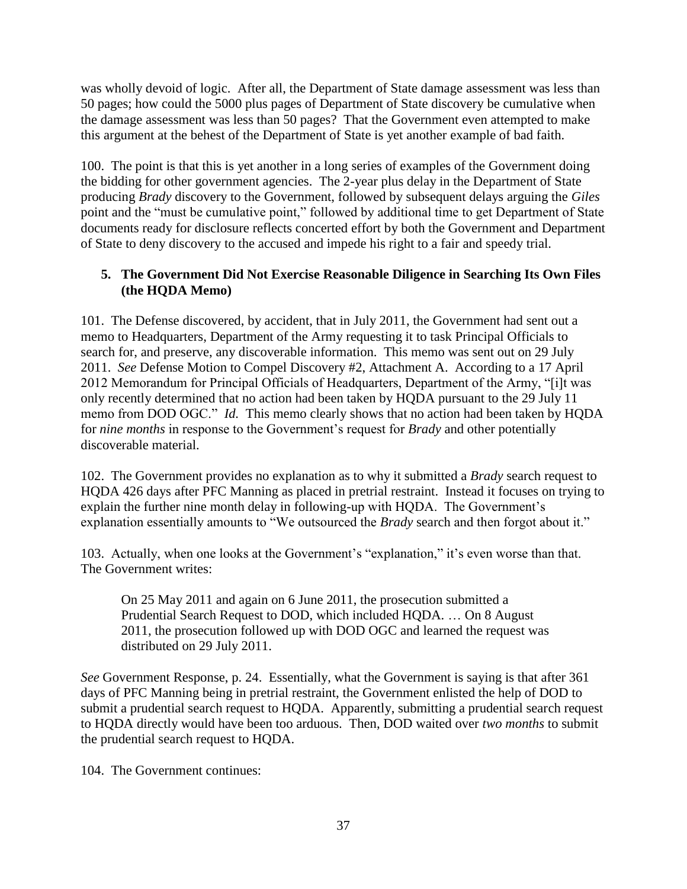was wholly devoid of logic. After all, the Department of State damage assessment was less than 50 pages; how could the 5000 plus pages of Department of State discovery be cumulative when the damage assessment was less than 50 pages? That the Government even attempted to make this argument at the behest of the Department of State is yet another example of bad faith.

100. The point is that this is yet another in a long series of examples of the Government doing the bidding for other government agencies. The 2-year plus delay in the Department of State producing *Brady* discovery to the Government, followed by subsequent delays arguing the *Giles*  point and the "must be cumulative point," followed by additional time to get Department of State documents ready for disclosure reflects concerted effort by both the Government and Department of State to deny discovery to the accused and impede his right to a fair and speedy trial.

## **5. The Government Did Not Exercise Reasonable Diligence in Searching Its Own Files (the HQDA Memo)**

101. The Defense discovered, by accident, that in July 2011, the Government had sent out a memo to Headquarters, Department of the Army requesting it to task Principal Officials to search for, and preserve, any discoverable information. This memo was sent out on 29 July 2011. *See* Defense Motion to Compel Discovery #2, Attachment A. According to a 17 April 2012 Memorandum for Principal Officials of Headquarters, Department of the Army, "[i]t was only recently determined that no action had been taken by HQDA pursuant to the 29 July 11 memo from DOD OGC." *Id.* This memo clearly shows that no action had been taken by HQDA for *nine months* in response to the Government's request for *Brady* and other potentially discoverable material.

102. The Government provides no explanation as to why it submitted a *Brady* search request to HQDA 426 days after PFC Manning as placed in pretrial restraint. Instead it focuses on trying to explain the further nine month delay in following-up with HQDA. The Government's explanation essentially amounts to "We outsourced the *Brady* search and then forgot about it."

103. Actually, when one looks at the Government's "explanation," it's even worse than that. The Government writes:

On 25 May 2011 and again on 6 June 2011, the prosecution submitted a Prudential Search Request to DOD, which included HQDA. … On 8 August 2011, the prosecution followed up with DOD OGC and learned the request was distributed on 29 July 2011.

*See* Government Response, p. 24. Essentially, what the Government is saying is that after 361 days of PFC Manning being in pretrial restraint, the Government enlisted the help of DOD to submit a prudential search request to HQDA. Apparently, submitting a prudential search request to HQDA directly would have been too arduous. Then, DOD waited over *two months* to submit the prudential search request to HQDA.

104. The Government continues: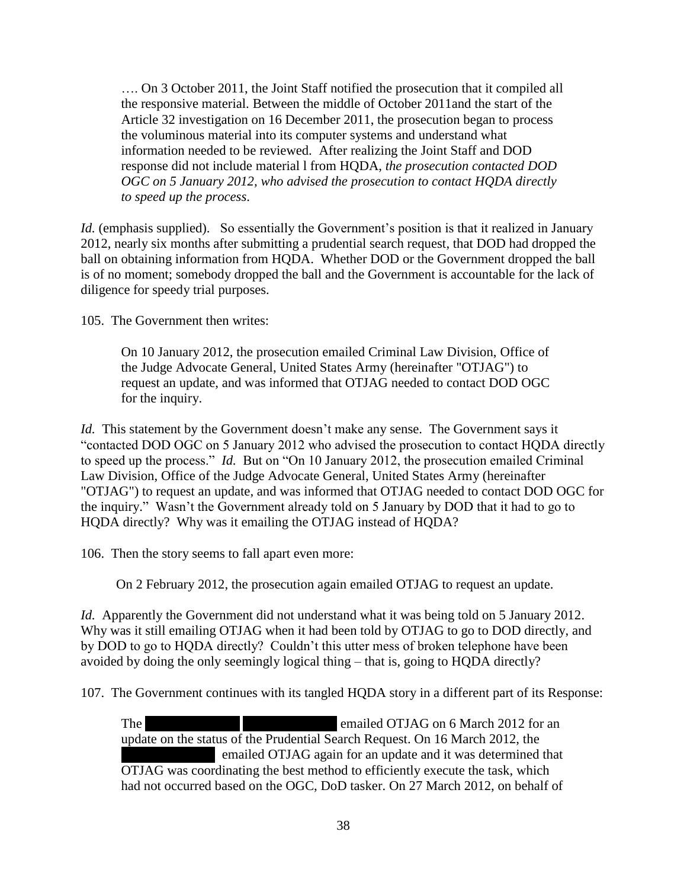…. On 3 October 2011, the Joint Staff notified the prosecution that it compiled all the responsive material. Between the middle of October 2011and the start of the Article 32 investigation on 16 December 2011, the prosecution began to process the voluminous material into its computer systems and understand what information needed to be reviewed. After realizing the Joint Staff and DOD response did not include material l from HQDA, *the prosecution contacted DOD OGC on 5 January 2012, who advised the prosecution to contact HQDA directly to speed up the process*.

*Id.* (emphasis supplied). So essentially the Government's position is that it realized in January 2012, nearly six months after submitting a prudential search request, that DOD had dropped the ball on obtaining information from HQDA. Whether DOD or the Government dropped the ball is of no moment; somebody dropped the ball and the Government is accountable for the lack of diligence for speedy trial purposes.

105. The Government then writes:

On 10 January 2012, the prosecution emailed Criminal Law Division, Office of the Judge Advocate General, United States Army (hereinafter "OTJAG") to request an update, and was informed that OTJAG needed to contact DOD OGC for the inquiry.

*Id.* This statement by the Government doesn't make any sense. The Government says it "contacted DOD OGC on 5 January 2012 who advised the prosecution to contact HQDA directly to speed up the process." *Id.* But on "On 10 January 2012, the prosecution emailed Criminal Law Division, Office of the Judge Advocate General, United States Army (hereinafter "OTJAG") to request an update, and was informed that OTJAG needed to contact DOD OGC for the inquiry." Wasn't the Government already told on 5 January by DOD that it had to go to HQDA directly? Why was it emailing the OTJAG instead of HQDA?

106. Then the story seems to fall apart even more:

On 2 February 2012, the prosecution again emailed OTJAG to request an update.

*Id.* Apparently the Government did not understand what it was being told on 5 January 2012. Why was it still emailing OTJAG when it had been told by OTJAG to go to DOD directly, and by DOD to go to HQDA directly? Couldn't this utter mess of broken telephone have been avoided by doing the only seemingly logical thing – that is, going to HQDA directly?

107. The Government continues with its tangled HQDA story in a different part of its Response:

The **the state of the state of the state of the state of the state of the state of the state of the state of the state of the state of the state of the state of the state of the state of the state of the state of the state** update on the status of the Prudential Search Request. On 16 March 2012, the **k** emailed OTJAG again for an update and it was determined that OTJAG was coordinating the best method to efficiently execute the task, which had not occurred based on the OGC, DoD tasker. On 27 March 2012, on behalf of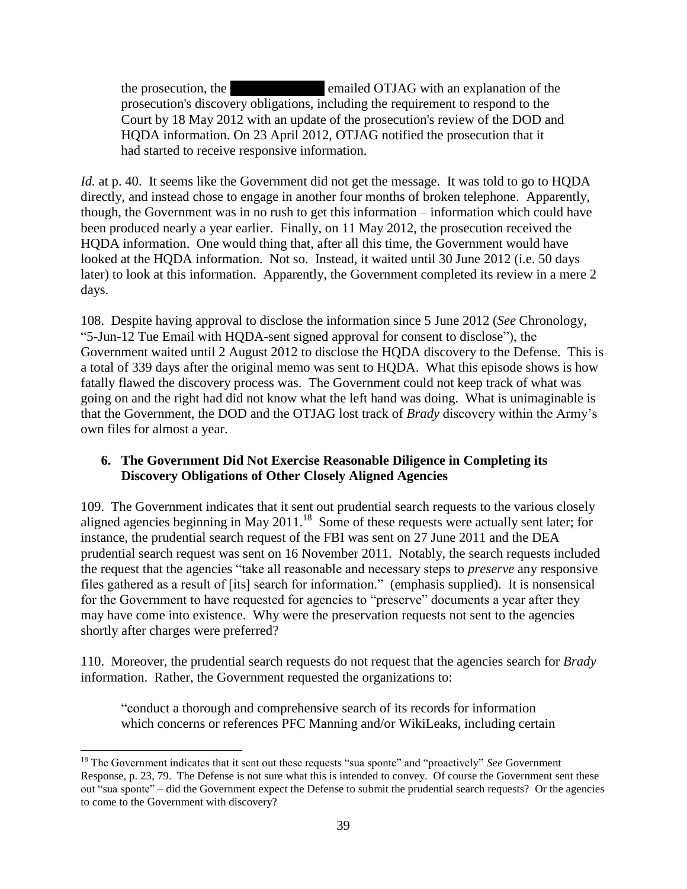the prosecution, the **\*\*\*** emailed OTJAG with an explanation of the prosecution's discovery obligations, including the requirement to respond to the Court by 18 May 2012 with an update of the prosecution's review of the DOD and HQDA information. On 23 April 2012, OTJAG notified the prosecution that it had started to receive responsive information.

*Id.* at p. 40. It seems like the Government did not get the message. It was told to go to HQDA directly, and instead chose to engage in another four months of broken telephone. Apparently, though, the Government was in no rush to get this information – information which could have been produced nearly a year earlier. Finally, on 11 May 2012, the prosecution received the HQDA information. One would thing that, after all this time, the Government would have looked at the HQDA information. Not so. Instead, it waited until 30 June 2012 (i.e. 50 days later) to look at this information. Apparently, the Government completed its review in a mere 2 days.

108. Despite having approval to disclose the information since 5 June 2012 (*See* Chronology, "5-Jun-12 Tue Email with HQDA-sent signed approval for consent to disclose"), the Government waited until 2 August 2012 to disclose the HQDA discovery to the Defense. This is a total of 339 days after the original memo was sent to HQDA. What this episode shows is how fatally flawed the discovery process was. The Government could not keep track of what was going on and the right had did not know what the left hand was doing. What is unimaginable is that the Government, the DOD and the OTJAG lost track of *Brady* discovery within the Army's own files for almost a year.

## **6. The Government Did Not Exercise Reasonable Diligence in Completing its Discovery Obligations of Other Closely Aligned Agencies**

109. The Government indicates that it sent out prudential search requests to the various closely aligned agencies beginning in May 2011.<sup>18</sup> Some of these requests were actually sent later; for instance, the prudential search request of the FBI was sent on 27 June 2011 and the DEA prudential search request was sent on 16 November 2011. Notably, the search requests included the request that the agencies "take all reasonable and necessary steps to *preserve* any responsive files gathered as a result of [its] search for information." (emphasis supplied). It is nonsensical for the Government to have requested for agencies to "preserve" documents a year after they may have come into existence. Why were the preservation requests not sent to the agencies shortly after charges were preferred?

110. Moreover, the prudential search requests do not request that the agencies search for *Brady* information. Rather, the Government requested the organizations to:

"conduct a thorough and comprehensive search of its records for information which concerns or references PFC Manning and/or WikiLeaks, including certain

 $\overline{\phantom{a}}$ <sup>18</sup> The Government indicates that it sent out these requests "sua sponte" and "proactively" *See* Government Response, p. 23, 79. The Defense is not sure what this is intended to convey. Of course the Government sent these out "sua sponte" – did the Government expect the Defense to submit the prudential search requests? Or the agencies to come to the Government with discovery?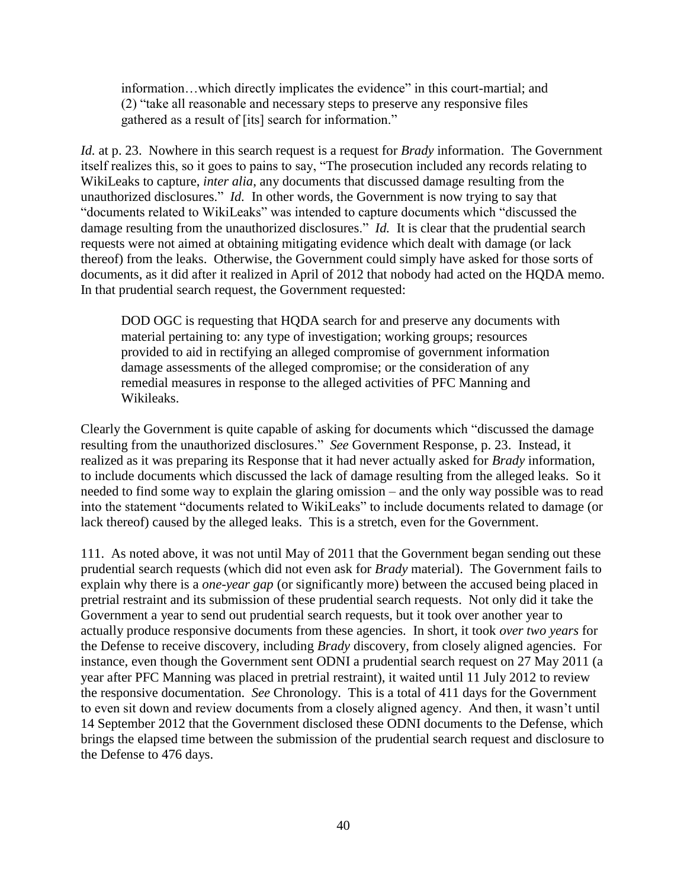information…which directly implicates the evidence" in this court-martial; and (2) "take all reasonable and necessary steps to preserve any responsive files gathered as a result of [its] search for information."

*Id.* at p. 23. Nowhere in this search request is a request for *Brady* information. The Government itself realizes this, so it goes to pains to say, "The prosecution included any records relating to WikiLeaks to capture, *inter alia*, any documents that discussed damage resulting from the unauthorized disclosures." *Id.* In other words, the Government is now trying to say that "documents related to WikiLeaks" was intended to capture documents which "discussed the damage resulting from the unauthorized disclosures." *Id.* It is clear that the prudential search requests were not aimed at obtaining mitigating evidence which dealt with damage (or lack thereof) from the leaks. Otherwise, the Government could simply have asked for those sorts of documents, as it did after it realized in April of 2012 that nobody had acted on the HQDA memo. In that prudential search request, the Government requested:

DOD OGC is requesting that HQDA search for and preserve any documents with material pertaining to: any type of investigation; working groups; resources provided to aid in rectifying an alleged compromise of government information damage assessments of the alleged compromise; or the consideration of any remedial measures in response to the alleged activities of PFC Manning and Wikileaks.

Clearly the Government is quite capable of asking for documents which "discussed the damage resulting from the unauthorized disclosures." *See* Government Response, p. 23. Instead, it realized as it was preparing its Response that it had never actually asked for *Brady* information, to include documents which discussed the lack of damage resulting from the alleged leaks. So it needed to find some way to explain the glaring omission – and the only way possible was to read into the statement "documents related to WikiLeaks" to include documents related to damage (or lack thereof) caused by the alleged leaks. This is a stretch, even for the Government.

111. As noted above, it was not until May of 2011 that the Government began sending out these prudential search requests (which did not even ask for *Brady* material). The Government fails to explain why there is a *one-year gap* (or significantly more) between the accused being placed in pretrial restraint and its submission of these prudential search requests. Not only did it take the Government a year to send out prudential search requests, but it took over another year to actually produce responsive documents from these agencies. In short, it took *over two years* for the Defense to receive discovery, including *Brady* discovery, from closely aligned agencies. For instance, even though the Government sent ODNI a prudential search request on 27 May 2011 (a year after PFC Manning was placed in pretrial restraint), it waited until 11 July 2012 to review the responsive documentation. *See* Chronology. This is a total of 411 days for the Government to even sit down and review documents from a closely aligned agency. And then, it wasn't until 14 September 2012 that the Government disclosed these ODNI documents to the Defense, which brings the elapsed time between the submission of the prudential search request and disclosure to the Defense to 476 days.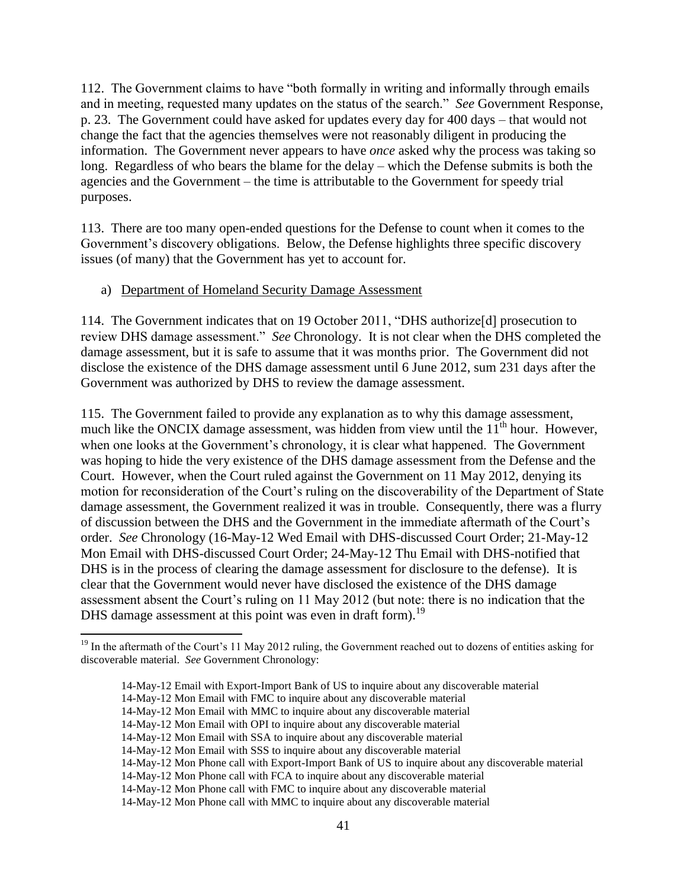112. The Government claims to have "both formally in writing and informally through emails and in meeting, requested many updates on the status of the search." *See* Government Response, p. 23. The Government could have asked for updates every day for 400 days – that would not change the fact that the agencies themselves were not reasonably diligent in producing the information. The Government never appears to have *once* asked why the process was taking so long. Regardless of who bears the blame for the delay – which the Defense submits is both the agencies and the Government – the time is attributable to the Government for speedy trial purposes.

113. There are too many open-ended questions for the Defense to count when it comes to the Government's discovery obligations. Below, the Defense highlights three specific discovery issues (of many) that the Government has yet to account for.

#### a) Department of Homeland Security Damage Assessment

114. The Government indicates that on 19 October 2011, "DHS authorize[d] prosecution to review DHS damage assessment." *See* Chronology. It is not clear when the DHS completed the damage assessment, but it is safe to assume that it was months prior. The Government did not disclose the existence of the DHS damage assessment until 6 June 2012, sum 231 days after the Government was authorized by DHS to review the damage assessment.

115. The Government failed to provide any explanation as to why this damage assessment, much like the ONCIX damage assessment, was hidden from view until the  $11<sup>th</sup>$  hour. However, when one looks at the Government's chronology, it is clear what happened. The Government was hoping to hide the very existence of the DHS damage assessment from the Defense and the Court. However, when the Court ruled against the Government on 11 May 2012, denying its motion for reconsideration of the Court's ruling on the discoverability of the Department of State damage assessment, the Government realized it was in trouble. Consequently, there was a flurry of discussion between the DHS and the Government in the immediate aftermath of the Court's order. *See* Chronology (16-May-12 Wed Email with DHS-discussed Court Order; 21-May-12 Mon Email with DHS-discussed Court Order; 24-May-12 Thu Email with DHS-notified that DHS is in the process of clearing the damage assessment for disclosure to the defense). It is clear that the Government would never have disclosed the existence of the DHS damage assessment absent the Court's ruling on 11 May 2012 (but note: there is no indication that the DHS damage assessment at this point was even in draft form).<sup>19</sup>

 $\overline{\phantom{a}}$ 

<sup>&</sup>lt;sup>19</sup> In the aftermath of the Court's 11 May 2012 ruling, the Government reached out to dozens of entities asking for discoverable material. *See* Government Chronology:

<sup>14-</sup>May-12 Email with Export-Import Bank of US to inquire about any discoverable material

<sup>14-</sup>May-12 Mon Email with FMC to inquire about any discoverable material

<sup>14-</sup>May-12 Mon Email with MMC to inquire about any discoverable material

<sup>14-</sup>May-12 Mon Email with OPI to inquire about any discoverable material

<sup>14-</sup>May-12 Mon Email with SSA to inquire about any discoverable material

<sup>14-</sup>May-12 Mon Email with SSS to inquire about any discoverable material

<sup>14-</sup>May-12 Mon Phone call with Export-Import Bank of US to inquire about any discoverable material

<sup>14-</sup>May-12 Mon Phone call with FCA to inquire about any discoverable material

<sup>14-</sup>May-12 Mon Phone call with FMC to inquire about any discoverable material

<sup>14-</sup>May-12 Mon Phone call with MMC to inquire about any discoverable material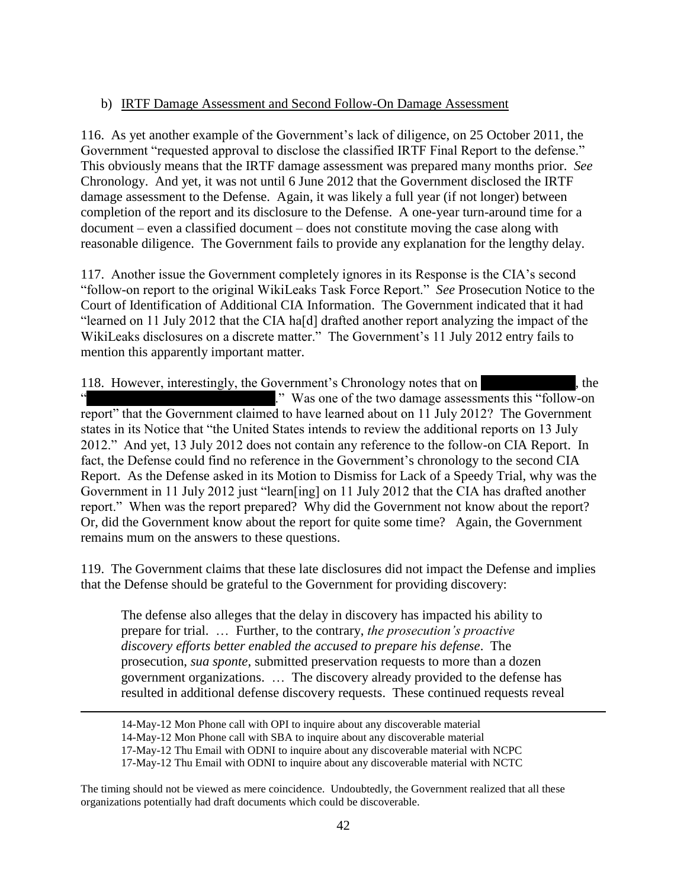#### b) IRTF Damage Assessment and Second Follow-On Damage Assessment

116. As yet another example of the Government's lack of diligence, on 25 October 2011, the Government "requested approval to disclose the classified IRTF Final Report to the defense." This obviously means that the IRTF damage assessment was prepared many months prior. *See*  Chronology. And yet, it was not until 6 June 2012 that the Government disclosed the IRTF damage assessment to the Defense. Again, it was likely a full year (if not longer) between completion of the report and its disclosure to the Defense. A one-year turn-around time for a document – even a classified document – does not constitute moving the case along with reasonable diligence. The Government fails to provide any explanation for the lengthy delay.

117. Another issue the Government completely ignores in its Response is the CIA's second "follow-on report to the original WikiLeaks Task Force Report." *See* Prosecution Notice to the Court of Identification of Additional CIA Information. The Government indicated that it had "learned on 11 July 2012 that the CIA ha[d] drafted another report analyzing the impact of the WikiLeaks disclosures on a discrete matter." The Government's 11 July 2012 entry fails to mention this apparently important matter.

118. However, interestingly, the Government's Chronology notes that on **\*\*\***, the ." Was one of the two damage assessments this "follow-on". report" that the Government claimed to have learned about on 11 July 2012? The Government states in its Notice that "the United States intends to review the additional reports on 13 July 2012." And yet, 13 July 2012 does not contain any reference to the follow-on CIA Report. In fact, the Defense could find no reference in the Government's chronology to the second CIA Report. As the Defense asked in its Motion to Dismiss for Lack of a Speedy Trial, why was the Government in 11 July 2012 just "learn[ing] on 11 July 2012 that the CIA has drafted another report." When was the report prepared? Why did the Government not know about the report? Or, did the Government know about the report for quite some time? Again, the Government remains mum on the answers to these questions.

119. The Government claims that these late disclosures did not impact the Defense and implies that the Defense should be grateful to the Government for providing discovery:

The defense also alleges that the delay in discovery has impacted his ability to prepare for trial. … Further, to the contrary, *the prosecution's proactive discovery efforts better enabled the accused to prepare his defense*. The prosecution, *sua sponte*, submitted preservation requests to more than a dozen government organizations. … The discovery already provided to the defense has resulted in additional defense discovery requests. These continued requests reveal

 $\overline{\phantom{a}}$ 

<sup>14-</sup>May-12 Mon Phone call with OPI to inquire about any discoverable material

<sup>14-</sup>May-12 Mon Phone call with SBA to inquire about any discoverable material

<sup>17-</sup>May-12 Thu Email with ODNI to inquire about any discoverable material with NCPC

<sup>17-</sup>May-12 Thu Email with ODNI to inquire about any discoverable material with NCTC

The timing should not be viewed as mere coincidence. Undoubtedly, the Government realized that all these organizations potentially had draft documents which could be discoverable.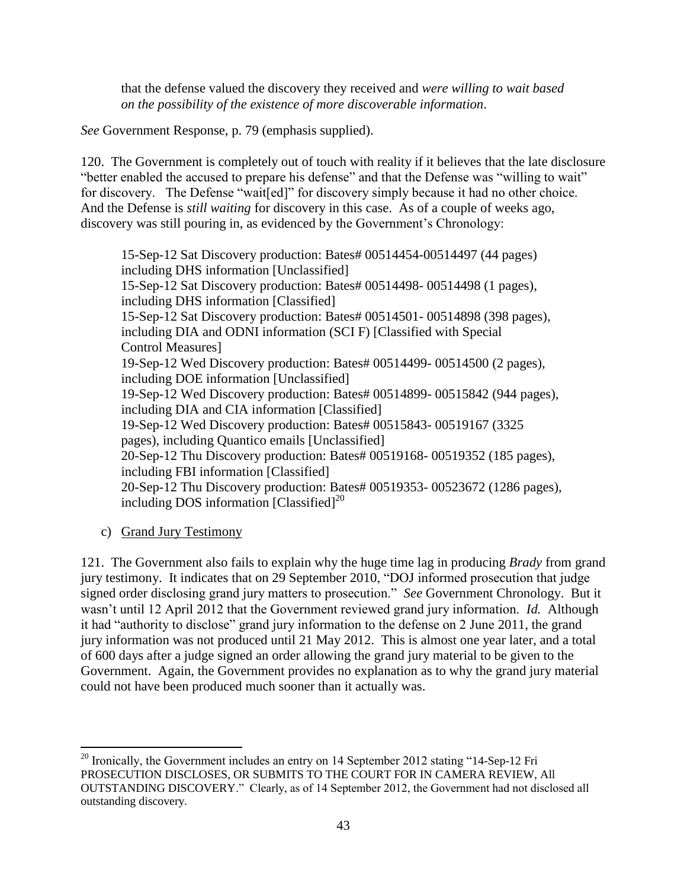that the defense valued the discovery they received and *were willing to wait based on the possibility of the existence of more discoverable information*.

*See* Government Response, p. 79 (emphasis supplied).

120. The Government is completely out of touch with reality if it believes that the late disclosure "better enabled the accused to prepare his defense" and that the Defense was "willing to wait" for discovery. The Defense "wait[ed]" for discovery simply because it had no other choice. And the Defense is *still waiting* for discovery in this case. As of a couple of weeks ago, discovery was still pouring in, as evidenced by the Government's Chronology:

15-Sep-12 Sat Discovery production: Bates# 00514454-00514497 (44 pages) including DHS information [Unclassified] 15-Sep-12 Sat Discovery production: Bates# 00514498- 00514498 (1 pages), including DHS information [Classified] 15-Sep-12 Sat Discovery production: Bates# 00514501- 00514898 (398 pages), including DIA and ODNI information (SCI F) [Classified with Special Control Measures] 19-Sep-12 Wed Discovery production: Bates# 00514499- 00514500 (2 pages), including DOE information [Unclassified] 19-Sep-12 Wed Discovery production: Bates# 00514899- 00515842 (944 pages), including DIA and CIA information [Classified] 19-Sep-12 Wed Discovery production: Bates# 00515843- 00519167 (3325 pages), including Quantico emails [Unclassified] 20-Sep-12 Thu Discovery production: Bates# 00519168- 00519352 (185 pages), including FBI information [Classified] 20-Sep-12 Thu Discovery production: Bates# 00519353- 00523672 (1286 pages), including DOS information  $\text{[Classified]}^{20}$ 

c) Grand Jury Testimony

121. The Government also fails to explain why the huge time lag in producing *Brady* from grand jury testimony. It indicates that on 29 September 2010, "DOJ informed prosecution that judge signed order disclosing grand jury matters to prosecution." *See* Government Chronology. But it wasn't until 12 April 2012 that the Government reviewed grand jury information. *Id.* Although it had "authority to disclose" grand jury information to the defense on 2 June 2011, the grand jury information was not produced until 21 May 2012. This is almost one year later, and a total of 600 days after a judge signed an order allowing the grand jury material to be given to the Government. Again, the Government provides no explanation as to why the grand jury material could not have been produced much sooner than it actually was.

 $\overline{a}$  $20$  Ironically, the Government includes an entry on 14 September 2012 stating "14-Sep-12 Fri PROSECUTION DISCLOSES, OR SUBMITS TO THE COURT FOR IN CAMERA REVIEW, All OUTSTANDING DISCOVERY." Clearly, as of 14 September 2012, the Government had not disclosed all outstanding discovery.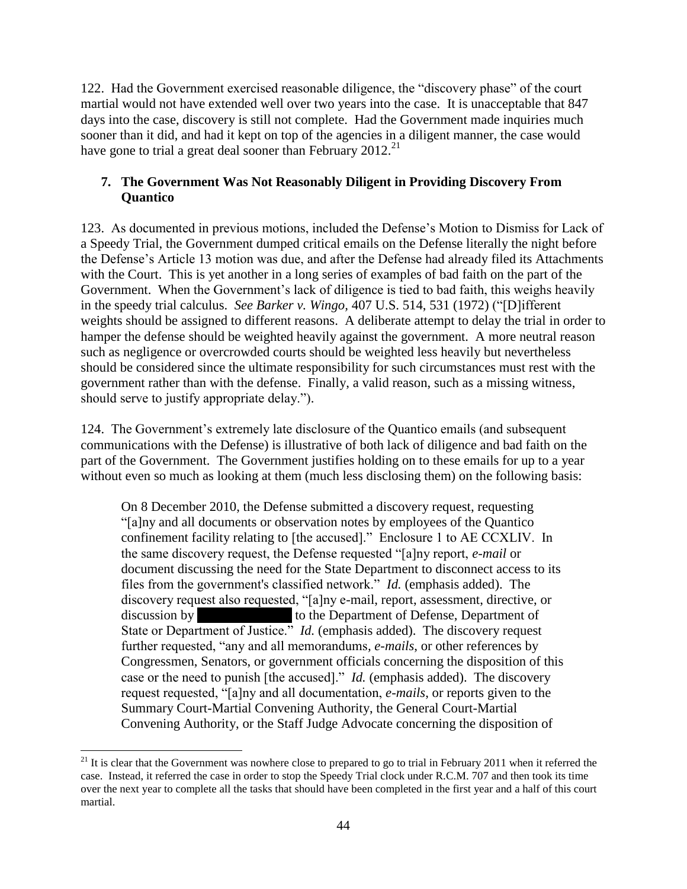122. Had the Government exercised reasonable diligence, the "discovery phase" of the court martial would not have extended well over two years into the case. It is unacceptable that 847 days into the case, discovery is still not complete. Had the Government made inquiries much sooner than it did, and had it kept on top of the agencies in a diligent manner, the case would have gone to trial a great deal sooner than February 2012.<sup>21</sup>

## **7. The Government Was Not Reasonably Diligent in Providing Discovery From Quantico**

123. As documented in previous motions, included the Defense's Motion to Dismiss for Lack of a Speedy Trial, the Government dumped critical emails on the Defense literally the night before the Defense's Article 13 motion was due, and after the Defense had already filed its Attachments with the Court. This is yet another in a long series of examples of bad faith on the part of the Government. When the Government's lack of diligence is tied to bad faith, this weighs heavily in the speedy trial calculus. *See Barker v. Wingo,* 407 U.S. 514, 531 (1972) ("[D]ifferent weights should be assigned to different reasons. A deliberate attempt to delay the trial in order to hamper the defense should be weighted heavily against the government. A more neutral reason such as negligence or overcrowded courts should be weighted less heavily but nevertheless should be considered since the ultimate responsibility for such circumstances must rest with the government rather than with the defense. Finally, a valid reason, such as a missing witness, should serve to justify appropriate delay.").

124. The Government's extremely late disclosure of the Quantico emails (and subsequent communications with the Defense) is illustrative of both lack of diligence and bad faith on the part of the Government. The Government justifies holding on to these emails for up to a year without even so much as looking at them (much less disclosing them) on the following basis:

On 8 December 2010, the Defense submitted a discovery request, requesting "[a]ny and all documents or observation notes by employees of the Quantico confinement facility relating to [the accused]." Enclosure 1 to AE CCXLIV. In the same discovery request, the Defense requested "[a]ny report, *e-mail* or document discussing the need for the State Department to disconnect access to its files from the government's classified network." *Id.* (emphasis added). The discovery request also requested, "[a]ny e-mail, report, assessment, directive, or discussion by **the Department of Defense**, Department of State or Department of Justice." *Id.* (emphasis added). The discovery request further requested, "any and all memorandums*, e-mails*, or other references by Congressmen, Senators, or government officials concerning the disposition of this case or the need to punish [the accused]." *Id.* (emphasis added). The discovery request requested, "[a]ny and all documentation, *e-mails*, or reports given to the Summary Court-Martial Convening Authority, the General Court-Martial Convening Authority, or the Staff Judge Advocate concerning the disposition of

 $\overline{\phantom{a}}$  $21$  It is clear that the Government was nowhere close to prepared to go to trial in February 2011 when it referred the case. Instead, it referred the case in order to stop the Speedy Trial clock under R.C.M. 707 and then took its time over the next year to complete all the tasks that should have been completed in the first year and a half of this court martial.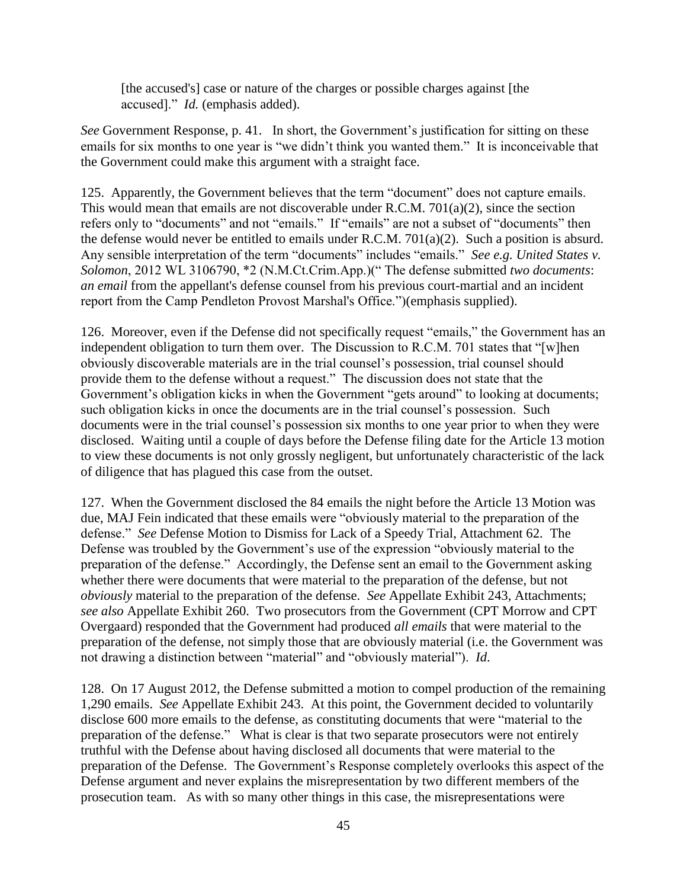[the accused's] case or nature of the charges or possible charges against [the accused]." *Id.* (emphasis added).

*See* Government Response, p. 41. In short, the Government's justification for sitting on these emails for six months to one year is "we didn't think you wanted them." It is inconceivable that the Government could make this argument with a straight face.

125. Apparently, the Government believes that the term "document" does not capture emails. This would mean that emails are not discoverable under R.C.M. 701(a)(2), since the section refers only to "documents" and not "emails." If "emails" are not a subset of "documents" then the defense would never be entitled to emails under R.C.M. 701(a)(2). Such a position is absurd. Any sensible interpretation of the term "documents" includes "emails." *See e.g. United States v. Solomon*, 2012 WL 3106790, \*2 (N.M.Ct.Crim.App.)(" The defense submitted *two documents*: *an email* from the appellant's defense counsel from his previous court-martial and an incident report from the Camp Pendleton Provost Marshal's Office.")(emphasis supplied).

126. Moreover, even if the Defense did not specifically request "emails," the Government has an independent obligation to turn them over. The Discussion to R.C.M. 701 states that "[w]hen obviously discoverable materials are in the trial counsel's possession, trial counsel should provide them to the defense without a request." The discussion does not state that the Government's obligation kicks in when the Government "gets around" to looking at documents; such obligation kicks in once the documents are in the trial counsel's possession. Such documents were in the trial counsel's possession six months to one year prior to when they were disclosed. Waiting until a couple of days before the Defense filing date for the Article 13 motion to view these documents is not only grossly negligent, but unfortunately characteristic of the lack of diligence that has plagued this case from the outset.

127. When the Government disclosed the 84 emails the night before the Article 13 Motion was due, MAJ Fein indicated that these emails were "obviously material to the preparation of the defense." *See* Defense Motion to Dismiss for Lack of a Speedy Trial, Attachment 62. The Defense was troubled by the Government's use of the expression "obviously material to the preparation of the defense." Accordingly, the Defense sent an email to the Government asking whether there were documents that were material to the preparation of the defense, but not *obviously* material to the preparation of the defense. *See* Appellate Exhibit 243, Attachments; *see also* Appellate Exhibit 260. Two prosecutors from the Government (CPT Morrow and CPT Overgaard) responded that the Government had produced *all emails* that were material to the preparation of the defense, not simply those that are obviously material (i.e. the Government was not drawing a distinction between "material" and "obviously material"). *Id*.

128. On 17 August 2012, the Defense submitted a motion to compel production of the remaining 1,290 emails. *See* Appellate Exhibit 243. At this point, the Government decided to voluntarily disclose 600 more emails to the defense, as constituting documents that were "material to the preparation of the defense." What is clear is that two separate prosecutors were not entirely truthful with the Defense about having disclosed all documents that were material to the preparation of the Defense. The Government's Response completely overlooks this aspect of the Defense argument and never explains the misrepresentation by two different members of the prosecution team. As with so many other things in this case, the misrepresentations were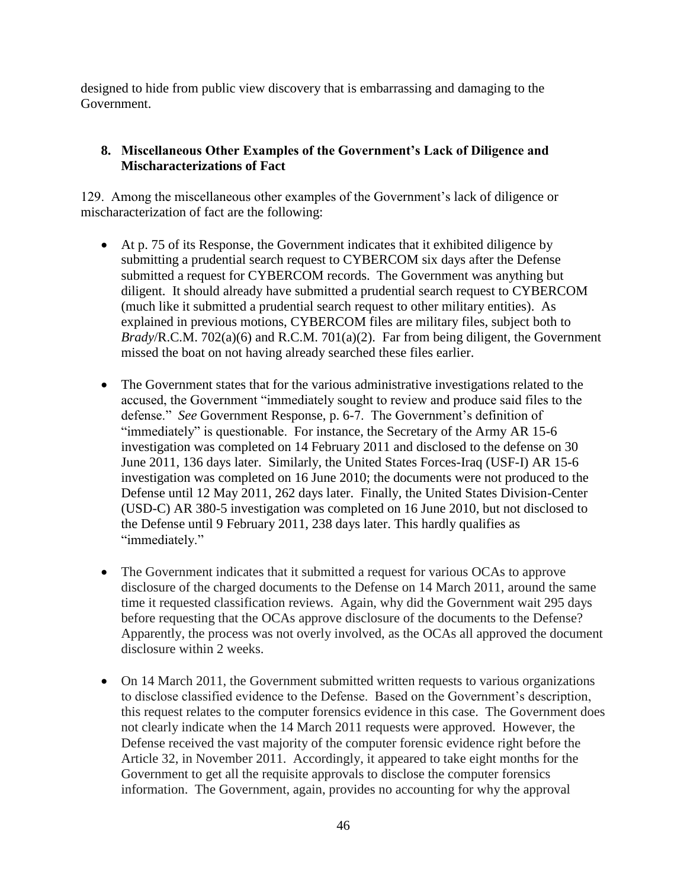designed to hide from public view discovery that is embarrassing and damaging to the Government.

# **8. Miscellaneous Other Examples of the Government's Lack of Diligence and Mischaracterizations of Fact**

129. Among the miscellaneous other examples of the Government's lack of diligence or mischaracterization of fact are the following:

- At p. 75 of its Response, the Government indicates that it exhibited diligence by submitting a prudential search request to CYBERCOM six days after the Defense submitted a request for CYBERCOM records. The Government was anything but diligent. It should already have submitted a prudential search request to CYBERCOM (much like it submitted a prudential search request to other military entities). As explained in previous motions, CYBERCOM files are military files, subject both to *Brady*/R.C.M. 702(a)(6) and R.C.M. 701(a)(2). Far from being diligent, the Government missed the boat on not having already searched these files earlier.
- The Government states that for the various administrative investigations related to the accused, the Government "immediately sought to review and produce said files to the defense." *See* Government Response, p. 6-7. The Government's definition of "immediately" is questionable. For instance, the Secretary of the Army AR 15-6 investigation was completed on 14 February 2011 and disclosed to the defense on 30 June 2011, 136 days later. Similarly, the United States Forces-Iraq (USF-I) AR 15-6 investigation was completed on 16 June 2010; the documents were not produced to the Defense until 12 May 2011, 262 days later. Finally, the United States Division-Center (USD-C) AR 380-5 investigation was completed on 16 June 2010, but not disclosed to the Defense until 9 February 2011, 238 days later. This hardly qualifies as "immediately."
- The Government indicates that it submitted a request for various OCAs to approve disclosure of the charged documents to the Defense on 14 March 2011, around the same time it requested classification reviews. Again, why did the Government wait 295 days before requesting that the OCAs approve disclosure of the documents to the Defense? Apparently, the process was not overly involved, as the OCAs all approved the document disclosure within 2 weeks.
- On 14 March 2011, the Government submitted written requests to various organizations to disclose classified evidence to the Defense. Based on the Government's description, this request relates to the computer forensics evidence in this case. The Government does not clearly indicate when the 14 March 2011 requests were approved. However, the Defense received the vast majority of the computer forensic evidence right before the Article 32, in November 2011. Accordingly, it appeared to take eight months for the Government to get all the requisite approvals to disclose the computer forensics information. The Government, again, provides no accounting for why the approval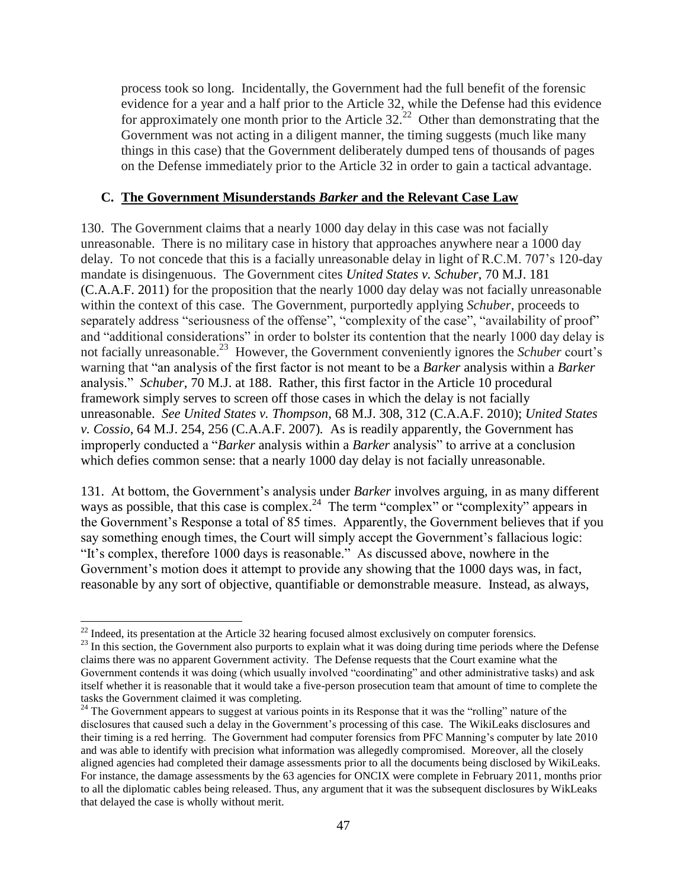process took so long. Incidentally, the Government had the full benefit of the forensic evidence for a year and a half prior to the Article 32, while the Defense had this evidence for approximately one month prior to the Article  $32<sup>22</sup>$  Other than demonstrating that the Government was not acting in a diligent manner, the timing suggests (much like many things in this case) that the Government deliberately dumped tens of thousands of pages on the Defense immediately prior to the Article 32 in order to gain a tactical advantage.

#### **C. The Government Misunderstands** *Barker* **and the Relevant Case Law**

130. The Government claims that a nearly 1000 day delay in this case was not facially unreasonable. There is no military case in history that approaches anywhere near a 1000 day delay. To not concede that this is a facially unreasonable delay in light of R.C.M. 707's 120-day mandate is disingenuous. The Government cites *United States v. Schuber*, 70 M.J. 181 (C.A.A.F. 2011) for the proposition that the nearly 1000 day delay was not facially unreasonable within the context of this case. The Government, purportedly applying *Schuber*, proceeds to separately address "seriousness of the offense", "complexity of the case", "availability of proof" and "additional considerations" in order to bolster its contention that the nearly 1000 day delay is not facially unreasonable.<sup>23</sup> However, the Government conveniently ignores the *Schuber* court's warning that "an analysis of the first factor is not meant to be a *Barker* analysis within a *Barker* analysis." *Schuber*, 70 M.J. at 188. Rather, this first factor in the Article 10 procedural framework simply serves to screen off those cases in which the delay is not facially unreasonable. *See United States v. Thompson*, 68 M.J. 308, 312 (C.A.A.F. 2010); *United States v. Cossio*, 64 M.J. 254, 256 (C.A.A.F. 2007)*.* As is readily apparently, the Government has improperly conducted a "*Barker* analysis within a *Barker* analysis" to arrive at a conclusion which defies common sense: that a nearly 1000 day delay is not facially unreasonable.

131. At bottom, the Government's analysis under *Barker* involves arguing, in as many different ways as possible, that this case is complex.<sup>24</sup> The term "complex" or "complexity" appears in the Government's Response a total of 85 times. Apparently, the Government believes that if you say something enough times, the Court will simply accept the Government's fallacious logic: "It's complex, therefore 1000 days is reasonable." As discussed above, nowhere in the Government's motion does it attempt to provide any showing that the 1000 days was, in fact, reasonable by any sort of objective, quantifiable or demonstrable measure. Instead, as always,

 $\overline{a}$  $^{22}$  Indeed, its presentation at the Article 32 hearing focused almost exclusively on computer forensics.

<sup>&</sup>lt;sup>23</sup> In this section, the Government also purports to explain what it was doing during time periods where the Defense claims there was no apparent Government activity. The Defense requests that the Court examine what the Government contends it was doing (which usually involved "coordinating" and other administrative tasks) and ask itself whether it is reasonable that it would take a five-person prosecution team that amount of time to complete the tasks the Government claimed it was completing.

<sup>&</sup>lt;sup>24</sup> The Government appears to suggest at various points in its Response that it was the "rolling" nature of the disclosures that caused such a delay in the Government's processing of this case. The WikiLeaks disclosures and their timing is a red herring. The Government had computer forensics from PFC Manning's computer by late 2010 and was able to identify with precision what information was allegedly compromised. Moreover, all the closely aligned agencies had completed their damage assessments prior to all the documents being disclosed by WikiLeaks. For instance, the damage assessments by the 63 agencies for ONCIX were complete in February 2011, months prior to all the diplomatic cables being released. Thus, any argument that it was the subsequent disclosures by WikLeaks that delayed the case is wholly without merit.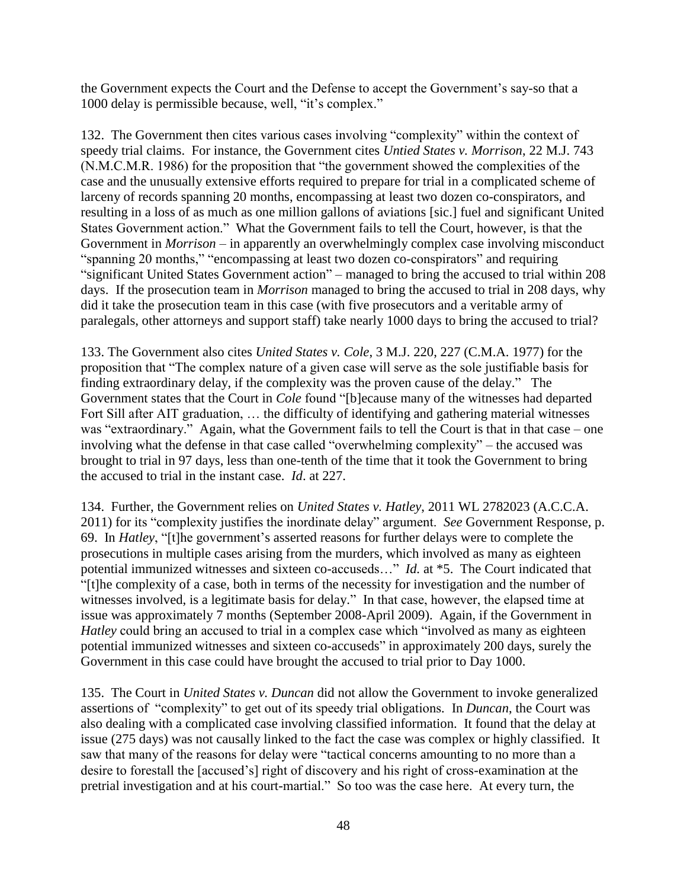the Government expects the Court and the Defense to accept the Government's say-so that a 1000 delay is permissible because, well, "it's complex."

132. The Government then cites various cases involving "complexity" within the context of speedy trial claims. For instance, the Government cites *Untied States v. Morrison*, 22 M.J. 743 (N.M.C.M.R. 1986) for the proposition that "the government showed the complexities of the case and the unusually extensive efforts required to prepare for trial in a complicated scheme of larceny of records spanning 20 months, encompassing at least two dozen co-conspirators, and resulting in a loss of as much as one million gallons of aviations [sic.] fuel and significant United States Government action." What the Government fails to tell the Court, however, is that the Government in *Morrison* – in apparently an overwhelmingly complex case involving misconduct "spanning 20 months," "encompassing at least two dozen co-conspirators" and requiring "significant United States Government action" – managed to bring the accused to trial within 208 days. If the prosecution team in *Morrison* managed to bring the accused to trial in 208 days, why did it take the prosecution team in this case (with five prosecutors and a veritable army of paralegals, other attorneys and support staff) take nearly 1000 days to bring the accused to trial?

133. The Government also cites *United States v. Cole*, 3 M.J. 220, 227 (C.M.A. 1977) for the proposition that "The complex nature of a given case will serve as the sole justifiable basis for finding extraordinary delay, if the complexity was the proven cause of the delay." The Government states that the Court in *Cole* found "[b]ecause many of the witnesses had departed Fort Sill after AIT graduation, … the difficulty of identifying and gathering material witnesses was "extraordinary." Again, what the Government fails to tell the Court is that in that case – one involving what the defense in that case called "overwhelming complexity" – the accused was brought to trial in 97 days, less than one-tenth of the time that it took the Government to bring the accused to trial in the instant case. *Id*. at 227.

134. Further, the Government relies on *United States v. Hatley*, 2011 WL 2782023 (A.C.C.A. 2011) for its "complexity justifies the inordinate delay" argument. *See* Government Response, p. 69. In *Hatley*, "[t]he government's asserted reasons for further delays were to complete the prosecutions in multiple cases arising from the murders, which involved as many as eighteen potential immunized witnesses and sixteen co-accuseds..." *Id.* at \*5. The Court indicated that "[t]he complexity of a case, both in terms of the necessity for investigation and the number of witnesses involved, is a legitimate basis for delay." In that case, however, the elapsed time at issue was approximately 7 months (September 2008-April 2009). Again, if the Government in *Hatley* could bring an accused to trial in a complex case which "involved as many as eighteen potential immunized witnesses and sixteen co-accuseds" in approximately 200 days, surely the Government in this case could have brought the accused to trial prior to Day 1000.

135. The Court in *United States v. Duncan* did not allow the Government to invoke generalized assertions of "complexity" to get out of its speedy trial obligations*.* In *Duncan*, the Court was also dealing with a complicated case involving classified information. It found that the delay at issue (275 days) was not causally linked to the fact the case was complex or highly classified. It saw that many of the reasons for delay were "tactical concerns amounting to no more than a desire to forestall the [accused's] right of discovery and his right of cross-examination at the pretrial investigation and at his court-martial." So too was the case here. At every turn, the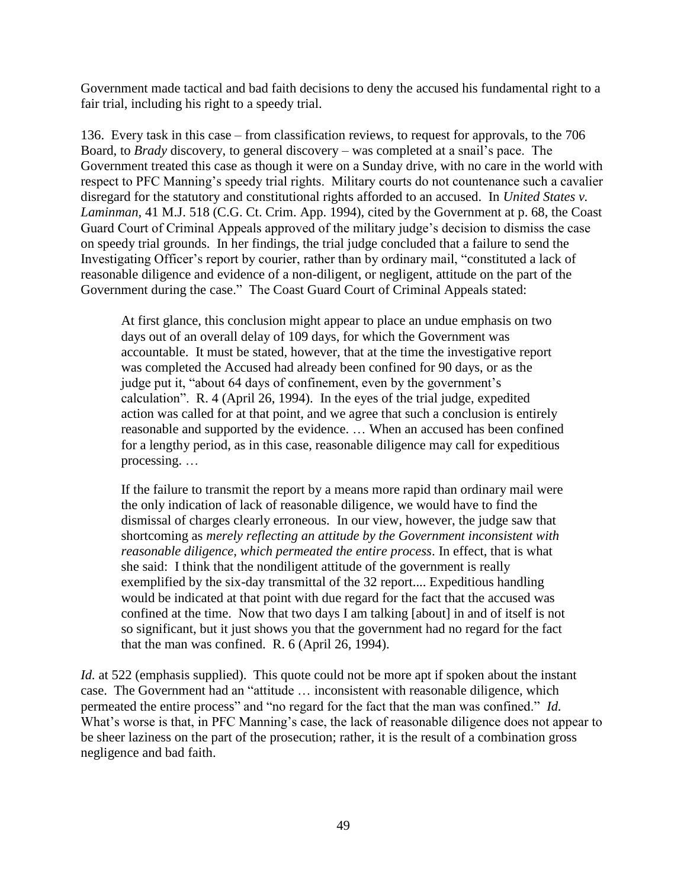Government made tactical and bad faith decisions to deny the accused his fundamental right to a fair trial, including his right to a speedy trial.

136. Every task in this case – from classification reviews, to request for approvals, to the 706 Board, to *Brady* discovery, to general discovery – was completed at a snail's pace. The Government treated this case as though it were on a Sunday drive, with no care in the world with respect to PFC Manning's speedy trial rights. Military courts do not countenance such a cavalier disregard for the statutory and constitutional rights afforded to an accused. In *United States v. Laminman*, 41 M.J. 518 (C.G. Ct. Crim. App. 1994), cited by the Government at p. 68, the Coast Guard Court of Criminal Appeals approved of the military judge's decision to dismiss the case on speedy trial grounds. In her findings, the trial judge concluded that a failure to send the Investigating Officer's report by courier, rather than by ordinary mail, "constituted a lack of reasonable diligence and evidence of a non-diligent, or negligent, attitude on the part of the Government during the case." The Coast Guard Court of Criminal Appeals stated:

At first glance, this conclusion might appear to place an undue emphasis on two days out of an overall delay of 109 days, for which the Government was accountable. It must be stated, however, that at the time the investigative report was completed the Accused had already been confined for 90 days, or as the judge put it, "about 64 days of confinement, even by the government's calculation". R. 4 (April 26, 1994). In the eyes of the trial judge, expedited action was called for at that point, and we agree that such a conclusion is entirely reasonable and supported by the evidence. … When an accused has been confined for a lengthy period, as in this case, reasonable diligence may call for expeditious processing. …

If the failure to transmit the report by a means more rapid than ordinary mail were the only indication of lack of reasonable diligence, we would have to find the dismissal of charges clearly erroneous. In our view, however, the judge saw that shortcoming as *merely reflecting an attitude by the Government inconsistent with reasonable diligence, which permeated the entire process*. In effect, that is what she said: I think that the nondiligent attitude of the government is really exemplified by the six-day transmittal of the 32 report.... Expeditious handling would be indicated at that point with due regard for the fact that the accused was confined at the time. Now that two days I am talking [about] in and of itself is not so significant, but it just shows you that the government had no regard for the fact that the man was confined. R. 6 (April 26, 1994).

*Id.* at 522 (emphasis supplied). This quote could not be more apt if spoken about the instant case. The Government had an "attitude … inconsistent with reasonable diligence, which permeated the entire process" and "no regard for the fact that the man was confined." *Id.* What's worse is that, in PFC Manning's case, the lack of reasonable diligence does not appear to be sheer laziness on the part of the prosecution; rather, it is the result of a combination gross negligence and bad faith.